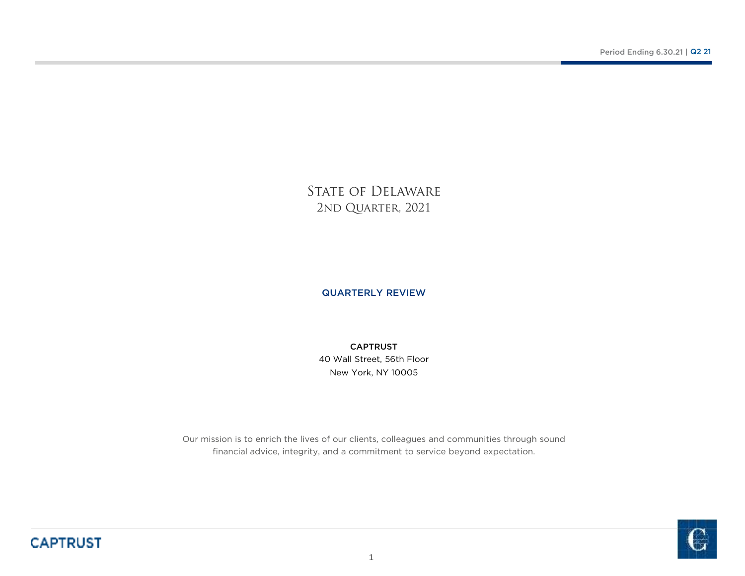STATE OF DELAWARE 2ND QUARTER, 2021

## QUARTERLY REVIEW

New York, NY 1000540 Wall Street, 56th Floor CAPTRUST

Our mission is to enrich the lives of our clients, colleagues and communities through sound financial advice, integrity, and a commitment to service beyond expectation.

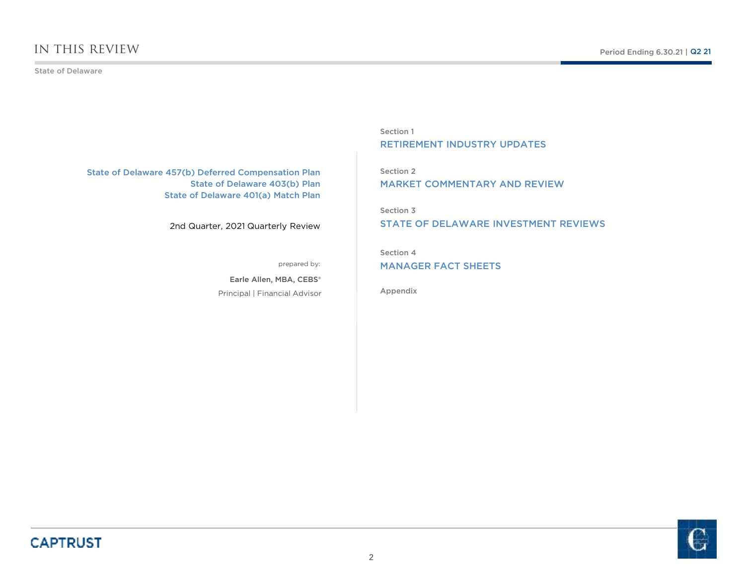State of Delaware

State of Delaware 457(b) Deferred Compensation Plan State of Delaware 403(b) PlanState of Delaware 401(a) Match Plan

2nd Quarter, 2021 Quarterly Review

prepared by:

Principal | Financial AdvisorEarle Allen, MBA, CEBS®

Section 1RETIREMENT INDUSTRY UPDATES

Section 2MARKET COMMENTARY AND REVIEW

Section 3

STATE OF DELAWARE INVESTMENT REVIEWS

Section 4

MANAGER FACT SHEETS

Appendix

**CAPTRUST** 

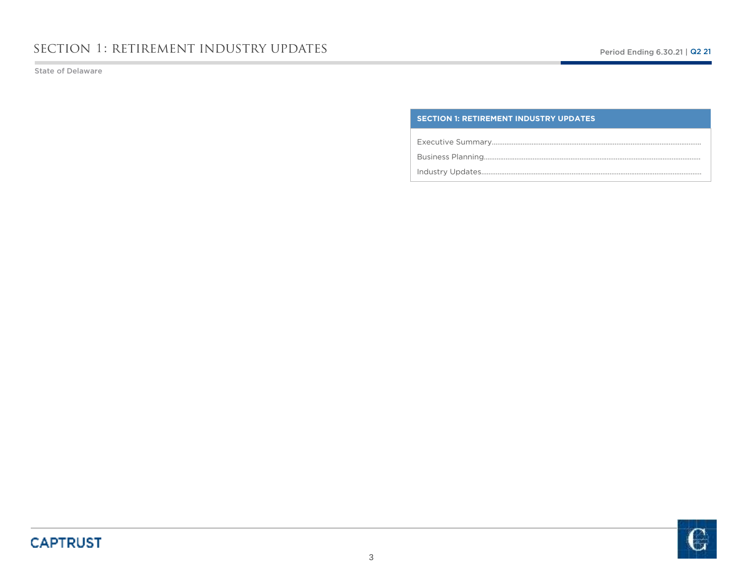State of Delaware

### **SECTION 1: RETIREMENT INDUSTRY UPDATES**

Executive Summary………………………………………………………………………….………………………….

Business Planning….………………………………………………………………………….………………………….

Industry Updates……………………………………………………………………………….………………………….

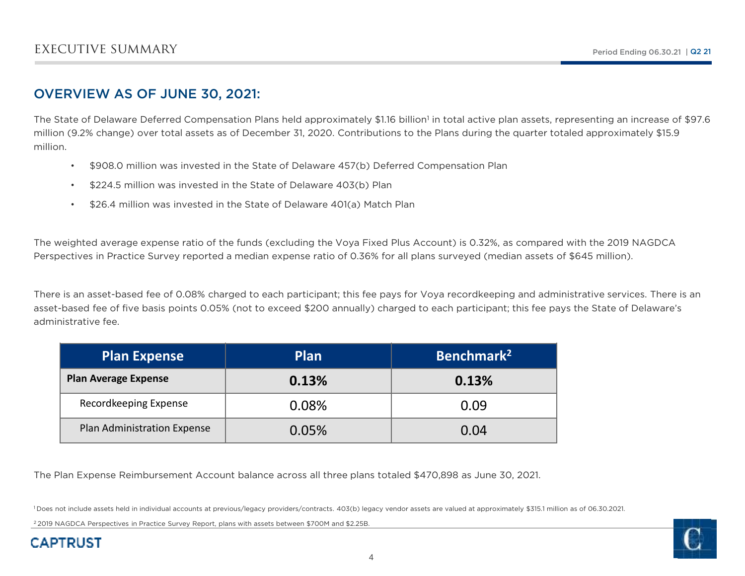## OVERVIEW AS OF JUNE 30, 2021:

The State of Delaware Deferred Compensation Plans held approximately \$1.16 billion<sup>1</sup> in total active plan assets, representing an increase of \$97.6 million (9.2% change) over total assets as of December 31, 2020. Contributions to the Plans during the quarter totaled approximately \$15.9 million.

- •\$908.0 million was invested in the State of Delaware 457(b) Deferred Compensation Plan
- \$224.5 million was invested in the State of Delaware 403(b) Plan
- •\$26.4 million was invested in the State of Delaware 401(a) Match Plan

The weighted average expense ratio of the funds (excluding the Voya Fixed Plus Account) is 0.32%, as compared with the 2019 NAGDCA Perspectives in Practice Survey reported a median expense ratio of 0.36% for all plans surveyed (median assets of \$645 million).

There is an asset-based fee of 0.08% charged to each participant; this fee pays for Voya recordkeeping and administrative services. There is an asset-based fee of five basis points 0.05% (not to exceed \$200 annually) charged to each participant; this fee pays the State of Delaware's administrative fee.

| <b>Plan Expense</b>         | Plan  | Benchmark <sup>2</sup> |
|-----------------------------|-------|------------------------|
| <b>Plan Average Expense</b> | 0.13% | 0.13%                  |
| Recordkeeping Expense       | 0.08% | 0.09                   |
| Plan Administration Expense | 0.05% | 0.04                   |

The Plan Expense Reimbursement Account balance across all three plans totaled \$470,898 as June 30, 2021.

1 Does not include assets held in individual accounts at previous/legacy providers/contracts. 403(b) legacy vendor assets are valued at approximately \$315.1 million as of 06.30.2021.

<sup>2</sup> 2019 NAGDCA Perspectives in Practice Survey Report, plans with assets between \$700M and \$2.25B.

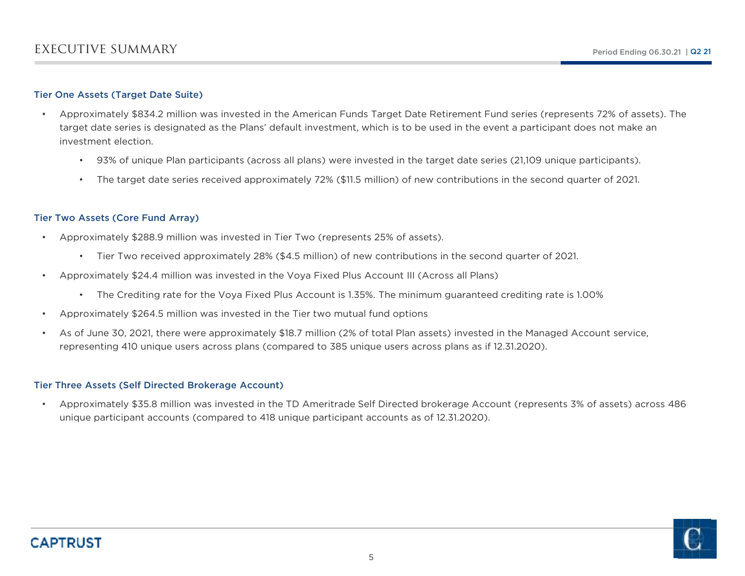### Tier One Assets (Target Date Suite)

- • Approximately \$834.2 million was invested in the American Funds Target Date Retirement Fund series (represents 72% of assets). The target date series is designated as the Plans' default investment, which is to be used in the event a participant does not make an investment election.
	- 93% of unique Plan participants (across all plans) were invested in the target date series (21,109 unique participants).
	- •The target date series received approximately 72% (\$11.5 million) of new contributions in the second quarter of 2021.

## Tier Two Assets (Core Fund Array)

- • Approximately \$288.9 million was invested in Tier Two (represents 25% of assets).
	- Tier Two received approximately 28% (\$4.5 million) of new contributions in the second quarter of 2021.
- • Approximately \$24.4 million was invested in the Voya Fixed Plus Account III (Across all Plans)
	- The Crediting rate for the Voya Fixed Plus Account is 1.35%. The minimum guaranteed crediting rate is 1.00%
- •Approximately \$264.5 million was invested in the Tier two mutual fund options
- • As of June 30, 2021, there were approximately \$18.7 million (2% of total Plan assets) invested in the Managed Account service, representing 410 unique users across plans (compared to 385 unique users across plans as if 12.31.2020).

### Tier Three Assets (Self Directed Brokerage Account)

• Approximately \$35.8 million was invested in the TD Ameritrade Self Directed brokerage Account (represents 3% of assets) across 486 unique participant accounts (compared to 418 unique participant accounts as of 12.31.2020).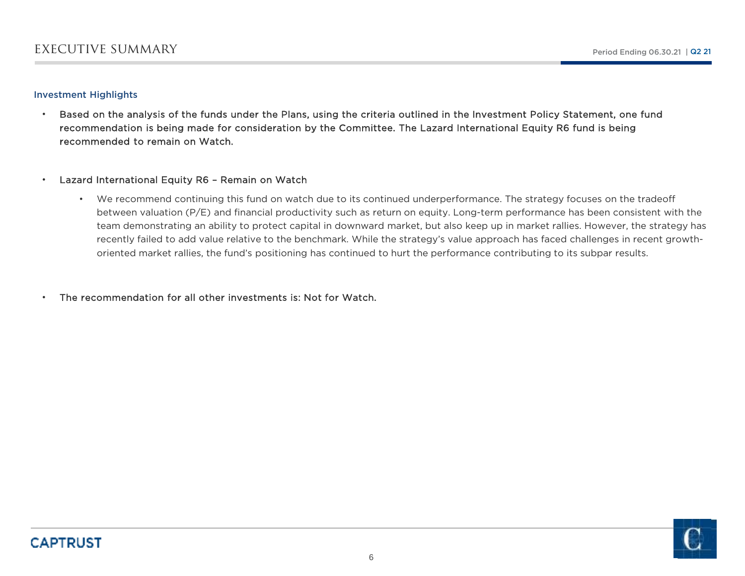### Investment Highlights

• Based on the analysis of the funds under the Plans, using the criteria outlined in the Investment Policy Statement, one fund recommendation is being made for consideration by the Committee. The Lazard International Equity R6 fund is being recommended to remain on Watch.

#### •Lazard International Equity R6 – Remain on Watch

• We recommend continuing this fund on watch due to its continued underperformance. The strategy focuses on the tradeoff between valuation (P/E) and financial productivity such as return on equity. Long-term performance has been consistent with the team demonstrating an ability to protect capital in downward market, but also keep up in market rallies. However, the strategy has recently failed to add value relative to the benchmark. While the strategy's value approach has faced challenges in recent growthoriented market rallies, the fund's positioning has continued to hurt the performance contributing to its subpar results.

•The recommendation for all other investments is: Not for Watch.

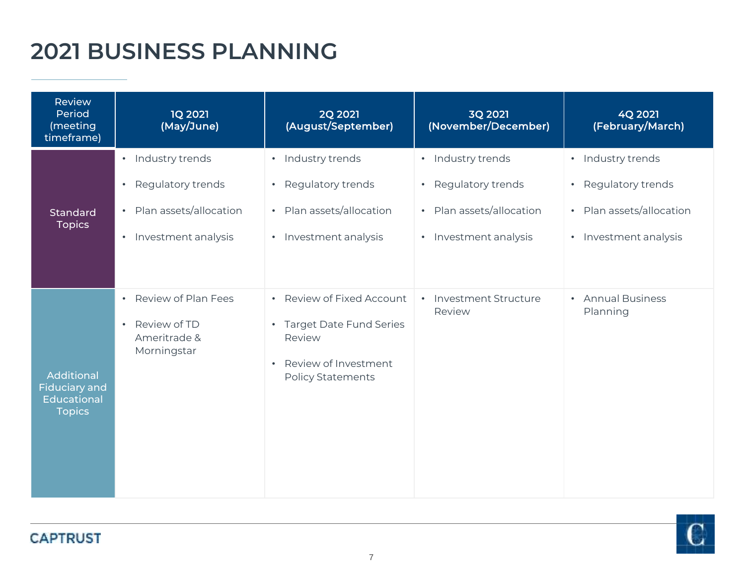# **2021 BUSINESS PLANNING**

| <b>Review</b><br>Period<br>(meeting<br>timeframe)                                | <b>1Q 2021</b><br>(May/June)                                                                                                              | <b>2Q 2021</b><br>(August/September)                                                                                                         | 3Q 2021<br>(November/December)                                                                | 4Q 2021<br>(February/March)                                                                                         |
|----------------------------------------------------------------------------------|-------------------------------------------------------------------------------------------------------------------------------------------|----------------------------------------------------------------------------------------------------------------------------------------------|-----------------------------------------------------------------------------------------------|---------------------------------------------------------------------------------------------------------------------|
| <b>Standard</b><br><b>Topics</b>                                                 | Industry trends<br>$\bullet$<br>Regulatory trends<br>$\bullet$<br>Plan assets/allocation<br>$\bullet$<br>Investment analysis<br>$\bullet$ | · Industry trends<br>Regulatory trends<br>$\bullet$<br>• Plan assets/allocation<br>• Investment analysis                                     | · Industry trends<br>• Regulatory trends<br>• Plan assets/allocation<br>• Investment analysis | · Industry trends<br>Regulatory trends<br>$\bullet$<br>Plan assets/allocation<br>$\bullet$<br>• Investment analysis |
| <b>Additional</b><br><b>Fiduciary and</b><br><b>Educational</b><br><b>Topics</b> | Review of Plan Fees<br>$\bullet$<br>Review of TD<br>$\bullet$<br>Ameritrade &<br>Morningstar                                              | Review of Fixed Account<br>$\bullet$<br>• Target Date Fund Series<br>Review<br>Review of Investment<br>$\bullet$<br><b>Policy Statements</b> | • Investment Structure<br>Review                                                              | • Annual Business<br>Planning                                                                                       |

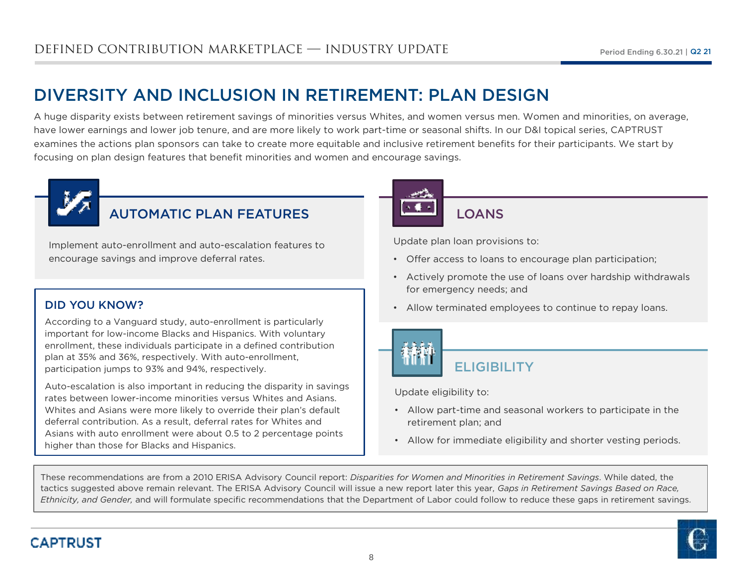# DIVERSITY AND INCLUSION IN RETIREMENT: PLAN DESIGN

 A huge disparity exists between retirement savings of minorities versus Whites, and women versus men. Women and minorities, on average, have lower earnings and lower job tenure, and are more likely to work part-time or seasonal shifts. In our D&I topical series, CAPTRUST examines the actions plan sponsors can take to create more equitable and inclusive retirement benefits for their participants. We start by focusing on plan design features that benefit minorities and women and encourage savings.



# AUTOMATIC PLAN FEATURES

Implement auto-enrollment and auto-escalation features to encourage savings and improve deferral rates.

## DID YOU KNOW?

According to a Vanguard study, auto-enrollment is particularly important for low-income Blacks and Hispanics. With voluntary enrollment, these individuals participate in a defined contribution plan at 35% and 36%, respectively. With auto-enrollment, participation jumps to 93% and 94%, respectively.

Auto-escalation is also important in reducing the disparity in savings rates between lower-income minorities versus Whites and Asians. Whites and Asians were more likely to override their plan's default deferral contribution. As a result, deferral rates for Whites and Asians with auto enrollment were about 0.5 to 2 percentage points higher than those for Blacks and Hispanics.



## **LOANS**

Update plan loan provisions to:

- Offer access to loans to encourage plan participation;
- Actively promote the use of loans over hardship withdrawals for emergency needs; and
- Allow terminated employees to continue to repay loans.



**ELIGIBILITY** 

Update eligibility to:

- Allow part-time and seasonal workers to participate in the retirement plan; and
- Allow for immediate eligibility and shorter vesting periods.

These recommendations are from a 2010 ERISA Advisory Council report: *Disparities for Women and Minorities in Retirement Savings*. While dated, the tactics suggested above remain relevant. The ERISA Advisory Council will issue a new report later this year, *Gaps in Retirement Savings Based on Race, Ethnicity, and Gender,* and will formulate specific recommendations that the Department of Labor could follow to reduce these gaps in retirement savings.

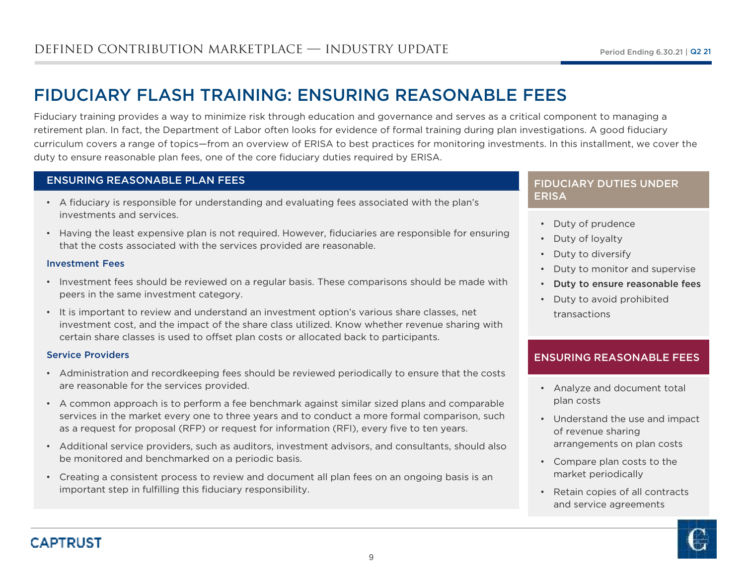# FIDUCIARY FLASH TRAINING: ENSURING REASONABLE FEES

 Fiduciary training provides a way to minimize risk through education and governance and serves as a critical component to managing a retirement plan. In fact, the Department of Labor often looks for evidence of formal training during plan investigations. A good fiduciary curriculum covers a range of topics—from an overview of ERISA to best practices for monitoring investments. In this installment, we cover the duty to ensure reasonable plan fees, one of the core fiduciary duties required by ERISA.

## ENSURING REASONABLE PLAN FEES

- A fiduciary is responsible for understanding and evaluating fees associated with the plan's investments and services.
- Having the least expensive plan is not required. However, fiduciaries are responsible for ensuring that the costs associated with the services provided are reasonable.

### Investment Fees

- Investment fees should be reviewed on a regular basis. These comparisons should be made with peers in the same investment category.
- It is important to review and understand an investment option's various share classes, net investment cost, and the impact of the share class utilized. Know whether revenue sharing with certain share classes is used to offset plan costs or allocated back to participants.

### Service Providers

- Administration and recordkeeping fees should be reviewed periodically to ensure that the costs are reasonable for the services provided.
- A common approach is to perform a fee benchmark against similar sized plans and comparable services in the market every one to three years and to conduct a more formal comparison, such as a request for proposal (RFP) or request for information (RFI), every five to ten years.
- Additional service providers, such as auditors, investment advisors, and consultants, should also be monitored and benchmarked on a periodic basis.
- Creating a consistent process to review and document all plan fees on an ongoing basis is an important step in fulfilling this fiduciary responsibility.

## FIDUCIARY DUTIES UNDER ERISA

- Duty of prudence
- Duty of loyalty
- Duty to diversify
- Duty to monitor and supervise
- Duty to ensure reasonable fees
- Duty to avoid prohibited transactions

## ENSURING REASONABLE FEES

- Analyze and document total plan costs
- Understand the use and impact of revenue sharing arrangements on plan costs
- Compare plan costs to the market periodically
- Retain copies of all contracts and service agreements

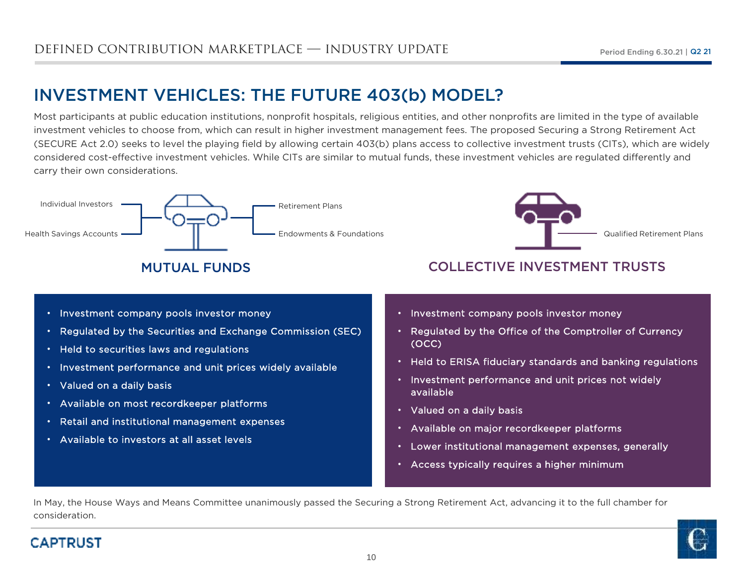# INVESTMENT VEHICLES: THE FUTURE 403(b) MODEL?

Most participants at public education institutions, nonprofit hospitals, religious entities, and other nonprofits are limited in the type of available investment vehicles to choose from, which can result in higher investment management fees. The proposed Securing a Strong Retirement Act (SECURE Act 2.0) seeks to level the playing field by allowing certain 403(b) plans access to collective investment trusts (CITs), which are widely considered cost-effective investment vehicles. While CITs are similar to mutual funds, these investment vehicles are regulated differently and carry their own considerations.



# MUTUAL FUNDS



## COLLECTIVE INVESTMENT TRUSTS

- Investment company pools investor money
- •Regulated by the Securities and Exchange Commission (SEC)
- •Held to securities laws and regulations
- • $\bm{\cdot}$   $\;$  Investment performance and unit prices widely available
- •Valued on a daily basis
- •Available on most recordkeeper platforms
- •Retail and institutional management expenses
- Available to investors at all asset levels
- Investment company pools investor money
- Regulated by the Office of the Comptroller of Currency (OCC)
- Held to ERISA fiduciary standards and banking regulations
- Investment performance and unit prices not widely available
- Valued on a daily basis
- Available on major recordkeeper platforms
- Lower institutional management expenses, generally
- Access typically requires a higher minimum

In May, the House Ways and Means Committee unanimously passed the Securing a Strong Retirement Act, advancing it to the full chamber for consideration.



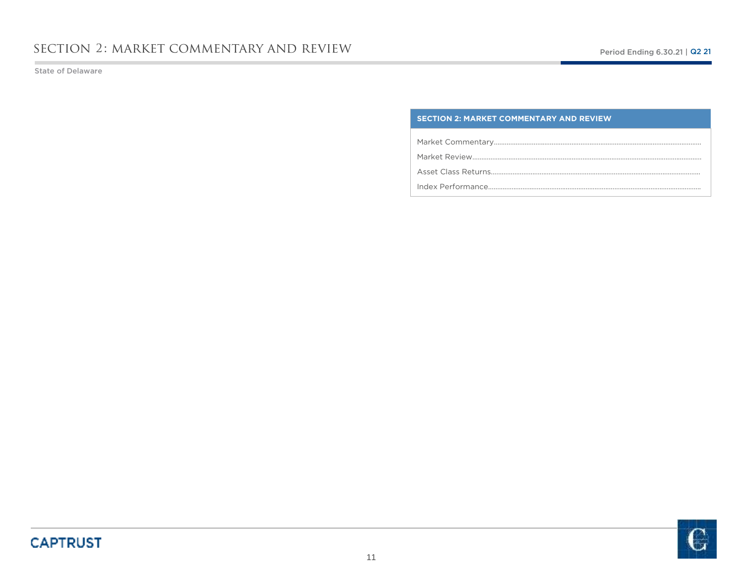State of Delaware

### **SECTION 2: MARKET COMMENTARY AND REVIEW**

Market Commentary…………………………………………………………………………………………………….

Market Review……………………………………………………………………………………………………………….

Asset Class Returns……………………………………………………………………………………………………..

Index Performance……………………………………………………………………………………………………….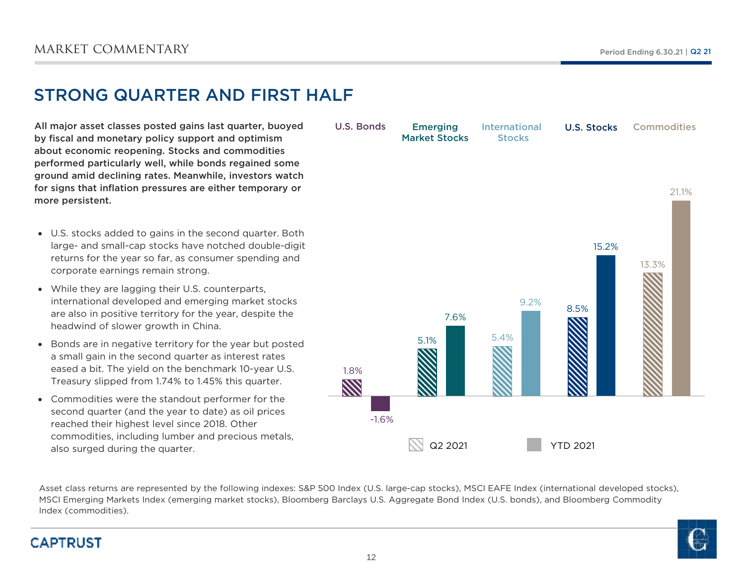# STRONG QUARTER AND FIRST HALF

All major asset classes posted gains last quarter, buoyed by fiscal and monetary policy support and optimism about economic reopening. Stocks and commodities performed particularly well, while bonds regained some ground amid declining rates. Meanwhile, investors watch for signs that inflation pressures are either temporary or more persistent.

- U.S. stocks added to gains in the second quarter. Both large- and small-cap stocks have notched double-digit returns for the year so far, as consumer spending and corporate earnings remain strong.
- While they are lagging their U.S. counterparts, international developed and emerging market stocks are also in positive territory for the year, despite the headwind of slower growth in China.
- $\bullet$  Bonds are in negative territory for the year but posted a small gain in the second quarter as interest rates eased a bit. The yield on the benchmark 10-year U.S. Treasury slipped from 1.74% to 1.45% this quarter.
- Commodities were the standout performer for the second quarter (and the year to date) as oil prices reached their highest level since 2018. Other commodities, including lumber and precious metals, also surged during the quarter.

1.8% $\mathbb{Z}$ 5.1% $\frac{9}{2}$  5.4% 8.5%13.3%-1.6%7.6%9.2%15.2%21.1%**Emerging**  Market StocksU.S. Bonds International U.S. Stocks**Commodities Stocks** Q2 2021YTD 2021

Asset class returns are represented by the following indexes: S&P 500 Index (U.S. large-cap stocks), MSCI EAFE Index (international developed stocks), MSCI Emerging Markets Index (emerging market stocks), Bloomberg Barclays U.S. Aggregate Bond Index (U.S. bonds), and Bloomberg Commodity Index (commodities).

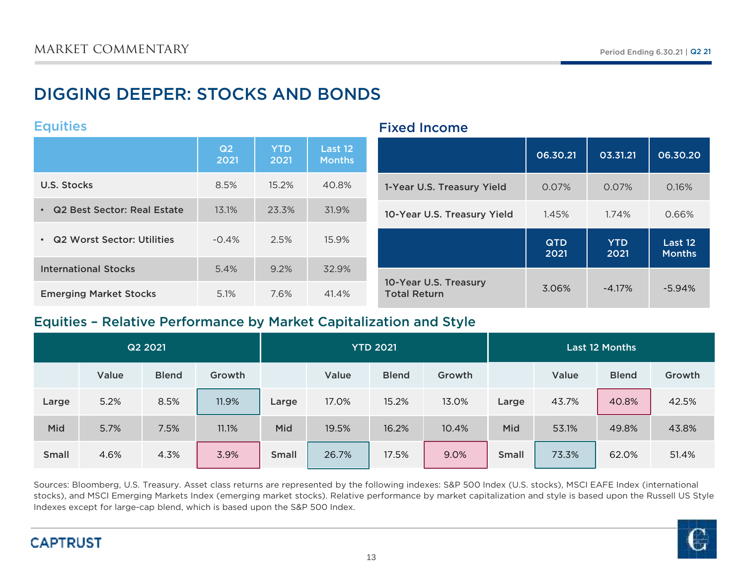# DIGGING DEEPER: STOCKS AND BONDS

## **Equities**

|                               | Q2<br>2021 | <b>YTD</b><br>2021 | Last 12<br><b>Months</b> |                                              | 06.30.21           | 03.31.21           | 06.30.20                 |
|-------------------------------|------------|--------------------|--------------------------|----------------------------------------------|--------------------|--------------------|--------------------------|
| U.S. Stocks                   | 8.5%       | 15.2%              | 40.8%                    | 1-Year U.S. Treasury Yield                   | 0.07%              | 0.07%              | 0.16%                    |
| • Q2 Best Sector: Real Estate | 13.1%      | 23.3%              | 31.9%                    | 10-Year U.S. Treasury Yield                  | 1.45%              | 1.74%              | 0.66%                    |
| • Q2 Worst Sector: Utilities  | $-0.4%$    | 2.5%               | 15.9%                    |                                              | <b>QTD</b><br>2021 | <b>YTD</b><br>2021 | Last 12<br><b>Months</b> |
| <b>International Stocks</b>   | 5.4%       | 9.2%               | 32.9%                    |                                              |                    |                    |                          |
| <b>Emerging Market Stocks</b> | 5.1%       | 7.6%               | 41.4%                    | 10-Year U.S. Treasury<br><b>Total Return</b> | 3.06%              | $-4.17\%$          | $-5.94\%$                |

Fixed Income

## Equities – Relative Performance by Market Capitalization and Style

|              |       | Q2 2021      |        |              | <b>YTD 2021</b> |              |        | <b>Last 12 Months</b> |       |              |        |
|--------------|-------|--------------|--------|--------------|-----------------|--------------|--------|-----------------------|-------|--------------|--------|
|              | Value | <b>Blend</b> | Growth |              | Value           | <b>Blend</b> | Growth |                       | Value | <b>Blend</b> | Growth |
| Large        | 5.2%  | 8.5%         | 11.9%  | Large        | 17.0%           | 15.2%        | 13.0%  | Large                 | 43.7% | 40.8%        | 42.5%  |
| Mid          | 5.7%  | 7.5%         | 11.1%  | Mid          | 19.5%           | 16.2%        | 10.4%  | Mid                   | 53.1% | 49.8%        | 43.8%  |
| <b>Small</b> | 4.6%  | 4.3%         | 3.9%   | <b>Small</b> | 26.7%           | 17.5%        | 9.0%   | <b>Small</b>          | 73.3% | 62.0%        | 51.4%  |

Sources: Bloomberg, U.S. Treasury. Asset class returns are represented by the following indexes: S&P 500 Index (U.S. stocks), MSCI EAFE Index (international stocks), and MSCI Emerging Markets Index (emerging market stocks). Relative performance by market capitalization and style is based upon the Russell US Style Indexes except for large-cap blend, which is based upon the S&P 500 Index.



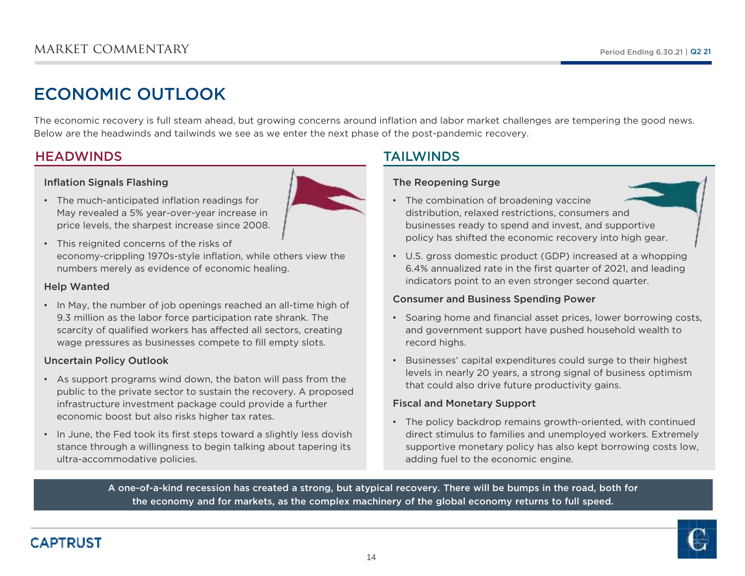# ECONOMIC OUTLOOK

The economic recovery is full steam ahead, but growing concerns around inflation and labor market challenges are tempering the good news. Below are the headwinds and tailwinds we see as we enter the next phase of the post-pandemic recovery.

## **HEADWINDS**

## Inflation Signals Flashing



- The much-anticipated inflation readings for May revealed a 5% year-over-year increase inprice levels, the sharpest increase since 2008.
- This reignited concerns of the risks of economy-crippling 1970s-style inflation, while others view the numbers merely as evidence of economic healing.

## Help Wanted

• In May, the number of job openings reached an all-time high of 9.3 million as the labor force participation rate shrank. The scarcity of qualified workers has affected all sectors, creating wage pressures as businesses compete to fill empty slots.

## Uncertain Policy Outlook

- As support programs wind down, the baton will pass from the public to the private sector to sustain the recovery. A proposed infrastructure investment package could provide a further economic boost but also risks higher tax rates.
- In June, the Fed took its first steps toward a slightly less dovish stance through a willingness to begin talking about tapering its ultra-accommodative policies.

## TAILWINDS

## The Reopening Surge

- The combination of broadening vaccine distribution, relaxed restrictions, consumers and businesses ready to spend and invest, and supportive policy has shifted the economic recovery into high gear.
- U.S. gross domestic product (GDP) increased at a whopping 6.4% annualized rate in the first quarter of 2021, and leading indicators point to an even stronger second quarter.

## Consumer and Business Spending Power

- Soaring home and financial asset prices, lower borrowing costs, and government support have pushed household wealth to record highs.
- Businesses' capital expenditures could surge to their highest levels in nearly 20 years, a strong signal of business optimism that could also drive future productivity gains.

## Fiscal and Monetary Support

• The policy backdrop remains growth-oriented, with continued direct stimulus to families and unemployed workers. Extremely supportive monetary policy has also kept borrowing costs low, adding fuel to the economic engine.

A one-of-a-kind recession has created a strong, but atypical recovery. There will be bumps in the road, both for the economy and for markets, as the complex machinery of the global economy returns to full speed.

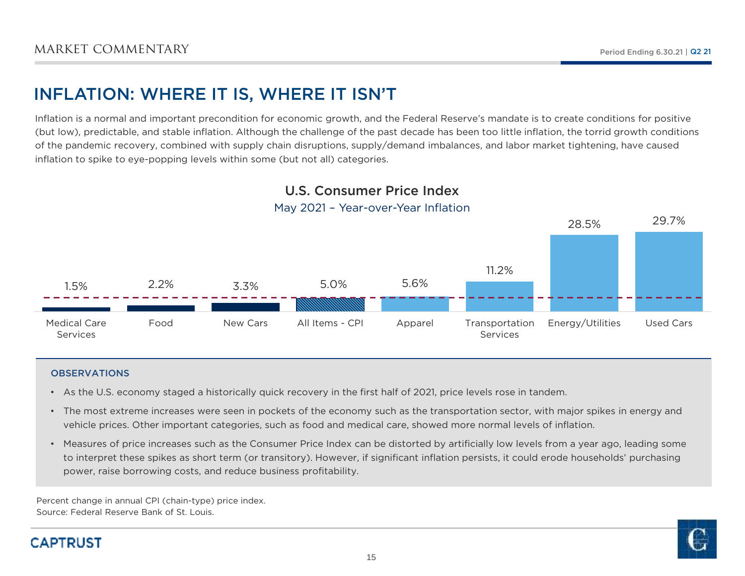# INFLATION: WHERE IT IS, WHERE IT ISN'T

Inflation is a normal and important precondition for economic growth, and the Federal Reserve's mandate is to create conditions for positive (but low), predictable, and stable inflation. Although the challenge of the past decade has been too little inflation, the torrid growth conditions of the pandemic recovery, combined with supply chain disruptions, supply/demand imbalances, and labor market tightening, have caused inflation to spike to eye-popping levels within some (but not all) categories.



# U.S. Consumer Price Index

## May 2021 – Year-over-Year Inflation

### **OBSERVATIONS**

- As the U.S. economy staged a historically quick recovery in the first half of 2021, price levels rose in tandem.
- The most extreme increases were seen in pockets of the economy such as the transportation sector, with major spikes in energy and vehicle prices. Other important categories, such as food and medical care, showed more normal levels of inflation.
- Measures of price increases such as the Consumer Price Index can be distorted by artificially low levels from a year ago, leading some to interpret these spikes as short term (or transitory). However, if significant inflation persists, it could erode households' purchasing power, raise borrowing costs, and reduce business profitability.

Percent change in annual CPI (chain-type) price index.Source: Federal Reserve Bank of St. Louis.

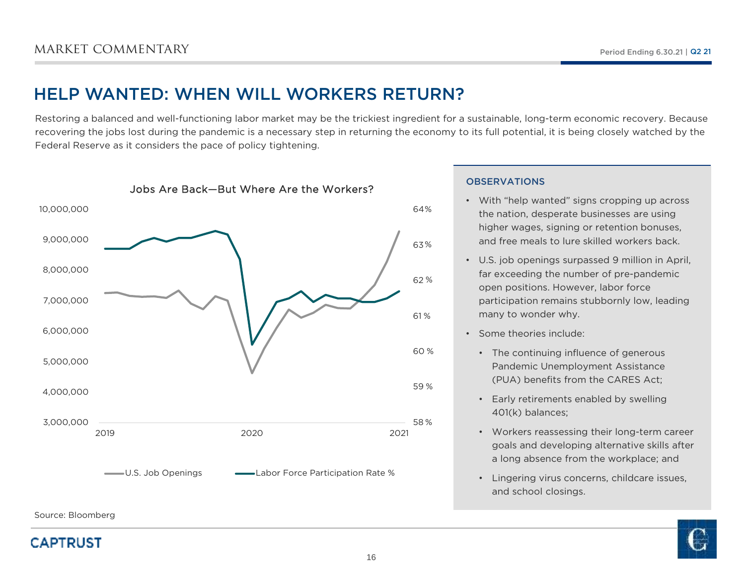# HELP WANTED: WHEN WILL WORKERS RETURN?

Restoring a balanced and well-functioning labor market may be the trickiest ingredient for a sustainable, long-term economic recovery. Because recovering the jobs lost during the pandemic is a necessary step in returning the economy to its full potential, it is being closely watched by the Federal Reserve as it considers the pace of policy tightening.



### **OBSERVATIONS**

- With "help wanted" signs cropping up across the nation, desperate businesses are using higher wages, signing or retention bonuses, and free meals to lure skilled workers back.
- U.S. job openings surpassed 9 million in April, far exceeding the number of pre-pandemic open positions. However, labor force participation remains stubbornly low, leading many to wonder why.
- Some theories include:
	- The continuing influence of generous Pandemic Unemployment Assistance (PUA) benefits from the CARES Act;
	- Early retirements enabled by swelling 401(k) balances;
	- Workers reassessing their long-term career goals and developing alternative skills after a long absence from the workplace; and
	- Lingering virus concerns, childcare issues, and school closings.



Source: Bloomberg

## **CAPTRUST**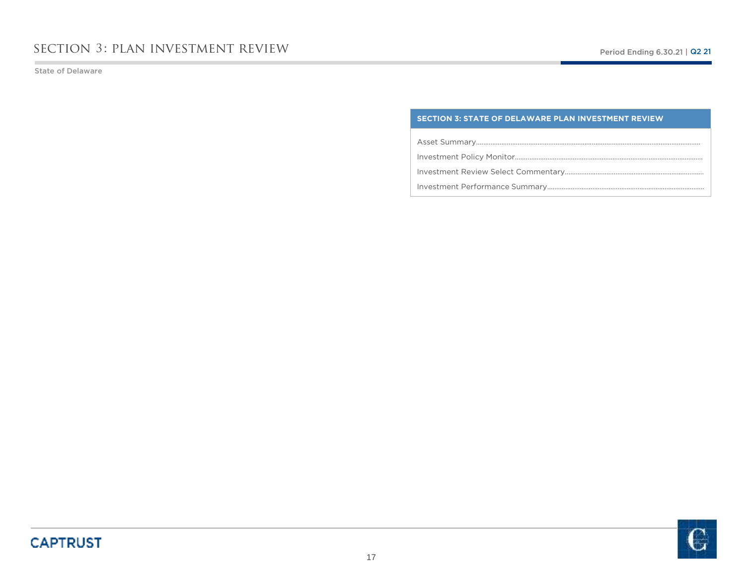State of Delaware

### **SECTION 3: STATE OF DELAWARE PLAN INVESTMENT REVIEW**

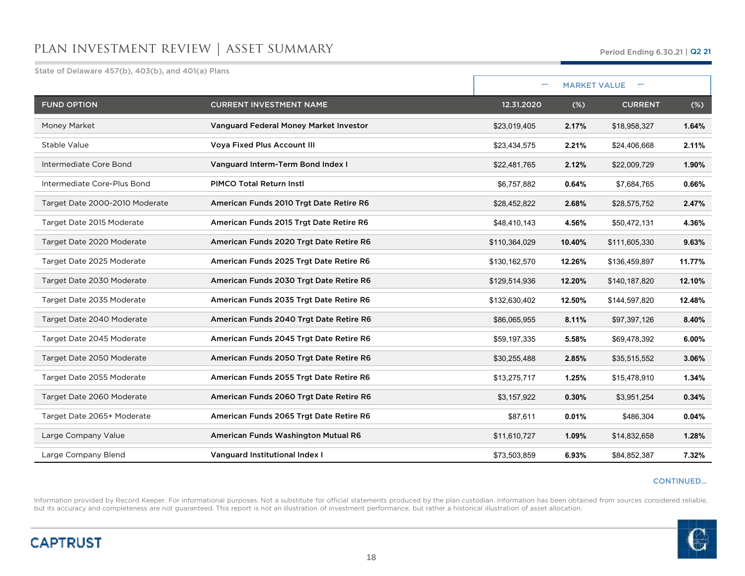State of Delaware 457(b), 403(b), and 401(a) Plans

| Period Ending 6.30.21   Q2 21 |
|-------------------------------|
|                               |

|                                |                                         | -             | <b>MARKET VALUE</b> |                |        |
|--------------------------------|-----------------------------------------|---------------|---------------------|----------------|--------|
| <b>FUND OPTION</b>             | <b>CURRENT INVESTMENT NAME</b>          | 12.31.2020    | (%)                 | <b>CURRENT</b> | $(\%)$ |
| Money Market                   | Vanguard Federal Money Market Investor  | \$23,019,405  | 2.17%               | \$18,958,327   | 1.64%  |
| Stable Value                   | <b>Voya Fixed Plus Account III</b>      | \$23,434,575  | 2.21%               | \$24,406,668   | 2.11%  |
| Intermediate Core Bond         | Vanguard Interm-Term Bond Index I       | \$22,481,765  | 2.12%               | \$22,009,729   | 1.90%  |
| Intermediate Core-Plus Bond    | <b>PIMCO Total Return Instl</b>         | \$6,757,882   | 0.64%               | \$7,684,765    | 0.66%  |
| Target Date 2000-2010 Moderate | American Funds 2010 Trgt Date Retire R6 | \$28,452,822  | 2.68%               | \$28,575,752   | 2.47%  |
| Target Date 2015 Moderate      | American Funds 2015 Trgt Date Retire R6 | \$48,410,143  | 4.56%               | \$50,472,131   | 4.36%  |
| Target Date 2020 Moderate      | American Funds 2020 Trgt Date Retire R6 | \$110,364,029 | 10.40%              | \$111,605,330  | 9.63%  |
| Target Date 2025 Moderate      | American Funds 2025 Trgt Date Retire R6 | \$130,162,570 | 12.26%              | \$136,459,897  | 11.77% |
| Target Date 2030 Moderate      | American Funds 2030 Trgt Date Retire R6 | \$129,514,936 | 12.20%              | \$140,187,820  | 12.10% |
| Target Date 2035 Moderate      | American Funds 2035 Trgt Date Retire R6 | \$132,630,402 | 12.50%              | \$144,597,820  | 12.48% |
| Target Date 2040 Moderate      | American Funds 2040 Trgt Date Retire R6 | \$86,065,955  | 8.11%               | \$97,397,126   | 8.40%  |
| Target Date 2045 Moderate      | American Funds 2045 Trgt Date Retire R6 | \$59,197,335  | 5.58%               | \$69,478,392   | 6.00%  |
| Target Date 2050 Moderate      | American Funds 2050 Trgt Date Retire R6 | \$30,255,488  | 2.85%               | \$35,515,552   | 3.06%  |
| Target Date 2055 Moderate      | American Funds 2055 Trgt Date Retire R6 | \$13,275,717  | 1.25%               | \$15,478,910   | 1.34%  |
| Target Date 2060 Moderate      | American Funds 2060 Trgt Date Retire R6 | \$3,157,922   | 0.30%               | \$3,951,254    | 0.34%  |
| Target Date 2065+ Moderate     | American Funds 2065 Trgt Date Retire R6 | \$87,611      | 0.01%               | \$486,304      | 0.04%  |
| Large Company Value            | American Funds Washington Mutual R6     | \$11,610,727  | 1.09%               | \$14,832,658   | 1.28%  |
| Large Company Blend            | Vanguard Institutional Index I          | \$73,503,859  | 6.93%               | \$84,852,387   | 7.32%  |

### CONTINUED…

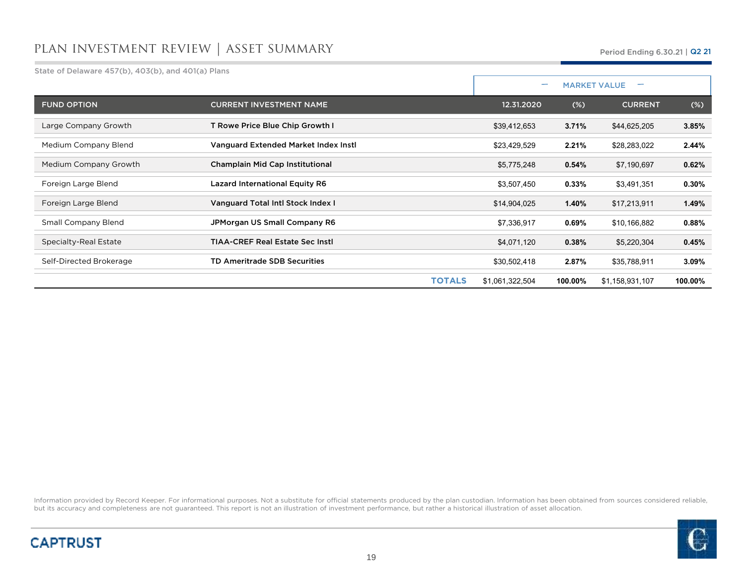State of Delaware 457(b), 403(b), and 401(a) Plans

Period Ending 6.30.21 <sup>|</sup> Q2 21

|                         |                                        |                 | $\overline{\phantom{0}}$ | <b>MARKET VALUE</b> |          |
|-------------------------|----------------------------------------|-----------------|--------------------------|---------------------|----------|
| <b>FUND OPTION</b>      | <b>CURRENT INVESTMENT NAME</b>         | 12.31.2020      | $(\%)$                   | <b>CURRENT</b>      | $(\%)$   |
| Large Company Growth    | T Rowe Price Blue Chip Growth I        | \$39,412,653    | 3.71%                    | \$44,625,205        | 3.85%    |
| Medium Company Blend    | Vanguard Extended Market Index Instl   | \$23,429,529    | 2.21%                    | \$28,283,022        | 2.44%    |
| Medium Company Growth   | Champlain Mid Cap Institutional        | \$5,775,248     | 0.54%                    | \$7,190,697         | 0.62%    |
| Foreign Large Blend     | <b>Lazard International Equity R6</b>  | \$3,507,450     | 0.33%                    | \$3,491,351         | $0.30\%$ |
| Foreign Large Blend     | Vanguard Total Intl Stock Index I      | \$14,904,025    | 1.40%                    | \$17,213,911        | 1.49%    |
| Small Company Blend     | JPMorgan US Small Company R6           | \$7,336,917     | 0.69%                    | \$10,166,882        | 0.88%    |
| Specialty-Real Estate   | <b>TIAA-CREF Real Estate Sec Instl</b> | \$4,071,120     | 0.38%                    | \$5,220,304         | 0.45%    |
| Self-Directed Brokerage | <b>TD Ameritrade SDB Securities</b>    | \$30,502,418    | 2.87%                    | \$35,788,911        | 3.09%    |
|                         | <b>TOTALS</b>                          | \$1,061,322,504 | 100.00%                  | \$1,158,931,107     | 100.00%  |



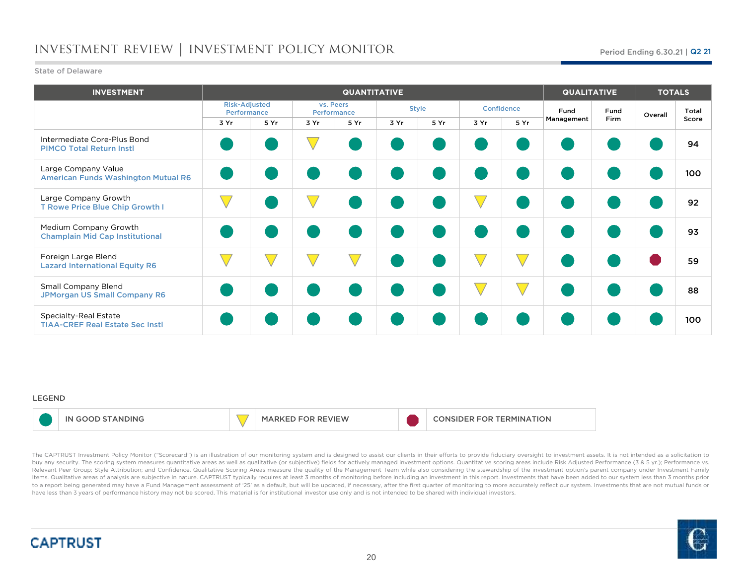# investment review | investment policy monitor

### State of Delaware

| <b>INVESTMENT</b>                                                 |                                     |      |           | <b>QUANTITATIVE</b> |      |              |      |               | <b>QUALITATIVE</b> |             | <b>TOTALS</b> |       |
|-------------------------------------------------------------------|-------------------------------------|------|-----------|---------------------|------|--------------|------|---------------|--------------------|-------------|---------------|-------|
|                                                                   | <b>Risk-Adjusted</b><br>Performance |      | vs. Peers | Performance         |      | <b>Style</b> |      | Confidence    | Fund               | Fund        | Overall       | Total |
|                                                                   | 3 Yr                                | 5 Yr | 3 Yr      | 5 Yr                | 3 Yr | 5 Yr         | 3 Yr | 5 Yr          | Management         | <b>Firm</b> |               | Score |
| Intermediate Core-Plus Bond<br><b>PIMCO Total Return Instl</b>    |                                     |      |           |                     |      |              |      |               |                    |             |               | 94    |
| Large Company Value<br><b>American Funds Washington Mutual R6</b> |                                     |      |           |                     |      |              |      |               |                    |             |               | 100   |
| Large Company Growth<br>T Rowe Price Blue Chip Growth I           |                                     |      |           |                     |      |              |      |               |                    |             |               | 92    |
| Medium Company Growth<br><b>Champlain Mid Cap Institutional</b>   |                                     |      |           |                     |      |              |      |               |                    |             |               | 93    |
| Foreign Large Blend<br><b>Lazard International Equity R6</b>      |                                     |      |           |                     |      |              |      |               |                    |             |               | 59    |
| <b>Small Company Blend</b><br><b>JPMorgan US Small Company R6</b> |                                     |      |           |                     |      |              |      | $\rightarrow$ |                    |             |               | 88    |
| Specialty-Real Estate<br><b>TIAA-CREF Real Estate Sec Instl</b>   |                                     |      |           |                     |      |              |      |               |                    |             |               | 100   |

### LEGEND

|  | ≏ 31 N.L |  | /ו⊏/∧ |  | ERMINATION<br>- EN<br>. |
|--|----------|--|-------|--|-------------------------|
|--|----------|--|-------|--|-------------------------|

The CAPTRUST Investment Policy Monitor ("Scorecard") is an illustration of our monitoring system and is designed to assist our clients in their efforts to provide fiduciary oversight to investment assets. It is not intende buy any security. The scoring system measures quantitative areas as well as qualitative (or subjective) fields for actively managed investment options. Quantitative scoring areas include Risk Adjusted Performance (3 & 5 yr Relevant Peer Group; Style Attribution; and Confidence. Qualitative Scoring Areas measure the quality of the Management Team while also considering the stewardship of the investment option's parent company under Investment ltems. Qualitative areas of analysis are subjective in nature. CAPTRUST typically requires at least 3 months of monitoring before including an investment in this report. Investments that have been added to our system less to a report being generated may have a Fund Management assessment of '25' as a default, but will be updated, if necessary, after the first quarter of monitoring to more accurately reflect our system. Investments that are n have less than <sup>3</sup> years of performance history may not be scored. This material is for institutional investor use only and is not intended to be shared with individual investors.

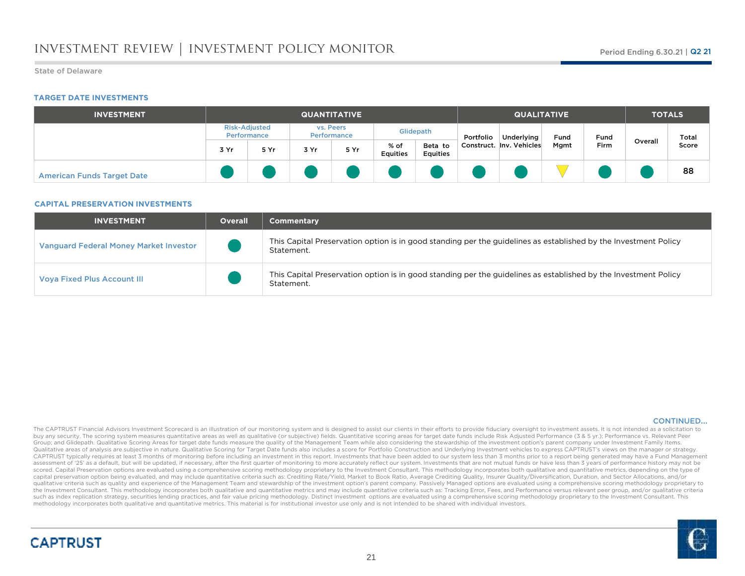### State of Delaware

### **TARGET DATE INVESTMENTS**

| <b>INVESTMENT</b>                 | <b>QUANTITATIVE</b>                 |      |      |                          |                         |                            |           | <b>QUALITATIVE</b>       |      |              |         | <b>TOTALS</b>  |  |  |
|-----------------------------------|-------------------------------------|------|------|--------------------------|-------------------------|----------------------------|-----------|--------------------------|------|--------------|---------|----------------|--|--|
|                                   | <b>Risk-Adjusted</b><br>Performance |      |      | vs. Peers<br>Performance |                         | Glidepath                  | Portfolio | Underlying               | Fund | Fund<br>Firm | Overall | Total<br>Score |  |  |
|                                   | 3 Yr                                | 5 Yr | 3 Yr | 5 Yr                     | % of<br><b>Equities</b> | Beta to<br><b>Equities</b> |           | Construct. Inv. Vehicles | Mgmt |              |         |                |  |  |
| <b>American Funds Target Date</b> |                                     |      |      |                          |                         |                            |           |                          |      |              |         | 88             |  |  |

### **CAPITAL PRESERVATION INVESTMENTS**

| <b>INVESTMENT</b>                             | <b>Overall</b> | <b>Commentary</b>                                                                                                             |
|-----------------------------------------------|----------------|-------------------------------------------------------------------------------------------------------------------------------|
| <b>Vanguard Federal Money Market Investor</b> |                | This Capital Preservation option is in good standing per the guidelines as established by the Investment Policy<br>Statement. |
| <b>Voya Fixed Plus Account III</b>            |                | This Capital Preservation option is in good standing per the guidelines as established by the Investment Policy<br>Statement. |

### CONTINUED…

The CAPTRUST Financial Advisors Investment Scorecard is an illustration of our monitoring system and is designed to assist our clients in their efforts to provide fiduciary oversight to investment assets. It is not intende buy any security. The scoring system measures quantitative areas as well as qualitative (or subjective) fields. Quantitative scoring areas for target date funds include Risk Adjusted Performance (3 & 5 yr.); Performance vs Group; and Glidepath. Qualitative Scoring Areas for target date funds measure the quality of the Management Team while also considering the stewardship of the investment option's parent company under Investment Family Item Qualitative areas of analysis are subjective in nature. Qualitative Scoring for Target Date funds also includes a score for Portfolio Construction and Underlying Investment vehicles to express CAPTRUST's views on the manag CAPTRUST typically requires at least 3 months of monitoring before including an investment in this report. Investments that have been added to our system less than 3 months prior to a report being generated may have a Fund assessment of '25' as a default, but will be updated, if necessary, after the first quarter of monitoring to more accurately reflect our system. Investments that are not mutual funds or have less than 3 years of performanc scored. Capital Preservation options are evaluated using a comprehensive scoring methodology proprietary to the Investment Consultant. This methodology incorporates both qualitative and quantitative metrics, depending on t capital preservation option being evaluated, and may include quantitative criteria such as: Crediting Rate/Yield, Market to Book Ratio, Average Crediting Quality, Insurer Quality/Diversification, Duration, and Sector Alloc qualitative criteria such as quality and experience of the Management Team and stewardship of the investment option's parent company. Passively Managed options are evaluated using a comprehensive scoring methodology propri the Investment Consultant. This methodology incorporates both qualitative and quantitative metrics and may include quantitative criteria such as: Tracking Error, Fees, and Performance versus relevant peer group, and/or qua such as index replication strategy, securities lending practices, and fair value pricing methodology. Distinct investment options are evaluated using a comprehensive scoring methodology proprietary to the Investment Consul methodology incorporates both qualitative and quantitative metrics. This material is for institutional investor use only and is not intended to be shared with individual investors.

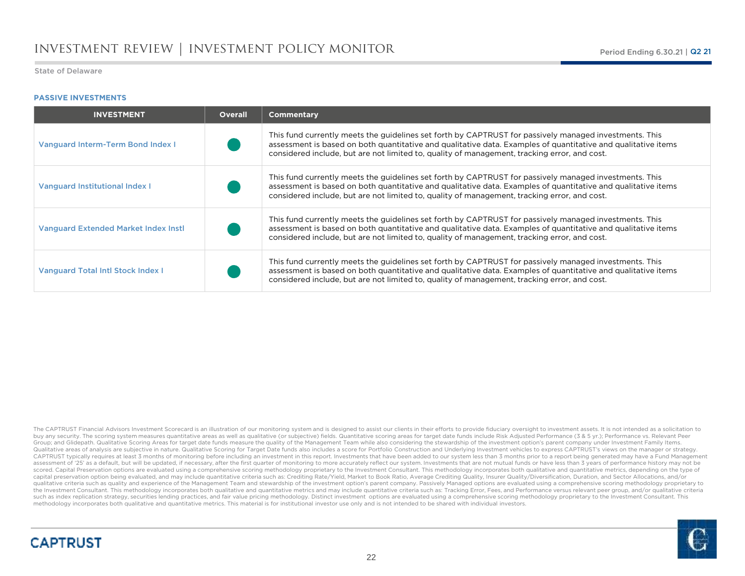### **PASSIVE INVESTMENTS**

| <b>INVESTMENT</b>                           | <b>Overall</b> | <b>Commentary</b>                                                                                                                                                                                                                                                                                                       |
|---------------------------------------------|----------------|-------------------------------------------------------------------------------------------------------------------------------------------------------------------------------------------------------------------------------------------------------------------------------------------------------------------------|
| <b>Vanguard Interm-Term Bond Index I</b>    |                | This fund currently meets the quidelines set forth by CAPTRUST for passively managed investments. This<br>assessment is based on both quantitative and qualitative data. Examples of quantitative and qualitative items<br>considered include, but are not limited to, quality of management, tracking error, and cost. |
| Vanguard Institutional Index I              |                | This fund currently meets the quidelines set forth by CAPTRUST for passively managed investments. This<br>assessment is based on both quantitative and qualitative data. Examples of quantitative and qualitative items<br>considered include, but are not limited to, quality of management, tracking error, and cost. |
| <b>Vanguard Extended Market Index Instl</b> |                | This fund currently meets the quidelines set forth by CAPTRUST for passively managed investments. This<br>assessment is based on both quantitative and qualitative data. Examples of quantitative and qualitative items<br>considered include, but are not limited to, quality of management, tracking error, and cost. |
| <b>Vanguard Total Intl Stock Index I</b>    |                | This fund currently meets the quidelines set forth by CAPTRUST for passively managed investments. This<br>assessment is based on both quantitative and qualitative data. Examples of quantitative and qualitative items<br>considered include, but are not limited to, quality of management, tracking error, and cost. |

The CAPTRUST Financial Advisors Investment Scorecard is an illustration of our monitoring system and is designed to assist our clients in their efforts to provide fiduciary oversight to investment assets. It is not intende buy any security. The scoring system measures quantitative areas as well as qualitative (or subjective) fields. Quantitative scoring areas for target date funds include Risk Adjusted Performance (3 & 5 yr.); Performance vs Group; and Glidepath. Qualitative Scoring Areas for target date funds measure the quality of the Management Team while also considering the stewardship of the investment option's parent company under Investment Family Item Qualitative areas of analysis are subjective in nature. Qualitative Scoring for Target Date funds also includes a score for Portfolio Construction and Underlying Investment vehicles to express CAPTRUST's views on the manag CAPTRUST typically requires at least 3 months of monitoring before including an investment in this report. Investments that have been added to our system less than 3 months prior to a report being generated may have a Fund assessment of '25' as a default, but will be updated, if necessary, after the first quarter of monitoring to more accurately reflect our system. Investments that are not mutual funds or have less than 3 years of performanc scored. Capital Preservation options are evaluated using a comprehensive scoring methodology proprietary to the Investment Consultant. This methodology incorporates both qualitative and quantitative metrics, depending on t capital preservation option being evaluated, and may include quantitative criteria such as: Crediting Rate/Yield, Market to Book Ratio, Average Crediting Quality, Insurer Quality/Diversification, Duration, and Sector Alloc qualitative criteria such as quality and experience of the Management Team and stewardship of the investment option's parent company. Passively Managed options are evaluated using a comprehensive scoring methodology propri the Investment Consultant. This methodology incorporates both qualitative and quantitative metrics and may include quantitative criteria such as: Tracking Error, Fees, and Performance versus relevant peer group, and/or qua such as index replication strategy, securities lending practices, and fair value pricing methodology. Distinct investment options are evaluated using a comprehensive scoring methodology proprietary to the Investment Consul methodology incorporates both qualitative and quantitative metrics. This material is for institutional investor use only and is not intended to be shared with individual investors.





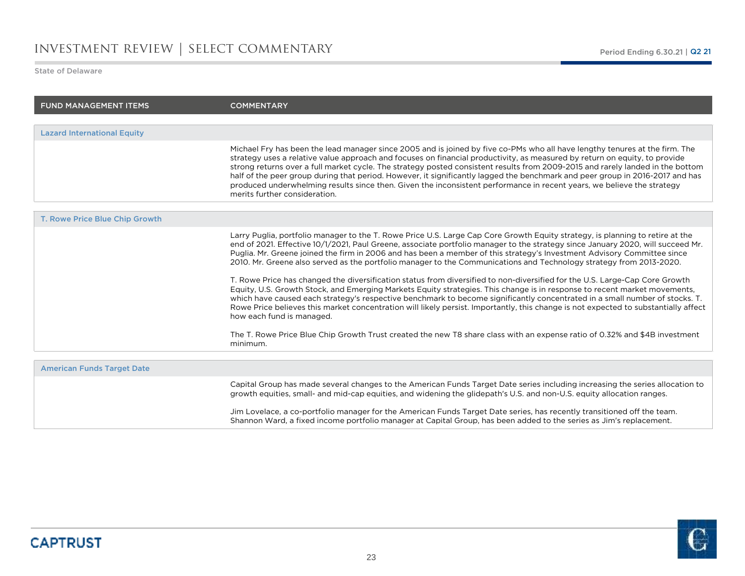## investment review | select commentary

State of Delaware

| <b>FUND MANAGEMENT ITEMS</b>       | <b>COMMENTARY</b>                                                                                                                                                                                                                                                                                                                                                                                                                                                                                                                                                                                                                                                                                                                                                                                                                                                                                                                                                                                                                                                                                                                                                                                                           |
|------------------------------------|-----------------------------------------------------------------------------------------------------------------------------------------------------------------------------------------------------------------------------------------------------------------------------------------------------------------------------------------------------------------------------------------------------------------------------------------------------------------------------------------------------------------------------------------------------------------------------------------------------------------------------------------------------------------------------------------------------------------------------------------------------------------------------------------------------------------------------------------------------------------------------------------------------------------------------------------------------------------------------------------------------------------------------------------------------------------------------------------------------------------------------------------------------------------------------------------------------------------------------|
|                                    |                                                                                                                                                                                                                                                                                                                                                                                                                                                                                                                                                                                                                                                                                                                                                                                                                                                                                                                                                                                                                                                                                                                                                                                                                             |
| <b>Lazard International Equity</b> |                                                                                                                                                                                                                                                                                                                                                                                                                                                                                                                                                                                                                                                                                                                                                                                                                                                                                                                                                                                                                                                                                                                                                                                                                             |
|                                    | Michael Fry has been the lead manager since 2005 and is joined by five co-PMs who all have lengthy tenures at the firm. The<br>strategy uses a relative value approach and focuses on financial productivity, as measured by return on equity, to provide<br>strong returns over a full market cycle. The strategy posted consistent results from 2009-2015 and rarely landed in the bottom<br>half of the peer group during that period. However, it significantly lagged the benchmark and peer group in 2016-2017 and has<br>produced underwhelming results since then. Given the inconsistent performance in recent years, we believe the strategy<br>merits further consideration.                                                                                                                                                                                                                                                                                                                                                                                                                                                                                                                                     |
|                                    |                                                                                                                                                                                                                                                                                                                                                                                                                                                                                                                                                                                                                                                                                                                                                                                                                                                                                                                                                                                                                                                                                                                                                                                                                             |
| T. Rowe Price Blue Chip Growth     |                                                                                                                                                                                                                                                                                                                                                                                                                                                                                                                                                                                                                                                                                                                                                                                                                                                                                                                                                                                                                                                                                                                                                                                                                             |
|                                    | Larry Puglia, portfolio manager to the T. Rowe Price U.S. Large Cap Core Growth Equity strategy, is planning to retire at the<br>end of 2021. Effective 10/1/2021, Paul Greene, associate portfolio manager to the strategy since January 2020, will succeed Mr.<br>Puglia. Mr. Greene joined the firm in 2006 and has been a member of this strategy's Investment Advisory Committee since<br>2010. Mr. Greene also served as the portfolio manager to the Communications and Technology strategy from 2013-2020.<br>T. Rowe Price has changed the diversification status from diversified to non-diversified for the U.S. Large-Cap Core Growth<br>Equity, U.S. Growth Stock, and Emerging Markets Equity strategies. This change is in response to recent market movements,<br>which have caused each strategy's respective benchmark to become significantly concentrated in a small number of stocks. T.<br>Rowe Price believes this market concentration will likely persist. Importantly, this change is not expected to substantially affect<br>how each fund is managed.<br>The T. Rowe Price Blue Chip Growth Trust created the new T8 share class with an expense ratio of 0.32% and \$4B investment<br>minimum. |
|                                    |                                                                                                                                                                                                                                                                                                                                                                                                                                                                                                                                                                                                                                                                                                                                                                                                                                                                                                                                                                                                                                                                                                                                                                                                                             |
| <b>American Funds Target Date</b>  |                                                                                                                                                                                                                                                                                                                                                                                                                                                                                                                                                                                                                                                                                                                                                                                                                                                                                                                                                                                                                                                                                                                                                                                                                             |
|                                    | Capital Group has made several changes to the American Funds Target Date series including increasing the series allocation to<br>growth equities, small- and mid-cap equities, and widening the glidepath's U.S. and non-U.S. equity allocation ranges.                                                                                                                                                                                                                                                                                                                                                                                                                                                                                                                                                                                                                                                                                                                                                                                                                                                                                                                                                                     |

Jim Lovelace, a co-portfolio manager for the American Funds Target Date series, has recently transitioned off the team.<br>Shannon Ward, a fixed income portfolio manager at Capital Group, has been added to the series as Jim's

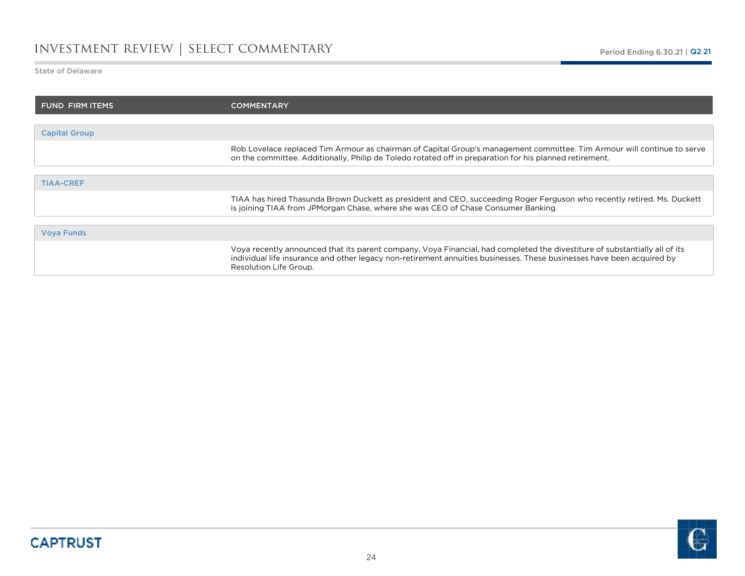# investment review | select commentary

State of Delaware

o.

| <b>FUND FIRM ITEMS</b> | <b>COMMENTARY</b>                                                                                                                                                                                                                                                              |
|------------------------|--------------------------------------------------------------------------------------------------------------------------------------------------------------------------------------------------------------------------------------------------------------------------------|
|                        |                                                                                                                                                                                                                                                                                |
| <b>Capital Group</b>   |                                                                                                                                                                                                                                                                                |
|                        | Rob Lovelace replaced Tim Armour as chairman of Capital Group's management committee. Tim Armour will continue to serve<br>on the committee. Additionally, Philip de Toledo rotated off in preparation for his planned retirement.                                             |
|                        |                                                                                                                                                                                                                                                                                |
| <b>TIAA-CREF</b>       |                                                                                                                                                                                                                                                                                |
|                        | TIAA has hired Thasunda Brown Duckett as president and CEO, succeeding Roger Ferguson who recently retired. Ms. Duckett<br>is joining TIAA from JPMorgan Chase, where she was CEO of Chase Consumer Banking.                                                                   |
|                        |                                                                                                                                                                                                                                                                                |
| <b>Vova Funds</b>      |                                                                                                                                                                                                                                                                                |
|                        | Voya recently announced that its parent company, Voya Financial, had completed the divestiture of substantially all of its<br>individual life insurance and other legacy non-retirement annuities businesses. These businesses have been acquired by<br>Resolution Life Group. |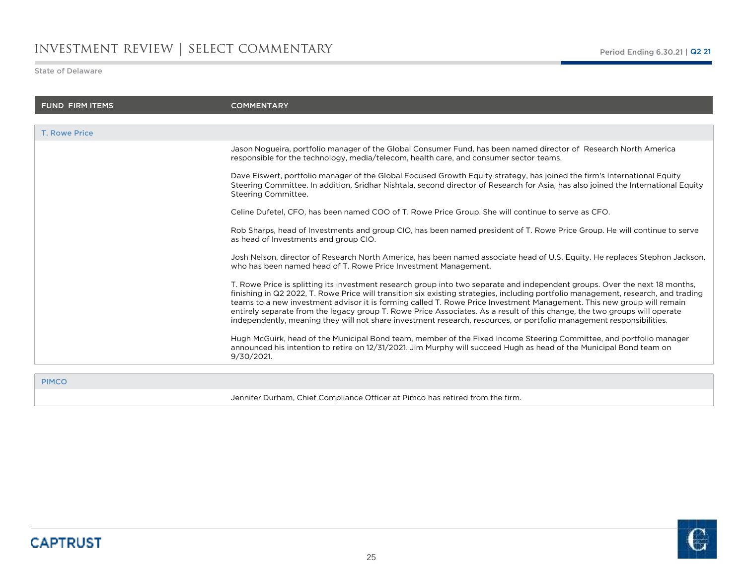## investment review | select commentary

State of Delaware

| <b>FUND FIRM ITEMS</b> | <b>COMMENTARY</b>                                                                                                                                                                                                                                                                                                                                                                                                                                                                                                                                                                                                                                |
|------------------------|--------------------------------------------------------------------------------------------------------------------------------------------------------------------------------------------------------------------------------------------------------------------------------------------------------------------------------------------------------------------------------------------------------------------------------------------------------------------------------------------------------------------------------------------------------------------------------------------------------------------------------------------------|
|                        |                                                                                                                                                                                                                                                                                                                                                                                                                                                                                                                                                                                                                                                  |
| <b>T. Rowe Price</b>   |                                                                                                                                                                                                                                                                                                                                                                                                                                                                                                                                                                                                                                                  |
|                        | Jason Nogueira, portfolio manager of the Global Consumer Fund, has been named director of Research North America<br>responsible for the technology, media/telecom, health care, and consumer sector teams.                                                                                                                                                                                                                                                                                                                                                                                                                                       |
|                        | Dave Eiswert, portfolio manager of the Global Focused Growth Equity strategy, has joined the firm's International Equity<br>Steering Committee. In addition, Sridhar Nishtala, second director of Research for Asia, has also joined the International Equity<br>Steering Committee.                                                                                                                                                                                                                                                                                                                                                             |
|                        | Celine Dufetel, CFO, has been named COO of T. Rowe Price Group. She will continue to serve as CFO.                                                                                                                                                                                                                                                                                                                                                                                                                                                                                                                                               |
|                        | Rob Sharps, head of Investments and group CIO, has been named president of T. Rowe Price Group. He will continue to serve<br>as head of Investments and group CIO.                                                                                                                                                                                                                                                                                                                                                                                                                                                                               |
|                        | Josh Nelson, director of Research North America, has been named associate head of U.S. Equity. He replaces Stephon Jackson,<br>who has been named head of T. Rowe Price Investment Management.                                                                                                                                                                                                                                                                                                                                                                                                                                                   |
|                        | T. Rowe Price is splitting its investment research group into two separate and independent groups. Over the next 18 months,<br>finishing in Q2 2022, T. Rowe Price will transition six existing strategies, including portfolio management, research, and trading<br>teams to a new investment advisor it is forming called T. Rowe Price Investment Management. This new group will remain<br>entirely separate from the legacy group T. Rowe Price Associates. As a result of this change, the two groups will operate<br>independently, meaning they will not share investment research, resources, or portfolio management responsibilities. |

Hugh McGuirk, head of the Municipal Bond team, member of the Fixed Income Steering Committee, and portfolio manager announced his intention to retire on 12/31/2021. Jim Murphy will succeed Hugh as head of the Municipal Bond team on 9/30/2021.

PIMCO

Jennifer Durham, Chief Compliance Officer at Pimco has retired from the firm.

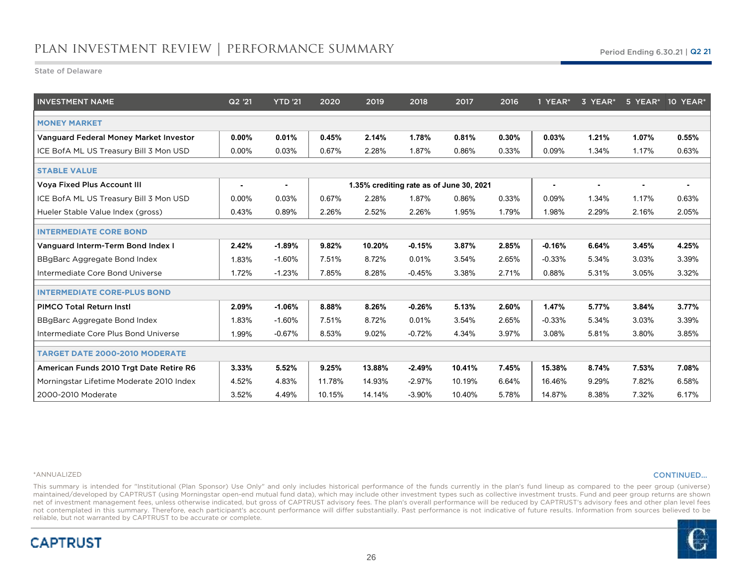State of Delaware

| <b>INVESTMENT NAME</b>                   | Q2 '21   | <b>YTD '21</b> | 2020   | 2019   | 2018     | 2017                                     | 2016  | 1 YEAR*        | 3 YEAR* |       | 5 YEAR* 10 YEAR* |
|------------------------------------------|----------|----------------|--------|--------|----------|------------------------------------------|-------|----------------|---------|-------|------------------|
| <b>MONEY MARKET</b>                      |          |                |        |        |          |                                          |       |                |         |       |                  |
| Vanguard Federal Money Market Investor   | $0.00\%$ | 0.01%          | 0.45%  | 2.14%  | 1.78%    | 0.81%                                    | 0.30% | 0.03%          | 1.21%   | 1.07% | 0.55%            |
| ICE BofA ML US Treasury Bill 3 Mon USD   | $0.00\%$ | 0.03%          | 0.67%  | 2.28%  | 1.87%    | 0.86%                                    | 0.33% | 0.09%          | 1.34%   | 1.17% | 0.63%            |
| <b>STABLE VALUE</b>                      |          |                |        |        |          |                                          |       |                |         |       |                  |
| <b>Voya Fixed Plus Account III</b>       |          | ٠              |        |        |          | 1.35% crediting rate as of June 30, 2021 |       | $\blacksquare$ |         |       |                  |
| ICE BofA ML US Treasury Bill 3 Mon USD   | $0.00\%$ | 0.03%          | 0.67%  | 2.28%  | 1.87%    | 0.86%                                    | 0.33% | 0.09%          | 1.34%   | 1.17% | 0.63%            |
| Hueler Stable Value Index (gross)        | 0.43%    | 0.89%          | 2.26%  | 2.52%  | 2.26%    | 1.95%                                    | 1.79% | 1.98%          | 2.29%   | 2.16% | 2.05%            |
| <b>INTERMEDIATE CORE BOND</b>            |          |                |        |        |          |                                          |       |                |         |       |                  |
| Vanguard Interm-Term Bond Index I        | 2.42%    | $-1.89%$       | 9.82%  | 10.20% | $-0.15%$ | 3.87%                                    | 2.85% | $-0.16%$       | 6.64%   | 3.45% | 4.25%            |
| BBgBarc Aggregate Bond Index             | 1.83%    | $-1.60%$       | 7.51%  | 8.72%  | 0.01%    | 3.54%                                    | 2.65% | $-0.33%$       | 5.34%   | 3.03% | 3.39%            |
| Intermediate Core Bond Universe          | 1.72%    | $-1.23%$       | 7.85%  | 8.28%  | $-0.45%$ | 3.38%                                    | 2.71% | 0.88%          | 5.31%   | 3.05% | 3.32%            |
| <b>INTERMEDIATE CORE-PLUS BOND</b>       |          |                |        |        |          |                                          |       |                |         |       |                  |
| <b>PIMCO Total Return Instl</b>          | 2.09%    | $-1.06%$       | 8.88%  | 8.26%  | $-0.26%$ | 5.13%                                    | 2.60% | 1.47%          | 5.77%   | 3.84% | 3.77%            |
| BBgBarc Aggregate Bond Index             | 1.83%    | $-1.60%$       | 7.51%  | 8.72%  | 0.01%    | 3.54%                                    | 2.65% | $-0.33%$       | 5.34%   | 3.03% | 3.39%            |
| Intermediate Core Plus Bond Universe     | 1.99%    | $-0.67%$       | 8.53%  | 9.02%  | $-0.72%$ | 4.34%                                    | 3.97% | 3.08%          | 5.81%   | 3.80% | 3.85%            |
| <b>TARGET DATE 2000-2010 MODERATE</b>    |          |                |        |        |          |                                          |       |                |         |       |                  |
| American Funds 2010 Trgt Date Retire R6  | 3.33%    | 5.52%          | 9.25%  | 13.88% | $-2.49%$ | 10.41%                                   | 7.45% | 15.38%         | 8.74%   | 7.53% | 7.08%            |
| Morningstar Lifetime Moderate 2010 Index | 4.52%    | 4.83%          | 11.78% | 14.93% | $-2.97%$ | 10.19%                                   | 6.64% | 16.46%         | 9.29%   | 7.82% | 6.58%            |
| 2000-2010 Moderate                       | 3.52%    | 4.49%          | 10.15% | 14.14% | $-3.90%$ | 10.40%                                   | 5.78% | 14.87%         | 8.38%   | 7.32% | 6.17%            |

#### \*ANNUALIZED

**CAPTRUST** 

### CONTINUED…

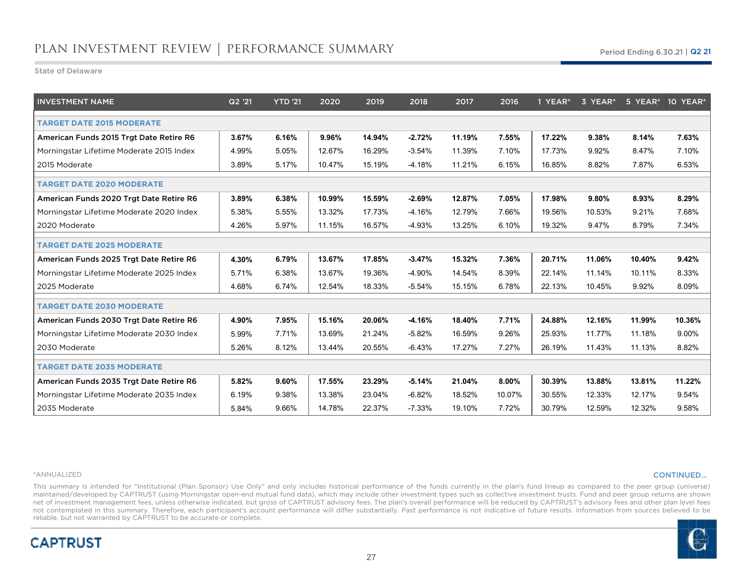State of Delaware

| <b>INVESTMENT NAME</b>                   | Q2 '21 | <b>YTD</b> '21 | 2020   | 2019   | 2018     | 2017   | 2016   | 1 YEAR* | 3 YEAR* | 5 YEAR* | 10 YEAR* |
|------------------------------------------|--------|----------------|--------|--------|----------|--------|--------|---------|---------|---------|----------|
| <b>TARGET DATE 2015 MODERATE</b>         |        |                |        |        |          |        |        |         |         |         |          |
| American Funds 2015 Trgt Date Retire R6  | 3.67%  | 6.16%          | 9.96%  | 14.94% | $-2.72%$ | 11.19% | 7.55%  | 17.22%  | 9.38%   | 8.14%   | 7.63%    |
| Morningstar Lifetime Moderate 2015 Index | 4.99%  | 5.05%          | 12.67% | 16.29% | $-3.54%$ | 11.39% | 7.10%  | 17.73%  | 9.92%   | 8.47%   | 7.10%    |
| 2015 Moderate                            | 3.89%  | 5.17%          | 10.47% | 15.19% | $-4.18%$ | 11.21% | 6.15%  | 16.85%  | 8.82%   | 7.87%   | 6.53%    |
| <b>TARGET DATE 2020 MODERATE</b>         |        |                |        |        |          |        |        |         |         |         |          |
| American Funds 2020 Trgt Date Retire R6  | 3.89%  | 6.38%          | 10.99% | 15.59% | $-2.69%$ | 12.87% | 7.05%  | 17.98%  | 9.80%   | 8.93%   | 8.29%    |
| Morningstar Lifetime Moderate 2020 Index | 5.38%  | 5.55%          | 13.32% | 17.73% | $-4.16%$ | 12.79% | 7.66%  | 19.56%  | 10.53%  | 9.21%   | 7.68%    |
| 2020 Moderate                            | 4.26%  | 5.97%          | 11.15% | 16.57% | $-4.93%$ | 13.25% | 6.10%  | 19.32%  | 9.47%   | 8.79%   | 7.34%    |
| <b>TARGET DATE 2025 MODERATE</b>         |        |                |        |        |          |        |        |         |         |         |          |
| American Funds 2025 Trgt Date Retire R6  | 4.30%  | 6.79%          | 13.67% | 17.85% | $-3.47%$ | 15.32% | 7.36%  | 20.71%  | 11.06%  | 10.40%  | 9.42%    |
| Morningstar Lifetime Moderate 2025 Index | 5.71%  | 6.38%          | 13.67% | 19.36% | $-4.90%$ | 14.54% | 8.39%  | 22.14%  | 11.14%  | 10.11%  | 8.33%    |
| 2025 Moderate                            | 4.68%  | 6.74%          | 12.54% | 18.33% | $-5.54%$ | 15.15% | 6.78%  | 22.13%  | 10.45%  | 9.92%   | 8.09%    |
| <b>TARGET DATE 2030 MODERATE</b>         |        |                |        |        |          |        |        |         |         |         |          |
| American Funds 2030 Trgt Date Retire R6  | 4.90%  | 7.95%          | 15.16% | 20.06% | $-4.16%$ | 18.40% | 7.71%  | 24.88%  | 12.16%  | 11.99%  | 10.36%   |
| Morningstar Lifetime Moderate 2030 Index | 5.99%  | 7.71%          | 13.69% | 21.24% | $-5.82%$ | 16.59% | 9.26%  | 25.93%  | 11.77%  | 11.18%  | 9.00%    |
| 2030 Moderate                            | 5.26%  | 8.12%          | 13.44% | 20.55% | $-6.43%$ | 17.27% | 7.27%  | 26.19%  | 11.43%  | 11.13%  | 8.82%    |
| <b>TARGET DATE 2035 MODERATE</b>         |        |                |        |        |          |        |        |         |         |         |          |
| American Funds 2035 Trgt Date Retire R6  | 5.82%  | 9.60%          | 17.55% | 23.29% | $-5.14%$ | 21.04% | 8.00%  | 30.39%  | 13.88%  | 13.81%  | 11.22%   |
| Morningstar Lifetime Moderate 2035 Index | 6.19%  | 9.38%          | 13.38% | 23.04% | $-6.82%$ | 18.52% | 10.07% | 30.55%  | 12.33%  | 12.17%  | 9.54%    |
| 2035 Moderate                            | 5.84%  | 9.66%          | 14.78% | 22.37% | $-7.33%$ | 19.10% | 7.72%  | 30.79%  | 12.59%  | 12.32%  | 9.58%    |

#### \*ANNUALIZED

**CAPTRUST** 

### CONTINUED…

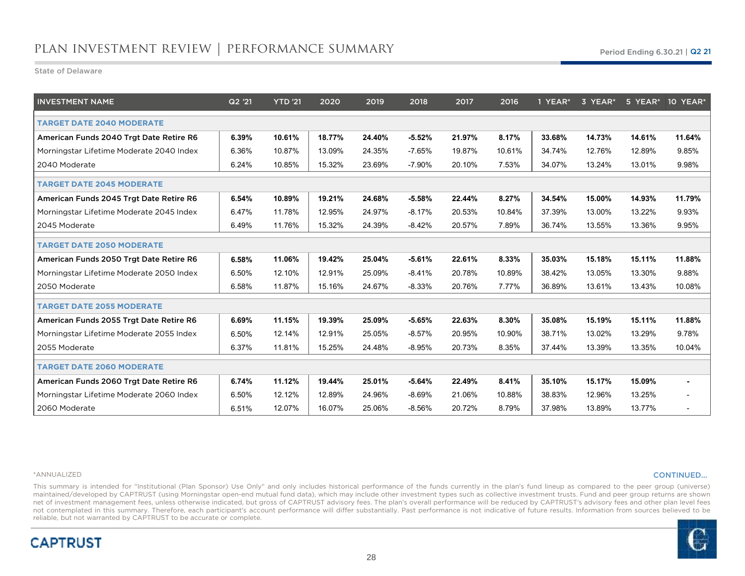State of Delaware

| <b>INVESTMENT NAME</b>                   | Q2 '21 | <b>YTD '21</b> | 2020   | 2019   | 2018     | 2017   | 2016   | 1 YEAR* | 3 YEAR* |        | 5 YEAR* 10 YEAR*         |
|------------------------------------------|--------|----------------|--------|--------|----------|--------|--------|---------|---------|--------|--------------------------|
| <b>TARGET DATE 2040 MODERATE</b>         |        |                |        |        |          |        |        |         |         |        |                          |
| American Funds 2040 Trgt Date Retire R6  | 6.39%  | 10.61%         | 18.77% | 24.40% | $-5.52%$ | 21.97% | 8.17%  | 33.68%  | 14.73%  | 14.61% | 11.64%                   |
| Morningstar Lifetime Moderate 2040 Index | 6.36%  | 10.87%         | 13.09% | 24.35% | $-7.65%$ | 19.87% | 10.61% | 34.74%  | 12.76%  | 12.89% | 9.85%                    |
| 2040 Moderate                            | 6.24%  | 10.85%         | 15.32% | 23.69% | $-7.90%$ | 20.10% | 7.53%  | 34.07%  | 13.24%  | 13.01% | 9.98%                    |
| <b>TARGET DATE 2045 MODERATE</b>         |        |                |        |        |          |        |        |         |         |        |                          |
| American Funds 2045 Trgt Date Retire R6  | 6.54%  | 10.89%         | 19.21% | 24.68% | $-5.58%$ | 22.44% | 8.27%  | 34.54%  | 15.00%  | 14.93% | 11.79%                   |
| Morningstar Lifetime Moderate 2045 Index | 6.47%  | 11.78%         | 12.95% | 24.97% | $-8.17%$ | 20.53% | 10.84% | 37.39%  | 13.00%  | 13.22% | 9.93%                    |
| 2045 Moderate                            | 6.49%  | 11.76%         | 15.32% | 24.39% | $-8.42%$ | 20.57% | 7.89%  | 36.74%  | 13.55%  | 13.36% | 9.95%                    |
| <b>TARGET DATE 2050 MODERATE</b>         |        |                |        |        |          |        |        |         |         |        |                          |
| American Funds 2050 Trgt Date Retire R6  | 6.58%  | 11.06%         | 19.42% | 25.04% | $-5.61%$ | 22.61% | 8.33%  | 35.03%  | 15.18%  | 15.11% | 11.88%                   |
| Morningstar Lifetime Moderate 2050 Index | 6.50%  | 12.10%         | 12.91% | 25.09% | $-8.41%$ | 20.78% | 10.89% | 38.42%  | 13.05%  | 13.30% | 9.88%                    |
| 2050 Moderate                            | 6.58%  | 11.87%         | 15.16% | 24.67% | $-8.33%$ | 20.76% | 7.77%  | 36.89%  | 13.61%  | 13.43% | 10.08%                   |
| <b>TARGET DATE 2055 MODERATE</b>         |        |                |        |        |          |        |        |         |         |        |                          |
| American Funds 2055 Trgt Date Retire R6  | 6.69%  | 11.15%         | 19.39% | 25.09% | $-5.65%$ | 22.63% | 8.30%  | 35.08%  | 15.19%  | 15.11% | 11.88%                   |
| Morningstar Lifetime Moderate 2055 Index | 6.50%  | 12.14%         | 12.91% | 25.05% | $-8.57%$ | 20.95% | 10.90% | 38.71%  | 13.02%  | 13.29% | 9.78%                    |
| 2055 Moderate                            | 6.37%  | 11.81%         | 15.25% | 24.48% | $-8.95%$ | 20.73% | 8.35%  | 37.44%  | 13.39%  | 13.35% | 10.04%                   |
| <b>TARGET DATE 2060 MODERATE</b>         |        |                |        |        |          |        |        |         |         |        |                          |
| American Funds 2060 Trgt Date Retire R6  | 6.74%  | 11.12%         | 19.44% | 25.01% | $-5.64%$ | 22.49% | 8.41%  | 35.10%  | 15.17%  | 15.09% | $\blacksquare$           |
| Morningstar Lifetime Moderate 2060 Index | 6.50%  | 12.12%         | 12.89% | 24.96% | $-8.69%$ | 21.06% | 10.88% | 38.83%  | 12.96%  | 13.25% | $\overline{\phantom{a}}$ |
| 2060 Moderate                            | 6.51%  | 12.07%         | 16.07% | 25.06% | $-8.56%$ | 20.72% | 8.79%  | 37.98%  | 13.89%  | 13.77% | $\overline{\phantom{a}}$ |

#### \*ANNUALIZED

**CAPTRUST** 

### CONTINUED…

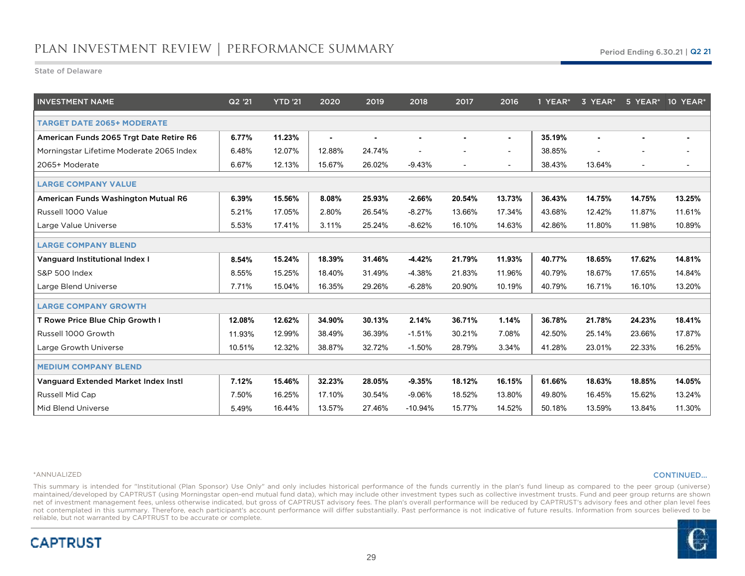State of Delaware

| <b>INVESTMENT NAME</b>                   | Q2 '21 | <b>YTD '21</b> | 2020   | 2019   | 2018      | 2017                     | 2016                     | 1 YEAR* | 3 YEAR* |                          | 5 YEAR* 10 YEAR*         |
|------------------------------------------|--------|----------------|--------|--------|-----------|--------------------------|--------------------------|---------|---------|--------------------------|--------------------------|
| <b>TARGET DATE 2065+ MODERATE</b>        |        |                |        |        |           |                          |                          |         |         |                          |                          |
| American Funds 2065 Trgt Date Retire R6  | 6.77%  | 11.23%         | ٠      |        |           |                          |                          | 35.19%  |         |                          |                          |
| Morningstar Lifetime Moderate 2065 Index | 6.48%  | 12.07%         | 12.88% | 24.74% |           |                          |                          | 38.85%  |         |                          |                          |
| 2065+ Moderate                           | 6.67%  | 12.13%         | 15.67% | 26.02% | $-9.43%$  | $\overline{\phantom{a}}$ | $\overline{\phantom{a}}$ | 38.43%  | 13.64%  | $\overline{\phantom{a}}$ | $\overline{\phantom{a}}$ |
| <b>LARGE COMPANY VALUE</b>               |        |                |        |        |           |                          |                          |         |         |                          |                          |
| American Funds Washington Mutual R6      | 6.39%  | 15.56%         | 8.08%  | 25.93% | $-2.66%$  | 20.54%                   | 13.73%                   | 36.43%  | 14.75%  | 14.75%                   | 13.25%                   |
| Russell 1000 Value                       | 5.21%  | 17.05%         | 2.80%  | 26.54% | $-8.27%$  | 13.66%                   | 17.34%                   | 43.68%  | 12.42%  | 11.87%                   | 11.61%                   |
| Large Value Universe                     | 5.53%  | 17.41%         | 3.11%  | 25.24% | $-8.62%$  | 16.10%                   | 14.63%                   | 42.86%  | 11.80%  | 11.98%                   | 10.89%                   |
| <b>LARGE COMPANY BLEND</b>               |        |                |        |        |           |                          |                          |         |         |                          |                          |
| Vanguard Institutional Index I           | 8.54%  | 15.24%         | 18.39% | 31.46% | $-4.42%$  | 21.79%                   | 11.93%                   | 40.77%  | 18.65%  | 17.62%                   | 14.81%                   |
| <b>S&amp;P 500 Index</b>                 | 8.55%  | 15.25%         | 18.40% | 31.49% | $-4.38%$  | 21.83%                   | 11.96%                   | 40.79%  | 18.67%  | 17.65%                   | 14.84%                   |
| Large Blend Universe                     | 7.71%  | 15.04%         | 16.35% | 29.26% | $-6.28%$  | 20.90%                   | 10.19%                   | 40.79%  | 16.71%  | 16.10%                   | 13.20%                   |
| <b>LARGE COMPANY GROWTH</b>              |        |                |        |        |           |                          |                          |         |         |                          |                          |
| T Rowe Price Blue Chip Growth I          | 12.08% | 12.62%         | 34.90% | 30.13% | 2.14%     | 36.71%                   | 1.14%                    | 36.78%  | 21.78%  | 24.23%                   | 18.41%                   |
| Russell 1000 Growth                      | 11.93% | 12.99%         | 38.49% | 36.39% | $-1.51%$  | 30.21%                   | 7.08%                    | 42.50%  | 25.14%  | 23.66%                   | 17.87%                   |
| Large Growth Universe                    | 10.51% | 12.32%         | 38.87% | 32.72% | $-1.50%$  | 28.79%                   | 3.34%                    | 41.28%  | 23.01%  | 22.33%                   | 16.25%                   |
| <b>MEDIUM COMPANY BLEND</b>              |        |                |        |        |           |                          |                          |         |         |                          |                          |
| Vanguard Extended Market Index Insti     | 7.12%  | 15.46%         | 32.23% | 28.05% | $-9.35%$  | 18.12%                   | 16.15%                   | 61.66%  | 18.63%  | 18.85%                   | 14.05%                   |
| Russell Mid Cap                          | 7.50%  | 16.25%         | 17.10% | 30.54% | $-9.06%$  | 18.52%                   | 13.80%                   | 49.80%  | 16.45%  | 15.62%                   | 13.24%                   |
| Mid Blend Universe                       | 5.49%  | 16.44%         | 13.57% | 27.46% | $-10.94%$ | 15.77%                   | 14.52%                   | 50.18%  | 13.59%  | 13.84%                   | 11.30%                   |

### \*ANNUALIZED

**CAPTRUST** 

### CONTINUED…

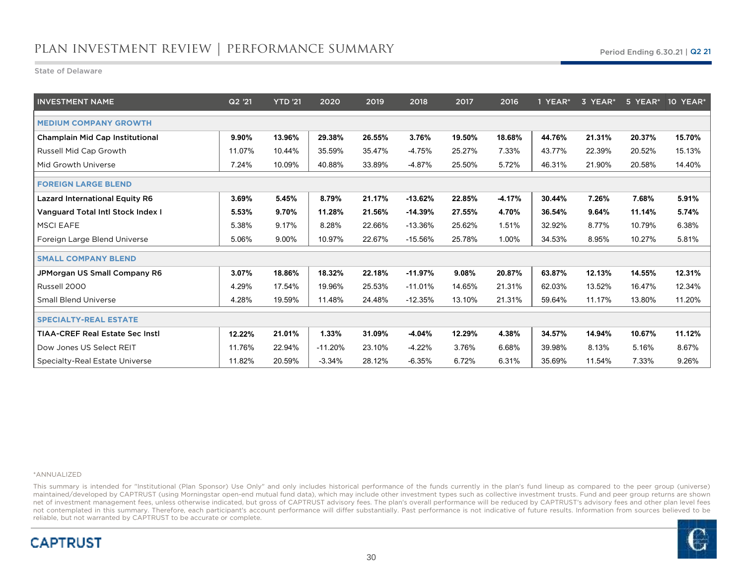State of Delaware

| <b>INVESTMENT NAME</b>                   | Q2 '21 | <b>YTD '21</b> | 2020      | 2019   | 2018      | 2017   | 2016     | 1 YEAR* | 3 YEAR* | 5 YEAR* | 10 YEAR* |
|------------------------------------------|--------|----------------|-----------|--------|-----------|--------|----------|---------|---------|---------|----------|
| <b>MEDIUM COMPANY GROWTH</b>             |        |                |           |        |           |        |          |         |         |         |          |
| <b>Champlain Mid Cap Institutional</b>   | 9.90%  | 13.96%         | 29.38%    | 26.55% | 3.76%     | 19.50% | 18.68%   | 44.76%  | 21.31%  | 20.37%  | 15.70%   |
| Russell Mid Cap Growth                   | 11.07% | 10.44%         | 35.59%    | 35.47% | -4.75%    | 25.27% | 7.33%    | 43.77%  | 22.39%  | 20.52%  | 15.13%   |
| Mid Growth Universe                      | 7.24%  | 10.09%         | 40.88%    | 33.89% | $-4.87%$  | 25.50% | 5.72%    | 46.31%  | 21.90%  | 20.58%  | 14.40%   |
| <b>FOREIGN LARGE BLEND</b>               |        |                |           |        |           |        |          |         |         |         |          |
| <b>Lazard International Equity R6</b>    | 3.69%  | 5.45%          | 8.79%     | 21.17% | $-13.62%$ | 22.85% | $-4.17%$ | 30.44%  | 7.26%   | 7.68%   | 5.91%    |
| <b>Vanguard Total Intl Stock Index I</b> | 5.53%  | 9.70%          | 11.28%    | 21.56% | $-14.39%$ | 27.55% | 4.70%    | 36.54%  | 9.64%   | 11.14%  | 5.74%    |
| <b>MSCI EAFE</b>                         | 5.38%  | 9.17%          | 8.28%     | 22.66% | $-13.36%$ | 25.62% | 1.51%    | 32.92%  | 8.77%   | 10.79%  | 6.38%    |
| Foreign Large Blend Universe             | 5.06%  | 9.00%          | 10.97%    | 22.67% | $-15.56%$ | 25.78% | 1.00%    | 34.53%  | 8.95%   | 10.27%  | 5.81%    |
| <b>SMALL COMPANY BLEND</b>               |        |                |           |        |           |        |          |         |         |         |          |
| JPMorgan US Small Company R6             | 3.07%  | 18.86%         | 18.32%    | 22.18% | $-11.97%$ | 9.08%  | 20.87%   | 63.87%  | 12.13%  | 14.55%  | 12.31%   |
| Russell 2000                             | 4.29%  | 17.54%         | 19.96%    | 25.53% | $-11.01%$ | 14.65% | 21.31%   | 62.03%  | 13.52%  | 16.47%  | 12.34%   |
| <b>Small Blend Universe</b>              | 4.28%  | 19.59%         | 11.48%    | 24.48% | $-12.35%$ | 13.10% | 21.31%   | 59.64%  | 11.17%  | 13.80%  | 11.20%   |
| <b>SPECIALTY-REAL ESTATE</b>             |        |                |           |        |           |        |          |         |         |         |          |
| <b>TIAA-CREF Real Estate Sec Instl</b>   | 12.22% | 21.01%         | 1.33%     | 31.09% | $-4.04%$  | 12.29% | 4.38%    | 34.57%  | 14.94%  | 10.67%  | 11.12%   |
| Dow Jones US Select REIT                 | 11.76% | 22.94%         | $-11.20%$ | 23.10% | $-4.22%$  | 3.76%  | 6.68%    | 39.98%  | 8.13%   | 5.16%   | 8.67%    |
| Specialty-Real Estate Universe           | 11.82% | 20.59%         | $-3.34%$  | 28.12% | $-6.35%$  | 6.72%  | 6.31%    | 35.69%  | 11.54%  | 7.33%   | 9.26%    |

#### \*ANNUALIZED

**CAPTRUST** 

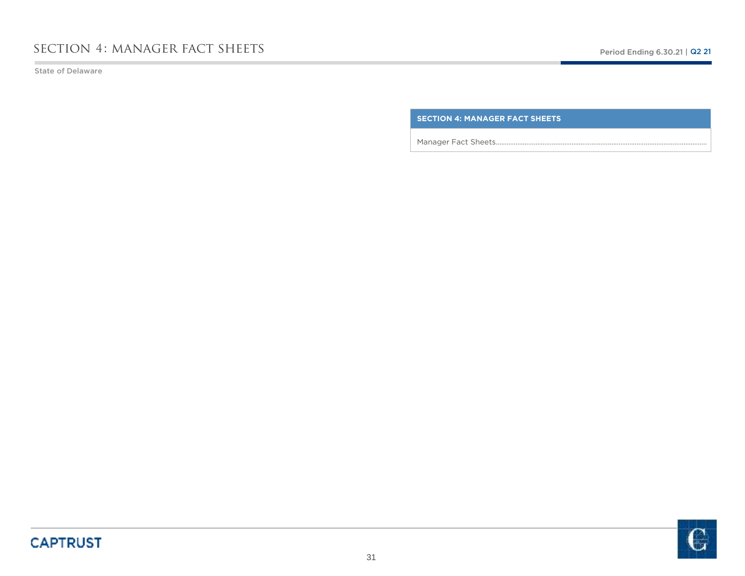State of Delaware

**SECTION 4: MANAGER FACT SHEETS**

Manager Fact Sheets………………………………………………………………………………………………………

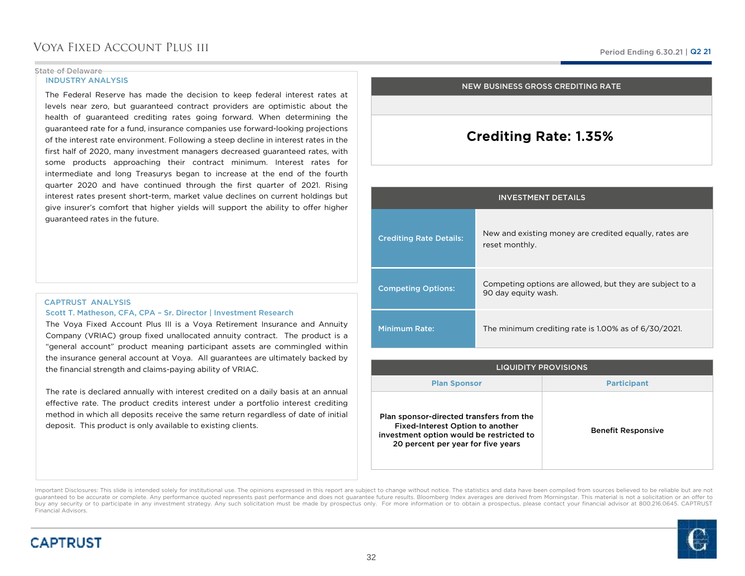### State of Delaware

**CAPTRUST** 

### INDUSTRY ANALYSIS

The Federal Reserve has made the decision to keep federal interest rates at levels near zero, but guaranteed contract providers are optimistic about the health of guaranteed crediting rates going forward. When determining the guaranteed rate for <sup>a</sup> fund, insurance companies use forward-looking projections of the interest rate environment. Following <sup>a</sup> steep decline in interest rates in the first half of 2020, many investment managers decreased guaranteed rates, with some products approaching their contract minimum. Interest rates for intermediate and long Treasurys began to increase at the end of the fourth quarter <sup>2020</sup> and have continued through the first quarter of 2021. Rising interest rates present short-term, market value declines on current holdings but give insurer's comfort that higher yields will support the ability to offer higher guaranteed rates in the future.

### CAPTRUST ANALYSISScott T. Matheson, CFA, CPA – Sr. Director | Investment Research

 The Voya Fixed Account Plus III is <sup>a</sup> Voya Retirement Insurance and Annuity Company (VRIAC) group fixed unallocated annuity contract. The product is <sup>a</sup> "general account" product meaning participant assets are commingled within the insurance general account at Voya. All guarantees are ultimately backed bythe financial strength and claims-paying ability of VRIAC.

The rate is declared annually with interest credited on <sup>a</sup> daily basis at an annual effective rate. The product credits interest under <sup>a</sup> portfolio interest crediting method in which all deposits receive the same return regardless of date of initial deposit. This product is only available to existing clients.

### NEW BUSINESS GROSS CREDITING RATE

## Crediting Rate: 1.35%

| <b>INVESTMENT DETAILS</b>      |                                                                                 |  |  |  |  |  |  |
|--------------------------------|---------------------------------------------------------------------------------|--|--|--|--|--|--|
| <b>Crediting Rate Details:</b> | New and existing money are credited equally, rates are<br>reset monthly.        |  |  |  |  |  |  |
| <b>Competing Options:</b>      | Competing options are allowed, but they are subject to a<br>90 day equity wash. |  |  |  |  |  |  |
| <b>Minimum Rate:</b>           | The minimum crediting rate is 1.00% as of 6/30/2021.                            |  |  |  |  |  |  |

| <b>LIQUIDITY PROVISIONS</b>                                                                                                                                    |                           |  |  |  |  |  |  |
|----------------------------------------------------------------------------------------------------------------------------------------------------------------|---------------------------|--|--|--|--|--|--|
| <b>Plan Sponsor</b>                                                                                                                                            | <b>Participant</b>        |  |  |  |  |  |  |
| Plan sponsor-directed transfers from the<br>Fixed-Interest Option to another<br>investment option would be restricted to<br>20 percent per year for five years | <b>Benefit Responsive</b> |  |  |  |  |  |  |

Important Disclosures: This slide is intended solely for institutional use. The opinions expressed in this report are subject to change without notice. The statistics and data have been compiled from sources believed to be guaranteed to be accurate or complete. Any performance quoted represents past performance and does not guarantee future results. Bloomberg Index averages are derived from Morningstar. This material is not a solicitation or buy any security or to participate in any investment strategy. Any such solicitation must be made by prospectus only. For more information or to obtain a prospectus, please contact your financial advisor at 800.216.0645. C Financial Advisors.

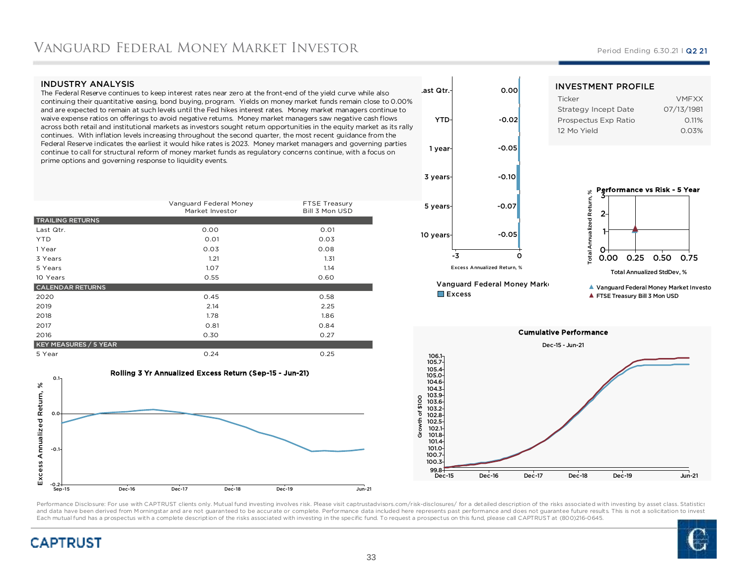### INDUSTRY ANALYSIS

 The Federal Reserve continues to keep interest rates near zero at the front-end of the yield curve while also continuing their quantitative easing, bond buying, program. Yields on money market funds remain close to 0.00% and are expected to remain at such levels until the Fed hikes interest rates. Money market managers continue to waive expense ratios on offerings to avoid negative returns. Money market managers saw negative cash flows across both retail and institutional markets as investors sought return opportunities in the equity market as its rally continues. With inflation levels increasing throughout the second quarter, the most recent guidance from the Federal Reserve indicates the earliest it would hike rates is 2023. Money market managers and governing parties continue to call for structural reform of money market funds as regulatory concerns continue, with a focus on prime options and governing response to liquidity events.

|                              | Vanguard Federal Money<br>Market Investor | FTSE Treasury<br>Bill 3 Mon USD |
|------------------------------|-------------------------------------------|---------------------------------|
| <b>TRAILING RETURNS</b>      |                                           |                                 |
| Last Qtr.                    | 0.00                                      | 0.01                            |
| <b>YTD</b>                   | 0.01                                      | 0.03                            |
| 1 Year                       | 0.03                                      | 0.08                            |
| 3 Years                      | 1.21                                      | 1.31                            |
| 5 Years                      | 1.07                                      | 1.14                            |
| 10 Years                     | 0.55                                      | 0.60                            |
| <b>CALENDAR RETURNS</b>      |                                           |                                 |
| 2020                         | 0.45                                      | 0.58                            |
| 2019                         | 2.14                                      | 2.25                            |
| 2018                         | 1.78                                      | 1.86                            |
| 2017                         | 0.81                                      | 0.84                            |
| 2016                         | 0.30                                      | 0.27                            |
| <b>KEY MEASURES / 5 YEAR</b> |                                           |                                 |
| 5 Year                       | 0.24                                      | 0.25                            |







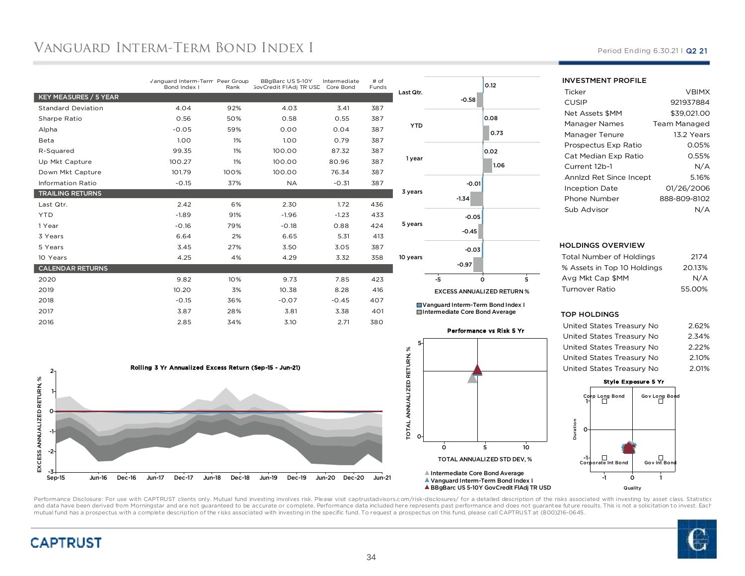# Vanguard Interm-Term Bond Index I

|                           | Vanguard Interm-Term Peer Group<br>Bond Index I | Rank | BBgBarc US 5-10Y<br><b>GovCredit FIAdj TR USD</b> | Intermediate<br>Core Bond | # of<br>Funds |
|---------------------------|-------------------------------------------------|------|---------------------------------------------------|---------------------------|---------------|
| KEY MEASURES / 5 YEAR     |                                                 |      |                                                   |                           |               |
| <b>Standard Deviation</b> | 4.04                                            | 92%  | 4.03                                              | 3.41                      | 387           |
| Sharpe Ratio              | 0.56                                            | 50%  | 0.58                                              | 0.55                      | 387           |
| Alpha                     | $-0.05$                                         | 59%  | 0.00                                              | 0.04                      | 387           |
| Beta                      | 1.00                                            | 1%   | 1.00                                              | 0.79                      | 387           |
| R-Squared                 | 99.35                                           | 1%   | 100.00                                            | 87.32                     | 387           |
| Up Mkt Capture            | 100.27                                          | 1%   | 100.00                                            | 80.96                     | 387           |
| Down Mkt Capture          | 101.79                                          | 100% | 100.00                                            | 76.34                     | 387           |
| <b>Information Ratio</b>  | $-0.15$                                         | 37%  | <b>NA</b>                                         | $-0.31$                   | 387           |
| <b>TRAILING RETURNS</b>   |                                                 |      |                                                   |                           |               |
| Last Qtr.                 | 2.42                                            | 6%   | 2.30                                              | 1.72                      | 436           |
| <b>YTD</b>                | $-1.89$                                         | 91%  | $-1.96$                                           | $-1.23$                   | 433           |
| 1 Year                    | $-0.16$                                         | 79%  | $-0.18$                                           | 0.88                      | 424           |
| 3 Years                   | 6.64                                            | 2%   | 6.65                                              | 5.31                      | 413           |
| 5 Years                   | 3.45                                            | 27%  | 3.50                                              | 3.05                      | 387           |
| 10 Years                  | 4.25                                            | 4%   | 4.29                                              | 3.32                      | 358           |
| <b>CALENDAR RETURNS</b>   |                                                 |      |                                                   |                           |               |
| 2020                      | 9.82                                            | 10%  | 9.73                                              | 7.85                      | 423           |
| 2019                      | 10.20                                           | 3%   | 10.38                                             | 8.28                      | 416           |
| 2018                      | $-0.15$                                         | 36%  | $-0.07$                                           | $-0.45$                   | 407           |
| 2017                      | 3.87                                            | 28%  | 3.81                                              | 3.38                      | 401           |
| 2016                      | 2.85                                            | 34%  | 3.10                                              | 2.71                      | 380           |



| Last Qtr.  | $-0.58$            | 0.12                              |
|------------|--------------------|-----------------------------------|
| <b>YTD</b> |                    | 0.08<br>0.73                      |
| 1 year     |                    | 0.02<br>1.06                      |
| 3 years    | $-0.01$<br>$-1.34$ |                                   |
| 5 years    | $-0.05$<br>$-0.45$ |                                   |
| 10 years   | $-0.03$<br>$-0.97$ |                                   |
|            | -5                 | $\overline{5}$<br>Ó               |
|            |                    | <b>EXCESS ANNUALIZED RETURN %</b> |

Vanguard Interm-Term Bond Index IIntermediate Core Bond Average

#### Performance vs Risk 5 Yr



## INVESTMENT PROFILE

| <b>VBIMX</b>                     |
|----------------------------------|
| 921937884                        |
| \$39.021.00                      |
| Team Managed                     |
| 13.2 Years                       |
| 0.05%                            |
| 0.55%                            |
| N/A                              |
| 5.16%<br>Annlzd Ret Since Incept |
| 01/26/2006                       |
| 888-809-8102                     |
|                                  |
|                                  |

### HOLDINGS OVERVIEW

| Total Number of Holdings    | 2174   |
|-----------------------------|--------|
| % Assets in Top 10 Holdings | 20.13% |
| Avg Mkt Cap \$MM            | N/A    |
| Turnover Ratio              | 55.00% |
|                             |        |

#### TOP HOLDINGS

| United States Treasury No | 2.62% |
|---------------------------|-------|
| United States Treasury No | 2.34% |
| United States Treasury No | 2.22% |
| United States Treasury No | 2.10% |
| United States Treasury No | 2.01% |
|                           |       |



Performance Disclosure: For use with CAPTRUST clients only. Mutual fund investing involves risk. Please visit captrustadvisors.com/risk-disclosures/ for a detailed description of the risks associated with investing by asse and data have been derived from Morningstar and are not guaranteed to be accurate or complete. Performance data included here represents past performance and does not guarantee future results. This is not a solicitation to mutual fund has a prospectus with a complete description of the risks associated with investing in the specific fund. To request a prospectus on this fund, please call CAPTRUST at (800)216-0645.





Period Ending 6.30.21 | Q2 21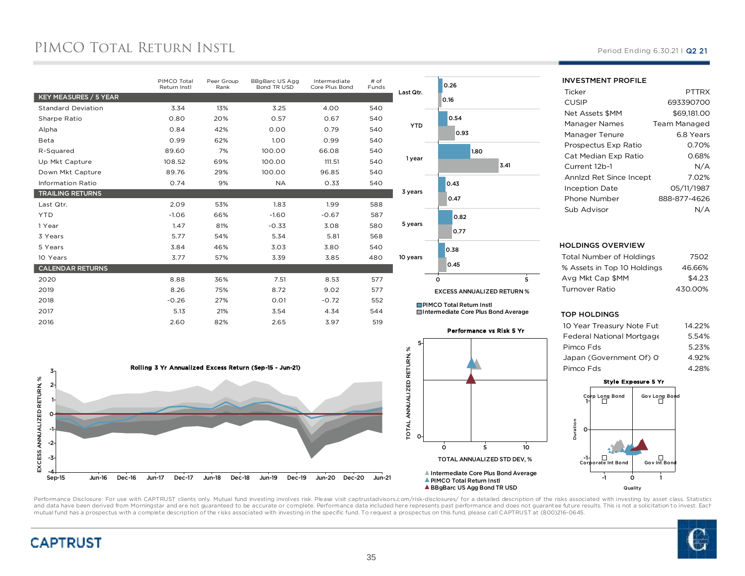# PIMCO TOTAL RETURN INSTL

|                           | PIMCO Total<br>Return Instl | Peer Group<br>Rank | BBgBarc US Agg<br>Bond TR USD | Intermediate<br>Core Plus Bond | # of<br>Funds |
|---------------------------|-----------------------------|--------------------|-------------------------------|--------------------------------|---------------|
| KEY MEASURES / 5 YEAR     |                             |                    |                               |                                |               |
| <b>Standard Deviation</b> | 3.34                        | 13%                | 3.25                          | 4.00                           | 540           |
| Sharpe Ratio              | 0.80                        | 20%                | 0.57                          | 0.67                           | 540           |
| Alpha                     | 0.84                        | 42%                | 0.00                          | 0.79                           | 540           |
| Beta                      | 0.99                        | 62%                | 1.00                          | 0.99                           | 540           |
| R-Squared                 | 89.60                       | 7%                 | 100.00                        | 66.08                          | 540           |
| Up Mkt Capture            | 108.52                      | 69%                | 100.00                        | 111.51                         | 540           |
| Down Mkt Capture          | 89.76                       | 29%                | 100.00                        | 96.85                          | 540           |
| <b>Information Ratio</b>  | 0.74                        | 9%                 | <b>NA</b>                     | 0.33                           | 540           |
| <b>TRAILING RETURNS</b>   |                             |                    |                               |                                |               |
| Last Qtr.                 | 2.09                        | 53%                | 1.83                          | 1.99                           | 588           |
| <b>YTD</b>                | $-1.06$                     | 66%                | $-1.60$                       | $-0.67$                        | 587           |
| 1 Year                    | 1.47                        | 81%                | $-0.33$                       | 3.08                           | 580           |
| 3 Years                   | 5.77                        | 54%                | 5.34                          | 5.81                           | 568           |
| 5 Years                   | 3.84                        | 46%                | 3.03                          | 3.80                           | 540           |
| 10 Years                  | 3.77                        | 57%                | 3.39                          | 3.85                           | 480           |
| <b>CALENDAR RETURNS</b>   |                             |                    |                               |                                |               |
| 2020                      | 8.88                        | 36%                | 7.51                          | 8.53                           | 577           |
| 2019                      | 8.26                        | 75%                | 8.72                          | 9.02                           | 577           |
| 2018                      | $-0.26$                     | 27%                | 0.01                          | $-0.72$                        | 552           |
| 2017                      | 5.13                        | 21%                | 3.54                          | 4.34                           | 544           |
| 2016                      | 2.60                        | 82%                | 2.65                          | 3.97                           | 519           |





Performance vs Risk 5 Yr



Period Ending 6.30.21 | Q2 21

#### INVESTMENT PROFILE**Ticker**  PTTRXP 693390700 CUSIPM \$69,181.00 Net Assets \$MMManager Names Team Managed 6.8 Years Manager TenureProspectus Exp Ratio 0.70% 0.68%Cat Median Exp Ratio $N/A$ Current 12b-17.02% Annlzd Ret Since Incept 05/11/1987Inception Date 888-877-4626Phone Numberr N/A Sub Advisor

### HOLDINGS OVERVIEW

| Total Number of Holdings    | 7502    |
|-----------------------------|---------|
| % Assets in Top 10 Holdings | 46.66%  |
| Avg Mkt Cap \$MM            | \$4.23  |
| Turnover Ratio              | 430.00% |
|                             |         |

### TOP HOLDINGS

| 10 Year Treasury Note Futi | 14.22% |
|----------------------------|--------|
| Federal National Mortgage  | 5.54%  |
| Pimco Fds                  | 5.23%  |
| Japan (Government Of) 0'   | 4.92%  |
| Pimco Fds                  | 4.28%  |
|                            |        |

### Style Exposure 5 Yr





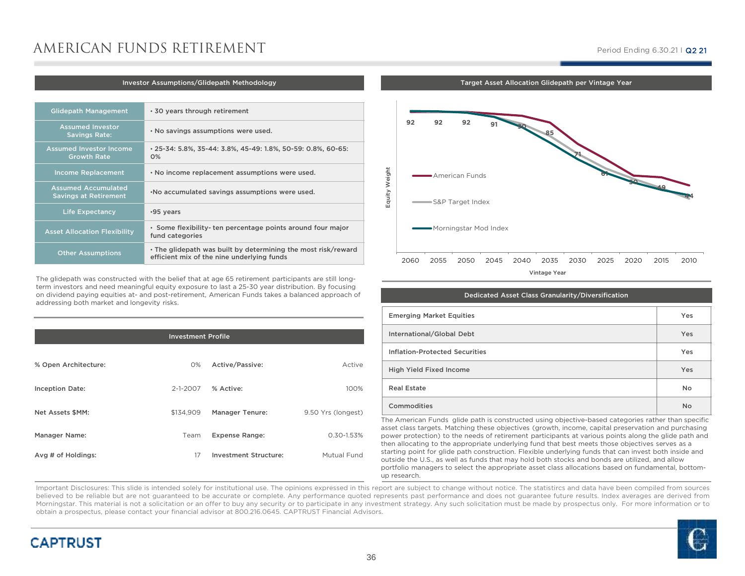# AMERICAN FUNDS RETIREMENT

### Period Ending 6.30.21 I Q2 21

#### Investor Assumptions/Glidepath Methodology

| <b>Glidepath Management</b>                                | .30 years through retirement                                                                                |
|------------------------------------------------------------|-------------------------------------------------------------------------------------------------------------|
| <b>Assumed Investor</b><br><b>Savings Rate:</b>            | . No savings assumptions were used.                                                                         |
| <b>Assumed Investor Income</b><br><b>Growth Rate</b>       | • 25-34: 5.8%, 35-44: 3.8%, 45-49: 1.8%, 50-59: 0.8%, 60-65:<br>$0\%$                                       |
| <b>Income Replacement</b>                                  | . No income replacement assumptions were used.                                                              |
| <b>Assumed Accumulated</b><br><b>Savings at Retirement</b> | . No accumulated savings assumptions were used.                                                             |
| <b>Life Expectancy</b>                                     | •95 years                                                                                                   |
| <b>Asset Allocation Flexibility</b>                        | · Some flexibility-ten percentage points around four major<br>fund categories                               |
| <b>Other Assumptions</b>                                   | . The glidepath was built by determining the most risk/reward<br>efficient mix of the nine underlying funds |

The glidepath was constructed with the belief that at age 65 retirement participants are still longterm investors and need meaningful equity exposure to last a 25-30 year distribution. By focusing on dividend paying equities at- and post-retirement, American Funds takes a balanced approach of addressing both market and longevity risks.

| <b>Investment Profile</b> |                |                              |                    |  |  |
|---------------------------|----------------|------------------------------|--------------------|--|--|
| % Open Architecture:      | 0%             | Active/Passive:              | Active             |  |  |
| <b>Inception Date:</b>    | $2 - 1 - 2007$ | % Active:                    | 100%               |  |  |
| Net Assets \$MM:          | \$134,909      | <b>Manager Tenure:</b>       | 9.50 Yrs (longest) |  |  |
| Manager Name:             | Team           | <b>Expense Range:</b>        | 0.30-1.53%         |  |  |
| Avg # of Holdings:        | 17             | <b>Investment Structure:</b> | Mutual Fund        |  |  |
|                           |                |                              |                    |  |  |

Target Asset Allocation Glidepath per Vintage Year



| Dedicated Asset Class Granularity/Diversification |           |
|---------------------------------------------------|-----------|
| <b>Emerging Market Equities</b>                   | Yes       |
| International/Global Debt                         | Yes       |
| <b>Inflation-Protected Securities</b>             | Yes       |
| <b>High Yield Fixed Income</b>                    | Yes       |
| <b>Real Estate</b>                                | <b>No</b> |
| Commodities                                       | <b>No</b> |

The American Funds glide path is constructed using objective-based categories rather than specific asset class targets. Matching these objectives (growth, income, capital preservation and purchasing power protection) to the needs of retirement participants at various points along the glide path and then allocating to the appropriate underlying fund that best meets those objectives serves as a starting point for glide path construction. Flexible underlying funds that can invest both inside and outside the U.S., as well as funds that may hold both stocks and bonds are utilized, and allow portfolio managers to select the appropriate asset class allocations based on fundamental, bottomup research.

Important Disclosures: This slide is intended solely for institutional use. The opinions expressed in this report are subject to change without notice. The statistircs and data have been compiled from sources believed to be reliable but are not quaranteed to be accurate or complete. Any performance quoted represents past performance and does not quarantee future results. Index averages are derived from Morningstar. This material is not <sup>a</sup> solicitation or an offer to buy any security or to participate in any investment strategy. Any such solicitation must be made by prospectus only. For more information or toobtain <sup>a</sup> prospectus, please contact your financial advisor at 800.216.0645. CAPTRUST Financial Advisors.

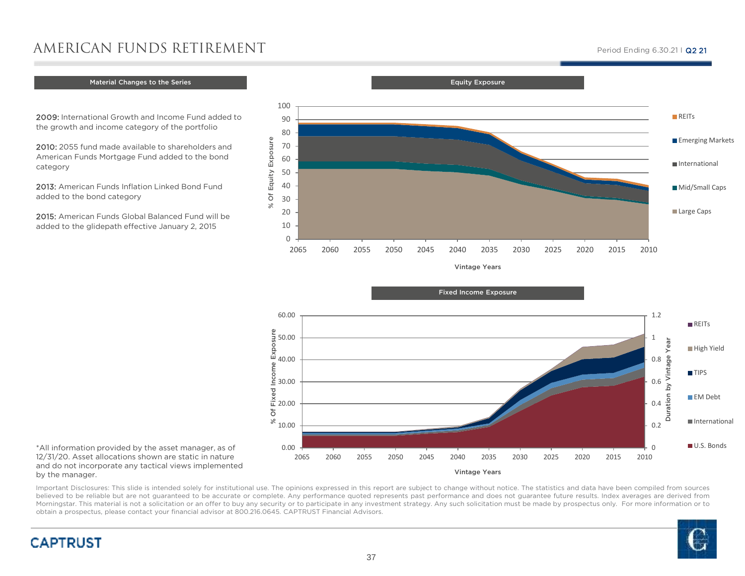# AMERICAN FUNDS RETIREMENT

## Material Changes to the Series  $\begin{array}{|c|c|c|}\hline \text{M}}\end{array}$

2009: International Growth and Income Fund added to the growth and income category of the portfolio

2010: 2055 fund made available to shareholders and American Funds Mortgage Fund added to the bond category

% Of Equity Exposure

 $\aleph$ 

Of Equity Exposure

2013: American Funds Inflation Linked Bond Fund added to the bond category

2015: American Funds Global Balanced Fund will be added to the glidepath effective January 2, 2015

### % Of Fixed Income Exposure 50.00 40.00ρe Inco 30.00Pe  $\frac{8}{12}$  20.00  $\overline{\circ}$  $\frac{8}{10.00}$ 0.00 $\Omega$ 2010 <sup>2065</sup> <sup>2060</sup> <sup>2055</sup> <sup>2050</sup> <sup>2045</sup> <sup>2040</sup> <sup>2035</sup> <sup>2030</sup> <sup>2025</sup> <sup>2020</sup> <sup>2015</sup> <sup>2010</sup>Vintage Years

\*All information provided by the asset manager, as of 12/31/20. Asset allocations shown are static in nature and do not incorporate any tactical views implemented by the manager.

**CAPTRUST** 

Important Disclosures: This slide is intended solely for institutional use. The opinions expressed in this report are subject to change without notice. The statistics and data have been compiled from sources believed to be reliable but are not guaranteed to be accurate or complete. Any performance quoted represents past performance and does not guarantee future results. Index averages are derived from Morningstar. This material is not <sup>a</sup> solicitation or an offer to buy any security or to participate in any investment strategy. Any such solicitation must be made by prospectus only. For more information or toobtain <sup>a</sup> prospectus, please contact your financial advisor at 800.216.0645. CAPTRUST Financial Advisors.

Vintage Years<sup>2065</sup> <sup>2060</sup> <sup>2055</sup> <sup>2050</sup> <sup>2045</sup> <sup>2040</sup> <sup>2035</sup> <sup>2030</sup> <sup>2025</sup> <sup>2020</sup> <sup>2015</sup> <sup>2010</sup>Large Caps

 Equity Exposure  $\Omega$ 102030405060 708090100**REITS Emerging Markets** InternationalMid/Small Caps

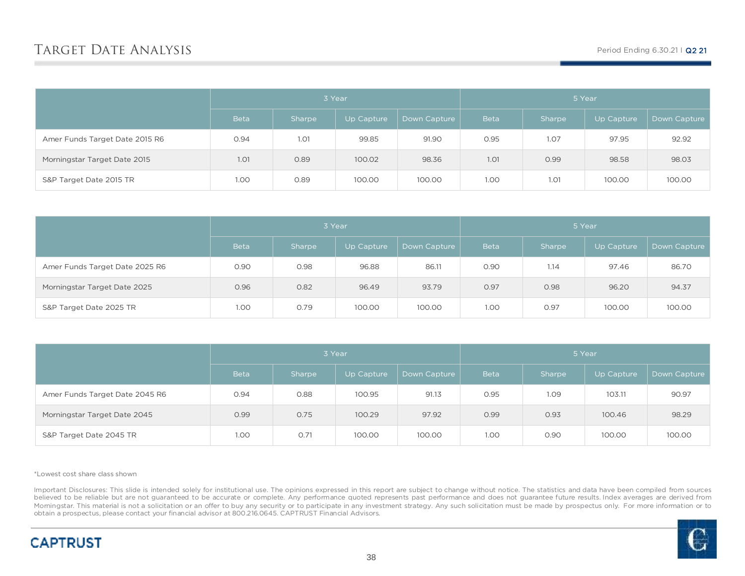|                                | 3 Year      |             |            | 5 Year       |             |        |            |              |
|--------------------------------|-------------|-------------|------------|--------------|-------------|--------|------------|--------------|
|                                | <b>Beta</b> | Sharpe      | Up Capture | Down Capture | <b>Beta</b> | Sharpe | Up Capture | Down Capture |
| Amer Funds Target Date 2015 R6 | 0.94        | <b>1.01</b> | 99.85      | 91.90        | 0.95        | 1.07   | 97.95      | 92.92        |
| Morningstar Target Date 2015   | 1.01        | 0.89        | 100.02     | 98.36        | <b>1.01</b> | 0.99   | 98.58      | 98.03        |
| S&P Target Date 2015 TR        | 1.00        | 0.89        | 100.00     | 100.00       | 1.00        | 1.01   | 100.00     | 100.00       |

|                                | 3 Year      |        |            |              | 5 Year      |        |            |              |
|--------------------------------|-------------|--------|------------|--------------|-------------|--------|------------|--------------|
|                                | <b>Beta</b> | Sharpe | Up Capture | Down Capture | <b>Beta</b> | Sharpe | Up Capture | Down Capture |
| Amer Funds Target Date 2025 R6 | 0.90        | 0.98   | 96.88      | 86.11        | 0.90        | 1.14   | 97.46      | 86.70        |
| Morningstar Target Date 2025   | 0.96        | 0.82   | 96.49      | 93.79        | 0.97        | 0.98   | 96.20      | 94.37        |
| S&P Target Date 2025 TR        | 1.00        | 0.79   | 100.00     | 100.00       | 1.00        | 0.97   | 100.00     | 100.00       |

|                                | 3 Year      |        |            |              | 5 Year      |        |            |              |
|--------------------------------|-------------|--------|------------|--------------|-------------|--------|------------|--------------|
|                                | <b>Beta</b> | Sharpe | Up Capture | Down Capture | <b>Beta</b> | Sharpe | Up Capture | Down Capture |
| Amer Funds Target Date 2045 R6 | 0.94        | 0.88   | 100.95     | 91.13        | 0.95        | 1.09   | 103.11     | 90.97        |
| Morningstar Target Date 2045   | 0.99        | 0.75   | 100.29     | 97.92        | 0.99        | 0.93   | 100.46     | 98.29        |
| S&P Target Date 2045 TR        | 1.00        | 0.71   | 100.00     | 100.00       | 1.00        | 0.90   | 100.00     | 100.00       |

\*Lowest cost share class shown

Important Disclosures: This slide is intended solely for institutional use. The opinions expressed in this report are subject to change without notice. The statistics and data have been compiled from sources believed to be reliable but are not guaranteed to be accurate or complete. Any performance quoted represents past performance and does not guarantee future results. Index averages are derived from Morningstar. This material is not a solicitation or an offer to buy any security or to participate in any investment strategy. Any such solicitation must be made by prospectus only. For more information or to obtain a prospectus, please contact your financial advisor at 800.216.0645. CAPTRUST Financial Advisors.

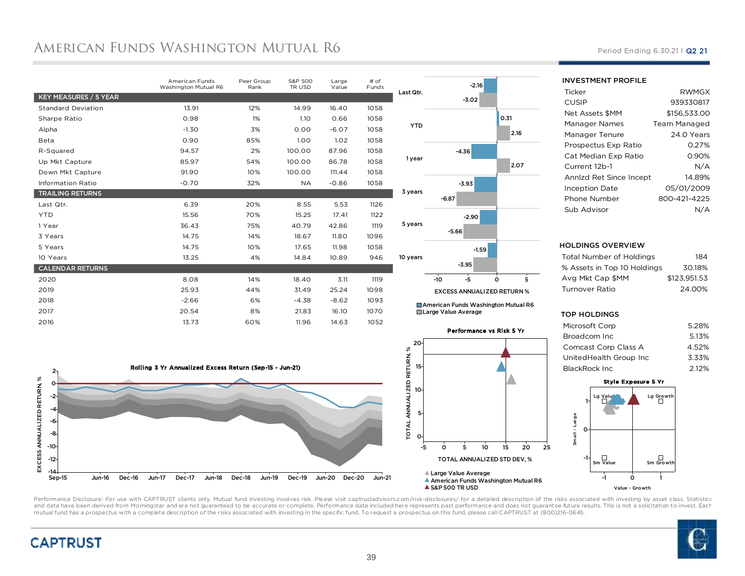# AMERICAN FUNDS WASHINGTON MUTUAL R6

|                           | <b>American Funds</b><br>Washington Mutual R6 | Peer Group<br>Rank | S&P 500<br>TR USD | Large<br>Value | # of<br>Funds |   |
|---------------------------|-----------------------------------------------|--------------------|-------------------|----------------|---------------|---|
| KEY MEASURES / 5 YEAR     |                                               |                    |                   |                |               | L |
| <b>Standard Deviation</b> | 13.91                                         | 12%                | 14.99             | 16.40          | 1058          |   |
| Sharpe Ratio              | 0.98                                          | 1%                 | 1.10              | 0.66           | 1058          |   |
| Alpha                     | $-1.30$                                       | 3%                 | 0.00              | $-6.07$        | 1058          |   |
| Beta                      | 0.90                                          | 85%                | 1.00              | 1.02           | 1058          |   |
| R-Squared                 | 94.57                                         | 2%                 | 100.00            | 87.96          | 1058          |   |
| Up Mkt Capture            | 85.97                                         | 54%                | 100.00            | 86.78          | 1058          |   |
| Down Mkt Capture          | 91.90                                         | 10%                | 100.00            | 111.44         | 1058          |   |
| <b>Information Ratio</b>  | $-0.70$                                       | 32%                | <b>NA</b>         | $-0.86$        | 1058          |   |
| <b>TRAILING RETURNS</b>   |                                               |                    |                   |                |               |   |
| Last Qtr.                 | 6.39                                          | 20%                | 8.55              | 5.53           | 1126          |   |
| <b>YTD</b>                | 15.56                                         | 70%                | 15.25             | 17.41          | 1122          |   |
| 1 Year                    | 36.43                                         | 75%                | 40.79             | 42.86          | 1119          |   |
| 3 Years                   | 14.75                                         | 14%                | 18.67             | 11.80          | 1096          |   |
| 5 Years                   | 14.75                                         | 10%                | 17.65             | 11.98          | 1058          |   |
| 10 Years                  | 13.25                                         | 4%                 | 14.84             | 10.89          | 946           |   |
| <b>CALENDAR RETURNS</b>   |                                               |                    |                   |                |               |   |
| 2020                      | 8.08                                          | 14%                | 18.40             | 3.11           | 1119          |   |
| 2019                      | 25.93                                         | 44%                | 31.49             | 25.24          | 1098          |   |
| 2018                      | $-2.66$                                       | 6%                 | $-4.38$           | $-8.62$        | 1093          |   |
| 2017                      | 20.54                                         | 8%                 | 21.83             | 16.10          | 1070          |   |
| 2016                      | 13.73                                         | 60%                | 11.96             | 14.63          | 1052          |   |
|                           |                                               |                    |                   |                |               |   |





■ American Funds Washington Mutual R6 Large Value Average



**AS&P 500 TRUSD** 

Period Ending 6.30.21 | Q2 21

#### INVESTMENT PROFILE

| Ticker                  | <b>RWMGX</b>        |
|-------------------------|---------------------|
| CUSIP                   | 939330817           |
| Net Assets \$MM         | \$156.533.00        |
| Manager Names           | <b>Team Managed</b> |
| Manager Tenure          | 24.0 Years          |
| Prospectus Exp Ratio    | 0.27%               |
| Cat Median Exp Ratio    | 0.90%               |
| Current 12b-1           | N/A                 |
| Annlzd Ret Since Incept | 14.89%              |
| <b>Inception Date</b>   | 05/01/2009          |
| Phone Number            | 800-421-4225        |
| Sub Advisor             |                     |
|                         |                     |

### HOLDINGS OVERVIEW

| Total Number of Holdings    | 184          |
|-----------------------------|--------------|
| % Assets in Top 10 Holdings | 30.18%       |
| Ava Mkt Cap \$MM            | \$123.951.53 |
| Turnover Ratio              | 24.00%       |
|                             |              |

### TOP HOLDINGS

| Microsoft Corp         | 5.28% |
|------------------------|-------|
| Broadcom Inc           | 5.13% |
| Comcast Corp Class A   | 4.52% |
| UnitedHealth Group Inc | 3.33% |
| BlackRock Inc          | 2.12% |
|                        |       |





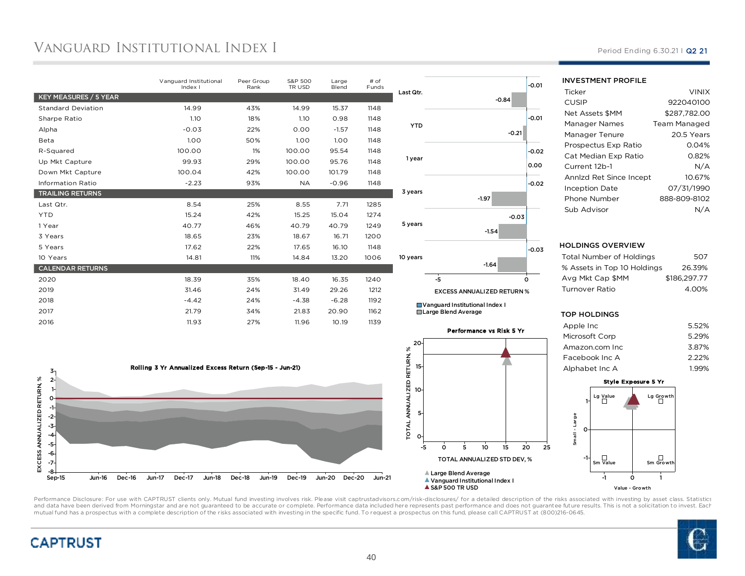# Vanguard Institutional Index I

|                           | Vanguard Institutional<br>Index I | Peer Group<br>Rank | S&P 500<br>TR USD | Large<br>Blend | # of<br>Funds | Last Qtr.  |
|---------------------------|-----------------------------------|--------------------|-------------------|----------------|---------------|------------|
| KEY MEASURES / 5 YEAR     |                                   |                    |                   |                |               |            |
| <b>Standard Deviation</b> | 14.99                             | 43%                | 14.99             | 15.37          | 1148          |            |
| Sharpe Ratio              | 1.10                              | 18%                | 1.10              | 0.98           | 1148          |            |
| Alpha                     | $-0.03$                           | 22%                | 0.00              | $-1.57$        | 1148          | <b>YTD</b> |
| Beta                      | 1.00                              | 50%                | 1.00              | 1.00           | 1148          |            |
| R-Squared                 | 100.00                            | 1%                 | 100.00            | 95.54          | 1148          |            |
| Up Mkt Capture            | 99.93                             | 29%                | 100.00            | 95.76          | 1148          | 1 year     |
| Down Mkt Capture          | 100.04                            | 42%                | 100.00            | 101.79         | 1148          |            |
| <b>Information Ratio</b>  | $-2.23$                           | 93%                | <b>NA</b>         | $-0.96$        | 1148          |            |
| <b>TRAILING RETURNS</b>   |                                   |                    |                   |                |               | 3 years    |
| Last Qtr.                 | 8.54                              | 25%                | 8.55              | 7.71           | 1285          |            |
| <b>YTD</b>                | 15.24                             | 42%                | 15.25             | 15.04          | 1274          |            |
| 1 Year                    | 40.77                             | 46%                | 40.79             | 40.79          | 1249          | 5 years    |
| 3 Years                   | 18.65                             | 23%                | 18.67             | 16.71          | 1200          |            |
| 5 Years                   | 17.62                             | 22%                | 17.65             | 16.10          | 1148          |            |
| 10 Years                  | 14.81                             | 11%                | 14.84             | 13.20          | 1006          | 10 years   |
| <b>CALENDAR RETURNS</b>   |                                   |                    |                   |                |               |            |
| 2020                      | 18.39                             | 35%                | 18.40             | 16.35          | 1240          |            |
| 2019                      | 31.46                             | 24%                | 31.49             | 29.26          | 1212          |            |
| 2018                      | $-4.42$                           | 24%                | $-4.38$           | $-6.28$        | 1192          | ∐ Va       |
| 2017                      | 21.79                             | 34%                | 21.83             | 20.90          | 1162          | <b>EL</b>  |
| 2016                      | 11.93                             | 27%                | 11.96             | 10.19          | 1139          |            |
|                           |                                   |                    |                   |                |               |            |





anguard Institutional Index I arge Blend Average



### Period Ending 6.30.21 | Q2 21

#### INVESTMENT PROFILE**Ticker**  VINIXP 922040100 CUSIPM \$287,782.00 Net Assets \$MMManager Names Team Managed 20.5 Years Manager TenureProspectus Exp Ratio 0.04% 0.82%Cat Median Exp RatioCurr Annlzd Ret Since Incept 10.67% Ince

| Current 12b-1           | N/A          |
|-------------------------|--------------|
| Annizd Ret Since Incept | 10.67%       |
| <b>Inception Date</b>   | 07/31/1990   |
| Phone Number            | 888-809-8102 |
| Sub Advisor             | N/A          |

### HOLDINGS OVERVIEW

| Total Number of Holdings    | 507          |
|-----------------------------|--------------|
| % Assets in Top 10 Holdings | 26.39%       |
| Ava Mkt Cap \$MM            | \$186.297.77 |
| Turnover Ratio              | 4.00%        |
|                             |              |

### TOP HOLDINGS

| Apple Inc      | 5.52% |
|----------------|-------|
| Microsoft Corp | 5.29% |
| Amazon.com Inc | 3.87% |
| Facebook Inc A | 2.22% |
| Alphabet Inc A | 1.99% |
|                |       |





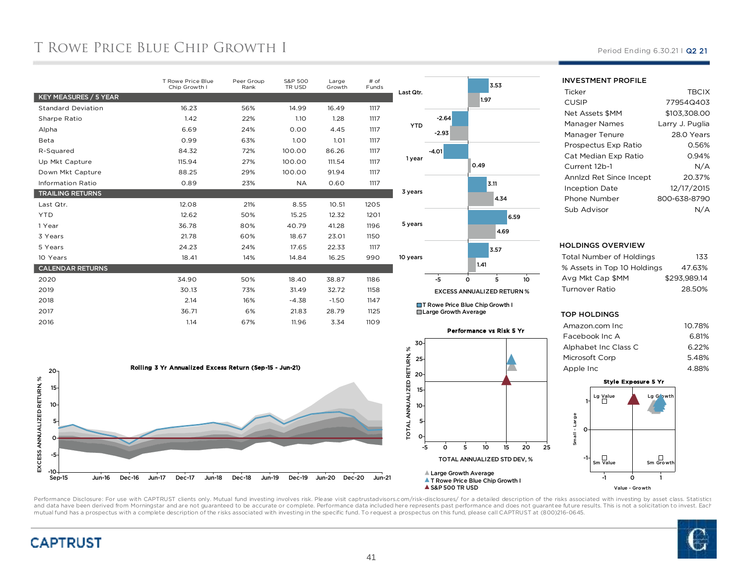# T ROWE PRICE BLUE CHIP GROWTH I

|                           | T Rowe Price Blue<br>Chip Growth I | Peer Group<br>Rank | S&P 500<br>TR USD | Large<br>Growth | # of<br>Funds |   |
|---------------------------|------------------------------------|--------------------|-------------------|-----------------|---------------|---|
| KEY MEASURES / 5 YEAR     |                                    |                    |                   |                 |               | L |
| <b>Standard Deviation</b> | 16.23                              | 56%                | 14.99             | 16.49           | 1117          |   |
| Sharpe Ratio              | 1.42                               | 22%                | 1.10              | 1.28            | 1117          |   |
| Alpha                     | 6.69                               | 24%                | 0.00              | 4.45            | 1117          |   |
| Beta                      | 0.99                               | 63%                | 1.00              | 1.01            | 1117          |   |
| R-Squared                 | 84.32                              | 72%                | 100.00            | 86.26           | 1117          |   |
| Up Mkt Capture            | 115.94                             | 27%                | 100.00            | 111.54          | 1117          |   |
| Down Mkt Capture          | 88.25                              | 29%                | 100.00            | 91.94           | 1117          |   |
| <b>Information Ratio</b>  | 0.89                               | 23%                | <b>NA</b>         | 0.60            | 1117          |   |
| <b>TRAILING RETURNS</b>   |                                    |                    |                   |                 |               |   |
| Last Qtr.                 | 12.08                              | 21%                | 8.55              | 10.51           | 1205          |   |
| <b>YTD</b>                | 12.62                              | 50%                | 15.25             | 12.32           | 1201          |   |
| 1 Year                    | 36.78                              | 80%                | 40.79             | 41.28           | 1196          |   |
| 3 Years                   | 21.78                              | 60%                | 18.67             | 23.01           | 1150          |   |
| 5 Years                   | 24.23                              | 24%                | 17.65             | 22.33           | 1117          |   |
| 10 Years                  | 18.41                              | 14%                | 14.84             | 16.25           | 990           |   |
| <b>CALENDAR RETURNS</b>   |                                    |                    |                   |                 |               |   |
| 2020                      | 34.90                              | 50%                | 18.40             | 38.87           | 1186          |   |
| 2019                      | 30.13                              | 73%                | 31.49             | 32.72           | 1158          |   |
| 2018                      | 2.14                               | 16%                | $-4.38$           | $-1.50$         | 1147          |   |
| 2017                      | 36.71                              | 6%                 | 21.83             | 28.79           | 1125          |   |
| 2016                      | 1.14                               | 67%                | 11.96             | 3.34            | 1109          |   |
|                           |                                    |                    |                   |                 |               |   |





■T Rowe Price Blue Chip Growth I Large Growth Average



Period Ending 6.30.21 | Q2 21

### INVESTMENT PROFILE

| Ticker                  | <b>TBCIX</b>    |
|-------------------------|-----------------|
| CUSIP                   | 77954Q403       |
| Net Assets \$MM         | \$103.308.00    |
| Manager Names           | Larry J. Puglia |
| Manager Tenure          | 28.0 Years      |
| Prospectus Exp Ratio    | 0.56%           |
| Cat Median Exp Ratio    | 0.94%           |
| Current 12b-1           | N/A             |
| Annlzd Ret Since Incept | 20.37%          |
| <b>Inception Date</b>   | 12/17/2015      |
| Phone Number            | 800-638-8790    |
| Sub Advisor             |                 |

### HOLDINGS OVERVIEW

| Total Number of Holdings    | 133          |
|-----------------------------|--------------|
| % Assets in Top 10 Holdings | 47.63%       |
| Ava Mkt Cap \$MM            | \$293.989.14 |
| Turnover Ratio              | 28.50%       |
|                             |              |

### TOP HOLDINGS

| Amazon.com Inc.      | 10.78% |
|----------------------|--------|
| Facebook Inc A       | 6.81%  |
| Alphabet Inc Class C | 6.22%  |
| Microsoft Corp       | 5.48%  |
| Apple Inc            | 488%   |





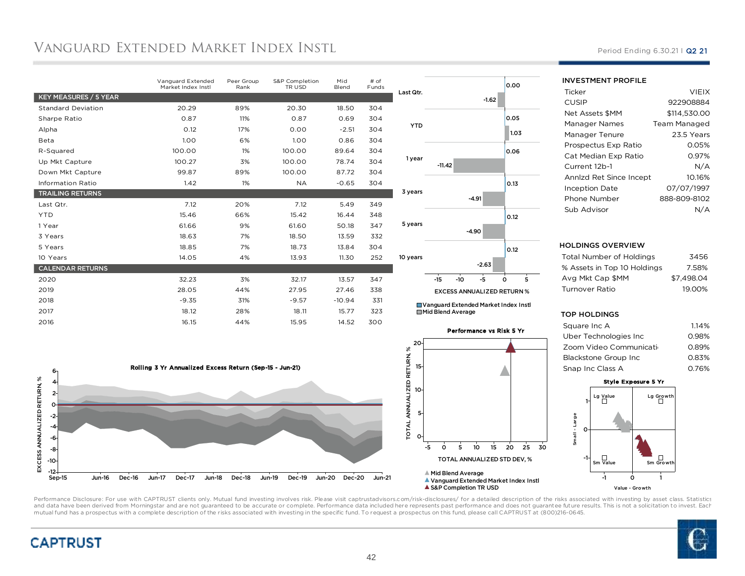# Vanguard Extended Market Index Insti.

|                           | Vanguard Extended<br>Market Index Instl | Peer Group<br>Rank | S&P Completion<br>TR USD | Mid<br>Blend | # of<br>Funds |
|---------------------------|-----------------------------------------|--------------------|--------------------------|--------------|---------------|
| KEY MEASURES / 5 YEAR     |                                         |                    |                          |              |               |
| <b>Standard Deviation</b> | 20.29                                   | 89%                | 20.30                    | 18.50        | 304           |
| Sharpe Ratio              | 0.87                                    | 11%                | 0.87                     | 0.69         | 304           |
| Alpha                     | O.12                                    | 17%                | 0.00                     | $-2.51$      | 304           |
| Beta                      | 1.00                                    | 6%                 | 1.00                     | 0.86         | 304           |
| R-Squared                 | 100.00                                  | 1%                 | 100.00                   | 89.64        | 304           |
| Up Mkt Capture            | 100.27                                  | 3%                 | 100.00                   | 78.74        | 304           |
| Down Mkt Capture          | 99.87                                   | 89%                | 100.00                   | 87.72        | 304           |
| <b>Information Ratio</b>  | 1.42                                    | 1%                 | <b>NA</b>                | $-0.65$      | 304           |
| <b>TRAILING RETURNS</b>   |                                         |                    |                          |              |               |
| Last Qtr.                 | 7.12                                    | 20%                | 7.12                     | 5.49         | 349           |
| <b>YTD</b>                | 15.46                                   | 66%                | 15.42                    | 16.44        | 348           |
| 1 Year                    | 61.66                                   | 9%                 | 61.60                    | 50.18        | 347           |
| 3 Years                   | 18.63                                   | 7%                 | 18.50                    | 13.59        | 332           |
| 5 Years                   | 18.85                                   | 7%                 | 18.73                    | 13.84        | 304           |
| 10 Years                  | 14.05                                   | 4%                 | 13.93                    | 11.30        | 252           |
| <b>CALENDAR RETURNS</b>   |                                         |                    |                          |              |               |
| 2020                      | 32.23                                   | 3%                 | 32.17                    | 13.57        | 347           |
| 2019                      | 28.05                                   | 44%                | 27.95                    | 27.46        | 338           |
| 2018                      | $-9.35$                                 | 31%                | $-9.57$                  | $-10.94$     | 331           |
| 2017                      | 18.12                                   | 28%                | 18.11                    | 15.77        | 323           |
| 2016                      | 16.15                                   | 44%                | 15.95                    | 14.52        | 300           |





■ Vanguard Extended Market Index Instl ■ Mid Blend Average



Period Ending 6.30.21 | Q2 21

### INVESTMENT PROFILE

| Ticker                  | <b>VIEIX</b>        |
|-------------------------|---------------------|
| CUSIP                   | 922908884           |
| Net Assets \$MM         | \$114.530.00        |
| Manager Names           | <b>Team Managed</b> |
| Manager Tenure          | 23.5 Years          |
| Prospectus Exp Ratio    | 0.05%               |
| Cat Median Exp Ratio    | 0.97%               |
| Current 12b-1           | N/A                 |
| Annlzd Ret Since Incept | 10.16%              |
| <b>Inception Date</b>   | 07/07/1997          |
| Phone Number            | 888-809-8102        |
| Sub Advisor             |                     |
|                         |                     |

### HOLDINGS OVERVIEW

| Total Number of Holdings    | 3456       |
|-----------------------------|------------|
| % Assets in Top 10 Holdings | 7.58%      |
| Avg Mkt Cap \$MM            | \$7.498.04 |
| Turnover Ratio              | 19.00%     |
|                             |            |

#### TOP HOLDINGS

| Square Inc A           | 1.14% |
|------------------------|-------|
| Uber Technologies Inc  | 0.98% |
| Zoom Video Communicati | 0.89% |
| Blackstone Group Inc   | 0.83% |
| Snap Inc Class A       | 0.76% |
|                        |       |





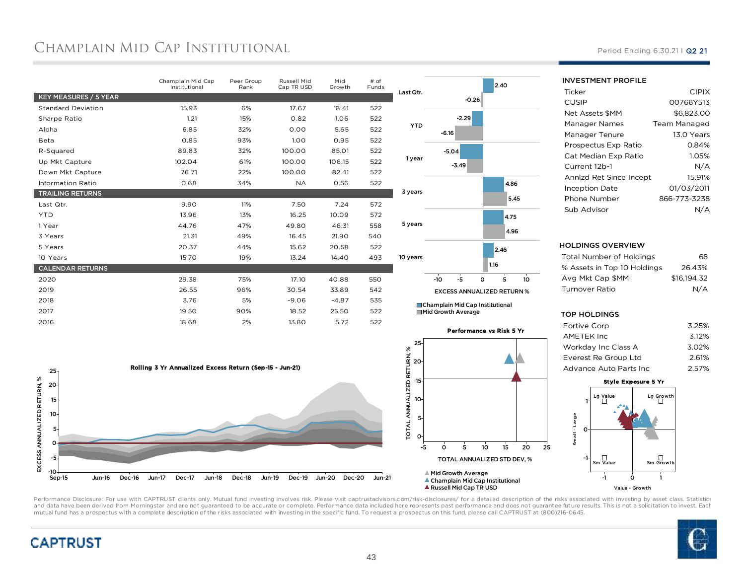# CHAMPLAIN MID CAP INSTITUTIONAL

|                           | Champlain Mid Cap<br>Institutional | Peer Group<br>Rank | Russell Mid<br>Cap TR USD | Mid<br>Growth | $#$ of<br>Funds |                 |
|---------------------------|------------------------------------|--------------------|---------------------------|---------------|-----------------|-----------------|
| KEY MEASURES / 5 YEAR     |                                    |                    |                           |               |                 | Last            |
| <b>Standard Deviation</b> | 15.93                              | 6%                 | 17.67                     | 18.41         | 522             |                 |
| Sharpe Ratio              | 1.21                               | 15%                | 0.82                      | 1.06          | 522             |                 |
| Alpha                     | 6.85                               | 32%                | 0.00                      | 5.65          | 522             |                 |
| Beta                      | 0.85                               | 93%                | 1.00                      | 0.95          | 522             |                 |
| R-Squared                 | 89.83                              | 32%                | 100.00                    | 85.01         | 522             |                 |
| Up Mkt Capture            | 102.04                             | 61%                | 100.00                    | 106.15        | 522             | 1               |
| Down Mkt Capture          | 76.71                              | 22%                | 100.00                    | 82.41         | 522             |                 |
| <b>Information Ratio</b>  | 0.68                               | 34%                | <b>NA</b>                 | 0.56          | 522             |                 |
| <b>TRAILING RETURNS</b>   |                                    |                    |                           |               |                 | 3y              |
| Last Qtr.                 | 9.90                               | 11%                | 7.50                      | 7.24          | 572             |                 |
| <b>YTD</b>                | 13.96                              | 13%                | 16.25                     | 10.09         | 572             |                 |
| 1 Year                    | 44.76                              | 47%                | 49.80                     | 46.31         | 558             | 5 y             |
| 3 Years                   | 21.31                              | 49%                | 16.45                     | 21.90         | 540             |                 |
| 5 Years                   | 20.37                              | 44%                | 15.62                     | 20.58         | 522             |                 |
| 10 Years                  | 15.70                              | 19%                | 13.24                     | 14.40         | 493             | 10 <sub>y</sub> |
| <b>CALENDAR RETURNS</b>   |                                    |                    |                           |               |                 |                 |
| 2020                      | 29.38                              | 75%                | 17.10                     | 40.88         | 550             |                 |
| 2019                      | 26.55                              | 96%                | 30.54                     | 33.89         | 542             |                 |
| 2018                      | 3.76                               | 5%                 | $-9.06$                   | $-4.87$       | 535             |                 |
| 2017                      | 19.50                              | 90%                | 18.52                     | 25.50         | 522             |                 |
| 2016                      | 18.68                              | 2%                 | 13.80                     | 5.72          | 522             |                 |
|                           |                                    |                    |                           |               |                 |                 |





Champlain Mid Cap InstitutionalMid Growth Average



Period Ending 6.30.21 | Q2 21

| INVESIMENI PROFILE      |              |
|-------------------------|--------------|
| Ticker                  | <b>CIPIX</b> |
| <b>CUSIP</b>            | 00766Y513    |
| <b>Net Assets \$MM</b>  | \$6.823.00   |
| Manager Names           | Team Managed |
| Manager Tenure          | 13.0 Years   |
| Prospectus Exp Ratio    | 0.84%        |
| Cat Median Exp Ratio    | 1.05%        |
| Current 12b-1           | N/A          |
| Annizd Ret Since Incept | 15.91%       |
| <b>Inception Date</b>   | 01/03/2011   |
| Phone Number            | 866-773-3238 |
| Sub Advisor             |              |

 $\frac{1}{2}$ 

### HOLDINGS OVERVIEW

| Total Number of Holdings    | 68          |
|-----------------------------|-------------|
| % Assets in Top 10 Holdings | 26.43%      |
| Ava Mkt Cap \$MM            | \$16.194.32 |
| Turnover Ratio              | N/A         |
|                             |             |

### TOP HOLDINGS

| <b>Fortive Corp</b>    | 3.25% |
|------------------------|-------|
| AMETEK Inc             | 3.12% |
| Workday Inc Class A    | 3.02% |
| Everest Re Group Ltd   | 2.61% |
| Advance Auto Parts Inc | 2.57% |
|                        |       |





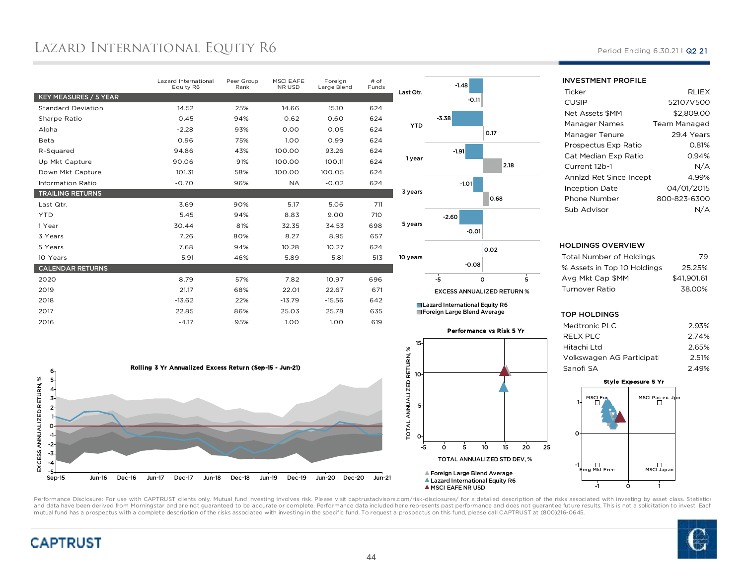# Lazard International Equity R6

|                           | Lazard International<br>Equity R6 | Peer Group<br>Rank | <b>MSCI EAFE</b><br>NR USD | Foreign<br>Large Blend | $#$ of<br>Funds |
|---------------------------|-----------------------------------|--------------------|----------------------------|------------------------|-----------------|
| KEY MEASURES / 5 YEAR     |                                   |                    |                            |                        |                 |
| <b>Standard Deviation</b> | 14.52                             | 25%                | 14.66                      | 15.10                  | 624             |
| Sharpe Ratio              | 0.45                              | 94%                | 0.62                       | 0.60                   | 624             |
| Alpha                     | $-2.28$                           | 93%                | 0.00                       | 0.05                   | 624             |
| Beta                      | 0.96                              | 75%                | 1.00                       | 0.99                   | 624             |
| R-Squared                 | 94.86                             | 43%                | 100.00                     | 93.26                  | 624             |
| Up Mkt Capture            | 90.06                             | 91%                | 100.00                     | 100.11                 | 624             |
| Down Mkt Capture          | 101.31                            | 58%                | 100.00                     | 100.05                 | 624             |
| <b>Information Ratio</b>  | $-0.70$                           | 96%                | <b>NA</b>                  | $-0.02$                | 624             |
| <b>TRAILING RETURNS</b>   |                                   |                    |                            |                        |                 |
| Last Qtr.                 | 3.69                              | 90%                | 5.17                       | 5.06                   | 711             |
| <b>YTD</b>                | 5.45                              | 94%                | 8.83                       | 9.00                   | 710             |
| 1 Year                    | 30.44                             | 81%                | 32.35                      | 34.53                  | 698             |
| 3 Years                   | 7.26                              | 80%                | 8.27                       | 8.95                   | 657             |
| 5 Years                   | 7.68                              | 94%                | 10.28                      | 10.27                  | 624             |
| 10 Years                  | 5.91                              | 46%                | 5.89                       | 5.81                   | 513             |
| <b>CALENDAR RETURNS</b>   |                                   |                    |                            |                        |                 |
| 2020                      | 8.79                              | 57%                | 7.82                       | 10.97                  | 696             |
| 2019                      | 21.17                             | 68%                | 22.01                      | 22.67                  | 671             |
| 2018                      | $-13.62$                          | 22%                | $-13.79$                   | $-15.56$               | 642             |
| 2017                      | 22.85                             | 86%                | 25.03                      | 25.78                  | 635             |
| 2016                      |                                   |                    |                            |                        |                 |



Foreign Large Blend Average

Performance vs Risk 5 Yr





INVESTMENT PROFILE

| Ticker                  | <b>RLIEX</b> |
|-------------------------|--------------|
| CUSIP                   | 52107V500    |
| Net Assets \$MM         | \$2.809.00   |
| Manager Names           | Team Managed |
| Manager Tenure          | 29.4 Years   |
| Prospectus Exp Ratio    | 0.81%        |
| Cat Median Exp Ratio    | 0.94%        |
| Current 12b-1           | N/A          |
| Annlzd Ret Since Incept | 4.99%        |
| <b>Inception Date</b>   | 04/01/2015   |
| Phone Number            | 800-823-6300 |
| Sub Advisor             |              |

#### HOLDINGS OVERVIEW

| Total Number of Holdings    | 79          |
|-----------------------------|-------------|
| % Assets in Top 10 Holdings | 25.25%      |
| Avg Mkt Cap \$MM            | \$41.901.61 |
| Turnover Ratio              | 38.00%      |
|                             |             |

#### TOP HOLDINGS

| Medtronic PLC             | 2.93% |
|---------------------------|-------|
| RELX PLC                  | 2.74% |
| Hitachi Ltd               | 2.65% |
| Volkswagen AG Participati | 2.51% |
| Sanofi SA                 | 2.49% |
|                           |       |



Performance Disclosure: For use with CAPTRUST clients only. Mutual fund investing involves risk. Please visit captrustadvisors.com/risk-disclosures/ for a detailed description of the risks associated with investing by asse and data have been derived from Morningstar and are not guaranteed to be accurate or complete. Performance data included here represents past performance and does not guarantee future results. This is not a solicitation to mutual fund has a prospectus with a complete description of the risks associated with investing in the specific fund. To request a prospectus on this fund, please call CAPTRUST at (800)216-0645.





### Period Ending 6.30.21 | Q2 21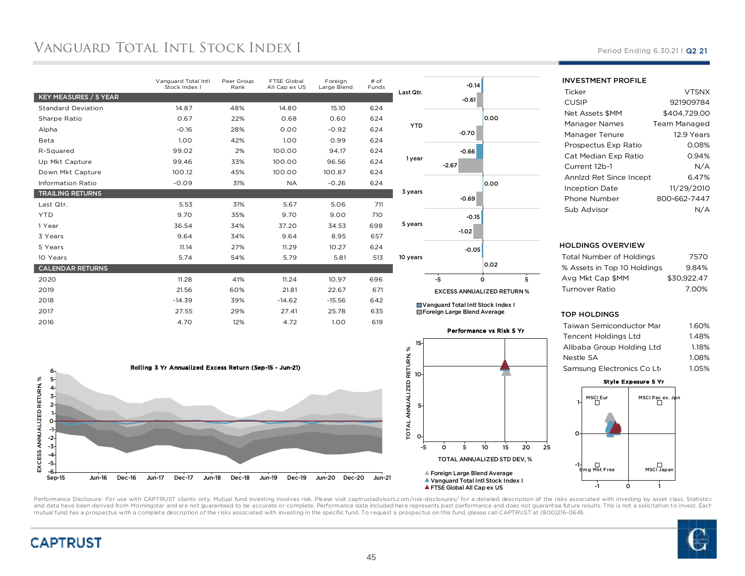# Vanguard Total Intl Stock Index I

|                           | Vanguard Total Intl<br>Stock Index I | Peer Group<br>Rank | FTSE Global<br>All Cap ex US | Foreign<br>Large Blend | $#$ of<br>Funds |            |
|---------------------------|--------------------------------------|--------------------|------------------------------|------------------------|-----------------|------------|
| KEY MEASURES / 5 YEAR     |                                      |                    |                              |                        |                 | Last Qtr.  |
| <b>Standard Deviation</b> | 14.87                                | 48%                | 14.80                        | 15.10                  | 624             |            |
| Sharpe Ratio              | 0.67                                 | 22%                | 0.68                         | 0.60                   | 624             |            |
| Alpha                     | $-0.16$                              | 28%                | 0.00                         | $-0.92$                | 624             | <b>YTD</b> |
| Beta                      | 1.00                                 | 42%                | 1.00                         | 0.99                   | 624             |            |
| R-Squared                 | 99.02                                | 2%                 | 100.00                       | 94.17                  | 624             |            |
| Up Mkt Capture            | 99.46                                | 33%                | 100.00                       | 96.56                  | 624             | 1 year     |
| Down Mkt Capture          | 100.12                               | 45%                | 100.00                       | 100.87                 | 624             |            |
| <b>Information Ratio</b>  | $-0.09$                              | 31%                | <b>NA</b>                    | $-0.26$                | 624             |            |
| <b>TRAILING RETURNS</b>   |                                      |                    |                              |                        |                 | 3 years    |
| Last Qtr.                 | 5.53                                 | 31%                | 5.67                         | 5.06                   | 711             |            |
| <b>YTD</b>                | 9.70                                 | 35%                | 9.70                         | 9.00                   | 710             |            |
| 1 Year                    | 36.54                                | 34%                | 37.20                        | 34.53                  | 698             | 5 years    |
| 3 Years                   | 9.64                                 | 34%                | 9.64                         | 8.95                   | 657             |            |
| 5 Years                   | 11.14                                | 27%                | 11.29                        | 10.27                  | 624             |            |
| 10 Years                  | 5.74                                 | 54%                | 5.79                         | 5.81                   | 513             | 10 years   |
| <b>CALENDAR RETURNS</b>   |                                      |                    |                              |                        |                 |            |
| 2020                      | 11.28                                | 41%                | 11.24                        | 10.97                  | 696             |            |
| 2019                      | 21.56                                | 60%                | 21.81                        | 22.67                  | 671             |            |
| 2018                      | $-14.39$                             | 39%                | $-14.62$                     | $-15.56$               | 642             | $\Box$     |
| 2017                      | 27.55                                | 29%                | 27.41                        | 25.78                  | 635             | $\Box$     |
| 2016                      | 4.70                                 | 12%                | 4.72                         | 1.00                   | 619             |            |
|                           |                                      |                    |                              |                        |                 |            |





-0.66-0.70

-0.61-0.14

0.00

### INVESTMENT PROFILE

| Ticker                  | <b>VTSNX</b> |
|-------------------------|--------------|
| CUSIP                   | 921909784    |
| Net Assets \$MM         | \$404.729.00 |
| Manager Names           | Team Managed |
| Manager Tenure          | 12.9 Years   |
| Prospectus Exp Ratio    | 0.08%        |
| Cat Median Exp Ratio    | 0.94%        |
| Current 12b-1           | N/A          |
| Annlzd Ret Since Incept | 6.47%        |
| <b>Inception Date</b>   | 11/29/2010   |
| Phone Number            | 800-662-7447 |
| Sub Advisor             |              |
|                         |              |

### HOLDINGS OVERVIEW

| Total Number of Holdings    | 7570        |
|-----------------------------|-------------|
| % Assets in Top 10 Holdings | 9.84%       |
| Ava Mkt Cap \$MM            | \$30.922.47 |
| Turnover Ratio              | 7.00%       |
|                             |             |

### TOP HOLDINGS

| Taiwan Semiconductor Mar               | 1.60% |
|----------------------------------------|-------|
| Tencent Holdings Ltd                   | 1.48% |
| Alibaba Group Holding Ltd              | 1.18% |
| Nestle SA                              | 1.08% |
| Samsung Electronics Co Lt <sub>'</sub> | 1.05% |
|                                        |       |



Performance Disclosure: For use with CAPTRUST clients only. Mutual fund investing involves risk. Please visit captrustadvisors.com/risk-disclosures/ for a detailed description of the risks associated with investing by asse and data have been derived from Morningstar and are not guaranteed to be accurate or complete. Performance data included here represents past performance and does not guarantee future results. This is not a solicitation to mutual fund has a prospectus with a complete description of the risks associated with investing in the specific fund. To request a prospectus on this fund, please call CAPTRUST at (800)216-0645.

0

-5

 $\circ$ 

Foreign Large Blend Average Vanguard Total Intl Stock Index I**A FTSE Global All Cap ex US** 

 <sup>5</sup> <sup>10</sup> <sup>15</sup> <sup>20</sup> <sup>25</sup> TOTAL ANNUALIZED STD DEV, %

5

10





## Period Ending 6.30.21 | Q2 21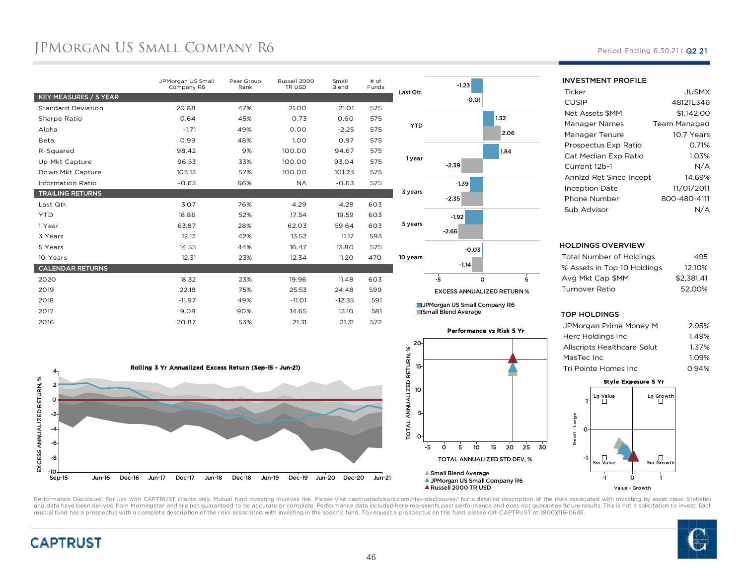# JPMORGAN US SMALL COMPANY R6 Period Ending 6.30.21 I Q2 21

|                           | JPMorgan US Small<br>Company R6 | Peer Group<br>Rank | Russell 2000<br>TR USD | Small<br>Blend | # of<br>Funds |              |
|---------------------------|---------------------------------|--------------------|------------------------|----------------|---------------|--------------|
| KEY MEASURES / 5 YEAR     |                                 |                    |                        |                |               | Last         |
| <b>Standard Deviation</b> | 20.88                           | 47%                | 21.00                  | 21.01          | 575           |              |
| Sharpe Ratio              | 0.64                            | 45%                | 0.73                   | 0.60           | 575           |              |
| Alpha                     | $-1.71$                         | 49%                | 0.00                   | $-2.25$        | 575           |              |
| Beta                      | 0.99                            | 48%                | 1.00                   | 0.97           | 575           |              |
| R-Squared                 | 98.42                           | 9%                 | 100.00                 | 94.67          | 575           |              |
| Up Mkt Capture            | 96.53                           | 33%                | 100.00                 | 93.04          | 575           | $\mathbf{1}$ |
| Down Mkt Capture          | 103.13                          | 57%                | 100.00                 | 101.23         | 575           |              |
| <b>Information Ratio</b>  | $-0.63$                         | 66%                | <b>NA</b>              | $-0.63$        | 575           |              |
| <b>TRAILING RETURNS</b>   |                                 |                    |                        |                |               | 3y           |
| Last Qtr.                 | 3.07                            | 76%                | 4.29                   | 4.28           | 603           |              |
| <b>YTD</b>                | 18.86                           | 52%                | 17.54                  | 19.59          | 603           |              |
| 1 Year                    | 63.87                           | 28%                | 62.03                  | 59.64          | 603           | 5 y          |
| 3 Years                   | 12.13                           | 42%                | 13.52                  | 11.17          | 593           |              |
| 5 Years                   | 14.55                           | 44%                | 16.47                  | 13.80          | 575           |              |
| 10 Years                  | 12.31                           | 23%                | 12.34                  | 11.20          | 470           | 10 y         |
| <b>CALENDAR RETURNS</b>   |                                 |                    |                        |                |               |              |
| 2020                      | 18.32                           | 23%                | 19.96                  | 11.48          | 603           |              |
| 2019                      | 22.18                           | 75%                | 25.53                  | 24.48          | 599           |              |
| 2018                      | $-11.97$                        | 49%                | $-11.01$               | $-12.35$       | 591           |              |
| 2017                      | 9.08                            | 90%                | 14.65                  | 13.10          | 581           |              |
| 2016                      | 20.87                           | 53%                | 21.31                  | 21.31          | 572           |              |
|                           |                                 |                    |                        |                |               |              |





 $-1.23$ 

Small Blend Average



| <b>JUSMX</b>                      |
|-----------------------------------|
| 48121L346                         |
| \$1.142.00                        |
| Team Managed                      |
| 10.7 Years                        |
| 0.71%                             |
| 1.03%                             |
| N/A                               |
| 14.69%<br>Annlzd Ret Since Incept |
| 11/01/2011                        |
| 800-480-4111                      |
|                                   |
|                                   |

#### HOLDINGS OVERVIEW

| Total Number of Holdings    | 495        |
|-----------------------------|------------|
| % Assets in Top 10 Holdings | 12.10%     |
| Ava Mkt Cap \$MM            | \$2.381.41 |
| Turnover Ratio              | 52.00%     |
|                             |            |

#### TOP HOLDINGS

| JPMorgan Prime Money M      | 2.95% |
|-----------------------------|-------|
| Herc Holdings Inc           | 1.49% |
| Allscripts Healthcare Solut | 1.37% |
| MasTec Inc                  | 1.09% |
| Tri Pointe Homes Inc        | 0.94% |
|                             |       |

## Style Exposure 5 Yr



Performance Disclosure: For use with CAPTRUST clients only. Mutual fund investing involves risk. Please visit captrustadvisors.com/risk-disclosures/ for a detailed description of the risks associated with investing by asse and data have been derived from Morningstar and are not guaranteed to be accurate or complete. Performance data included here represents past performance and does not guarantee future results. This is not a solicitation to mutual fund has a prospectus with a complete description of the risks associated with investing in the specific fund. To request a prospectus on this fund, please call CAPTRUST at (800)216-0645.





INVESTMENT PROFILE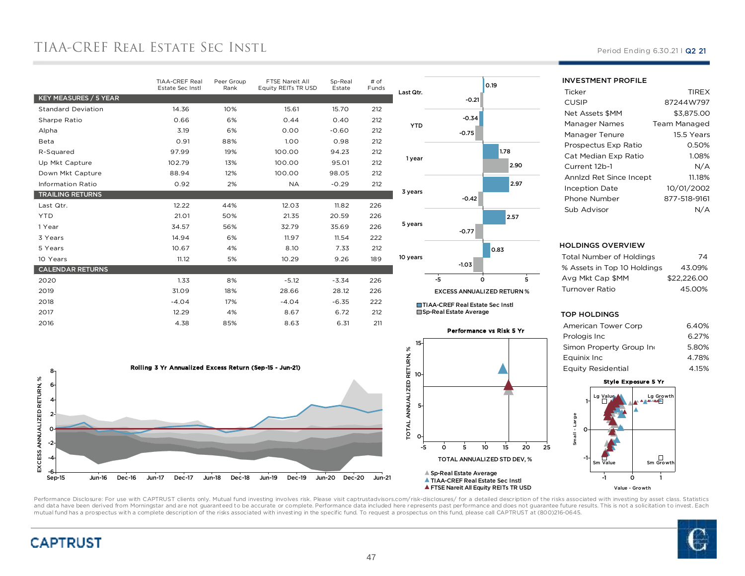# TIAA-CREF REAL ESTATE SEC INSTL

|                           | TIAA-CREF Real<br>Estate Sec Instl | Peer Group<br>Rank | FTSE Nareit All<br>Equity REITs TR USD | Sp-Real<br>Estate | # of<br>Funds | L |
|---------------------------|------------------------------------|--------------------|----------------------------------------|-------------------|---------------|---|
| KEY MEASURES / 5 YEAR     |                                    |                    |                                        |                   |               |   |
| <b>Standard Deviation</b> | 14.36                              | 10%                | 15.61                                  | 15.70             | 212           |   |
| Sharpe Ratio              | 0.66                               | 6%                 | 0.44                                   | 0.40              | 212           |   |
| Alpha                     | 3.19                               | 6%                 | 0.00                                   | $-0.60$           | 212           |   |
| Beta                      | 0.91                               | 88%                | 1.00                                   | 0.98              | 212           |   |
| R-Squared                 | 97.99                              | 19%                | 100.00                                 | 94.23             | 212           |   |
| Up Mkt Capture            | 102.79                             | 13%                | 100.00                                 | 95.01             | 212           |   |
| Down Mkt Capture          | 88.94                              | 12%                | 100.00                                 | 98.05             | 212           |   |
| <b>Information Ratio</b>  | 0.92                               | 2%                 | <b>NA</b>                              | $-0.29$           | 212           |   |
| <b>TRAILING RETURNS</b>   |                                    |                    |                                        |                   |               |   |
| Last Qtr.                 | 12.22                              | 44%                | 12.03                                  | 11.82             | 226           |   |
| <b>YTD</b>                | 21.01                              | 50%                | 21.35                                  | 20.59             | 226           |   |
| 1 Year                    | 34.57                              | 56%                | 32.79                                  | 35.69             | 226           |   |
| 3 Years                   | 14.94                              | 6%                 | 11.97                                  | 11.54             | 222           |   |
| 5 Years                   | 10.67                              | 4%                 | 8.10                                   | 7.33              | 212           |   |
| 10 Years                  | 11.12                              | 5%                 | 10.29                                  | 9.26              | 189           | 1 |
| <b>CALENDAR RETURNS</b>   |                                    |                    |                                        |                   |               |   |
| 2020                      | 1.33                               | 8%                 | $-5.12$                                | $-3.34$           | 226           |   |
| 2019                      | 31.09                              | 18%                | 28.66                                  | 28.12             | 226           |   |
| 2018                      | $-4.04$                            | 17%                | $-4.04$                                | $-6.35$           | 222           |   |
| 2017                      | 12.29                              | 4%                 | 8.67                                   | 6.72              | 212           |   |
| 2016                      | 4.38                               | 85%                | 8.63                                   | 6.31              | 211           |   |
|                           |                                    |                    |                                        |                   |               |   |





0.19

TIAA-CREF Real Estate Sec Instl ■ The Constitution Sp-Real Estate Average



Period Ending 6.30.21 | Q2 21

| <b>INVESTMENT PROFILE</b> |              |
|---------------------------|--------------|
| Ticker                    | <b>TIREX</b> |
| CUSIP                     | 87244W797    |
| Net Assets \$MM           | \$3.875.00   |
| Manager Names             | Team Managed |
| Manager Tenure            | 15.5 Years   |
| Prospectus Exp Ratio      | 0.50%        |
| Cat Median Exp Ratio      | 1.08%        |
| Current 12b-1             | N/A          |
| Annizd Ret Since Incept   | 11.18%       |
| Inception Date            | 10/01/2002   |
| Phone Number              | 877-518-9161 |
| Sub Advisor               |              |

#### HOLDINGS OVERVIEW

| Total Number of Holdings    | 74          |
|-----------------------------|-------------|
| % Assets in Top 10 Holdings | 43.09%      |
| Ava Mkt Cap \$MM            | \$22,226,00 |
| Turnover Ratio              | 45.00%      |
|                             |             |

#### TOP HOLDINGS

| American Tower Corp      | 6.40% |
|--------------------------|-------|
| Prologis Inc             | 6.27% |
| Simon Property Group Ind | 5.80% |
| Equinix Inc              | 4.78% |
| Equity Residential       | 4.15% |

### Style Exposure 5 Yr





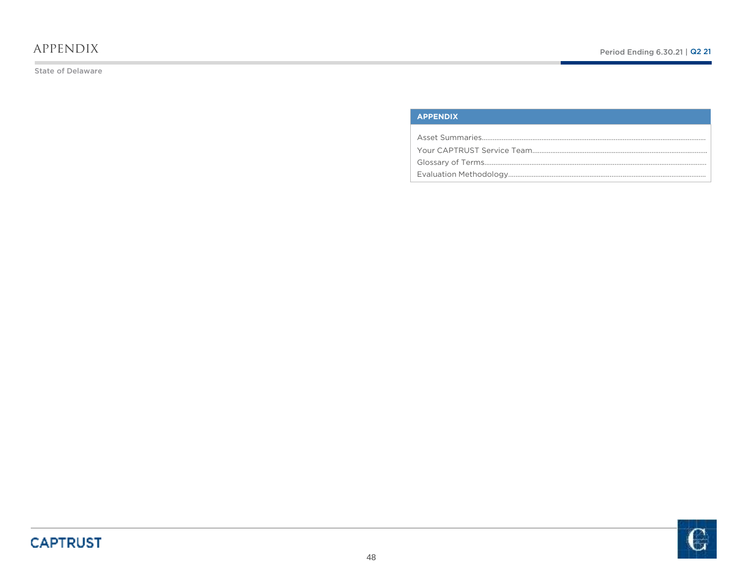## appendix

State of Delaware

### **APPENDIX**

Asset Summaries……………..……………………………………………………………………………………………..Your CAPTRUST Service Team…………………………………………………………………………………….Glossary of Terms……………………………………………………………………………………………………………Evaluation Methodology………………....……………………...................……………………………………..

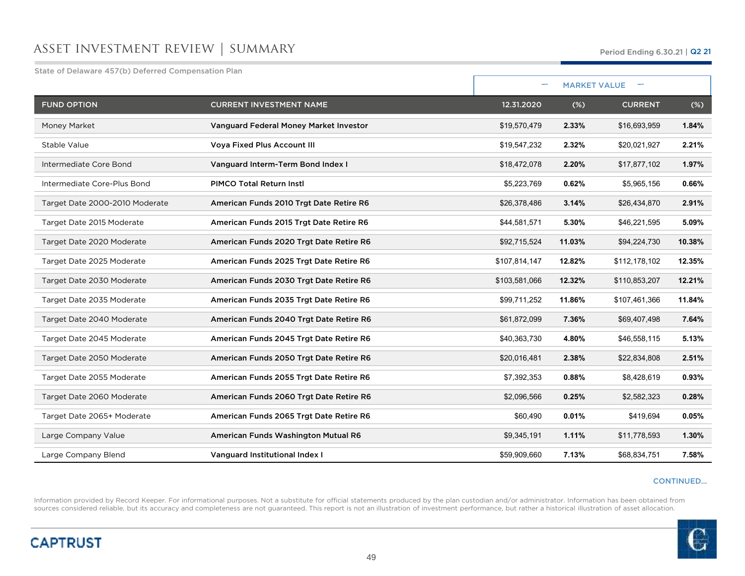## asset investment review | summary

State of Delaware 457(b) Deferred Compensation Plan

| otate of belandie for to belefted compensation i iai |                                         |               |        | <b>MARKET VALUE</b> |        |
|------------------------------------------------------|-----------------------------------------|---------------|--------|---------------------|--------|
| <b>FUND OPTION</b>                                   | <b>CURRENT INVESTMENT NAME</b>          | 12.31.2020    | $(\%)$ | <b>CURRENT</b>      | $(\%)$ |
| Money Market                                         | Vanguard Federal Money Market Investor  | \$19,570,479  | 2.33%  | \$16,693,959        | 1.84%  |
| Stable Value                                         | <b>Voya Fixed Plus Account III</b>      | \$19,547,232  | 2.32%  | \$20,021,927        | 2.21%  |
| Intermediate Core Bond                               | Vanguard Interm-Term Bond Index I       | \$18,472,078  | 2.20%  | \$17,877,102        | 1.97%  |
| Intermediate Core-Plus Bond                          | PIMCO Total Return Instl                | \$5,223,769   | 0.62%  | \$5,965,156         | 0.66%  |
| Target Date 2000-2010 Moderate                       | American Funds 2010 Trgt Date Retire R6 | \$26,378,486  | 3.14%  | \$26,434,870        | 2.91%  |
| Target Date 2015 Moderate                            | American Funds 2015 Trgt Date Retire R6 | \$44,581,571  | 5.30%  | \$46,221,595        | 5.09%  |
| Target Date 2020 Moderate                            | American Funds 2020 Trgt Date Retire R6 | \$92,715,524  | 11.03% | \$94,224,730        | 10.38% |
| Target Date 2025 Moderate                            | American Funds 2025 Trgt Date Retire R6 | \$107,814,147 | 12.82% | \$112,178,102       | 12.35% |
| Target Date 2030 Moderate                            | American Funds 2030 Trgt Date Retire R6 | \$103,581,066 | 12.32% | \$110,853,207       | 12.21% |
| Target Date 2035 Moderate                            | American Funds 2035 Trgt Date Retire R6 | \$99,711,252  | 11.86% | \$107,461,366       | 11.84% |
| Target Date 2040 Moderate                            | American Funds 2040 Trgt Date Retire R6 | \$61,872,099  | 7.36%  | \$69,407,498        | 7.64%  |
| Target Date 2045 Moderate                            | American Funds 2045 Trgt Date Retire R6 | \$40,363,730  | 4.80%  | \$46,558,115        | 5.13%  |
| Target Date 2050 Moderate                            | American Funds 2050 Trgt Date Retire R6 | \$20,016,481  | 2.38%  | \$22,834,808        | 2.51%  |
| Target Date 2055 Moderate                            | American Funds 2055 Trgt Date Retire R6 | \$7,392,353   | 0.88%  | \$8,428,619         | 0.93%  |
| Target Date 2060 Moderate                            | American Funds 2060 Trgt Date Retire R6 | \$2,096,566   | 0.25%  | \$2,582,323         | 0.28%  |
| Target Date 2065+ Moderate                           | American Funds 2065 Trgt Date Retire R6 | \$60,490      | 0.01%  | \$419,694           | 0.05%  |
| Large Company Value                                  | American Funds Washington Mutual R6     | \$9,345,191   | 1.11%  | \$11,778,593        | 1.30%  |
| Large Company Blend                                  | Vanguard Institutional Index I          | \$59,909,660  | 7.13%  | \$68,834,751        | 7.58%  |

### CONTINUED…

Information provided by Record Keeper. For informational purposes. Not a substitute for official statements produced by the plan custodian and/or administrator. Information has been obtained from<br>sources considered reliabl

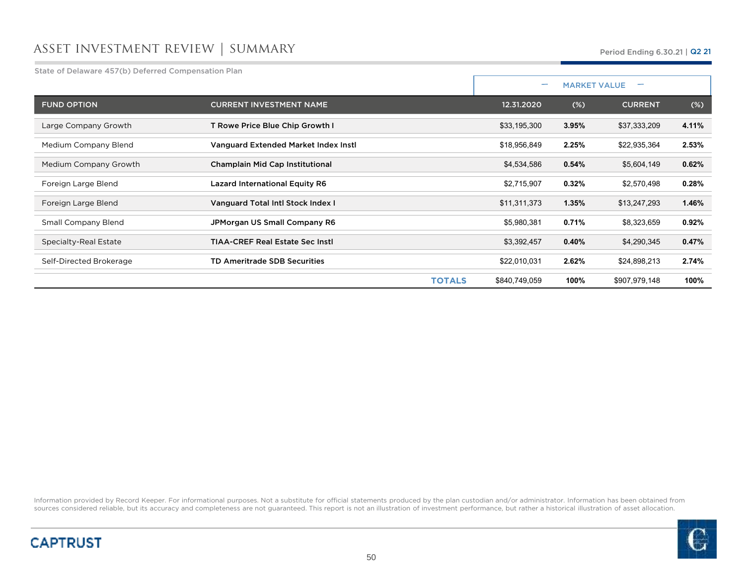# asset investment review | summary

State of Delaware 457(b) Deferred Compensation Plan

|                            |                                         | $\overline{\phantom{0}}$ |        | <b>MARKET VALUE</b> |        |
|----------------------------|-----------------------------------------|--------------------------|--------|---------------------|--------|
| <b>FUND OPTION</b>         | <b>CURRENT INVESTMENT NAME</b>          | 12.31.2020               | $(\%)$ | <b>CURRENT</b>      | $(\%)$ |
| Large Company Growth       | T Rowe Price Blue Chip Growth I         | \$33,195,300             | 3.95%  | \$37,333,209        | 4.11%  |
| Medium Company Blend       | Vanguard Extended Market Index Instl    | \$18,956,849             | 2.25%  | \$22,935,364        | 2.53%  |
| Medium Company Growth      | Champlain Mid Cap Institutional         | \$4,534,586              | 0.54%  | \$5,604,149         | 0.62%  |
| Foreign Large Blend        | <b>Lazard International Equity R6</b>   | \$2,715,907              | 0.32%  | \$2,570,498         | 0.28%  |
| Foreign Large Blend        | Vanguard Total Intl Stock Index I       | \$11,311,373             | 1.35%  | \$13,247,293        | 1.46%  |
| <b>Small Company Blend</b> | JPMorgan US Small Company R6            | \$5,980,381              | 0.71%  | \$8,323,659         | 0.92%  |
| Specialty-Real Estate      | <b>TIAA-CREF Real Estate Sec Instl.</b> | \$3,392,457              | 0.40%  | \$4,290,345         | 0.47%  |
| Self-Directed Brokerage    | <b>TD Ameritrade SDB Securities</b>     | \$22,010,031             | 2.62%  | \$24,898,213        | 2.74%  |
|                            | <b>TOTALS</b>                           | \$840,749,059            | 100%   | \$907,979,148       | 100%   |

Information provided by Record Keeper. For informational purposes. Not a substitute for official statements produced by the plan custodian and/or administrator. Information has been obtained from<br>sources considered reliabl



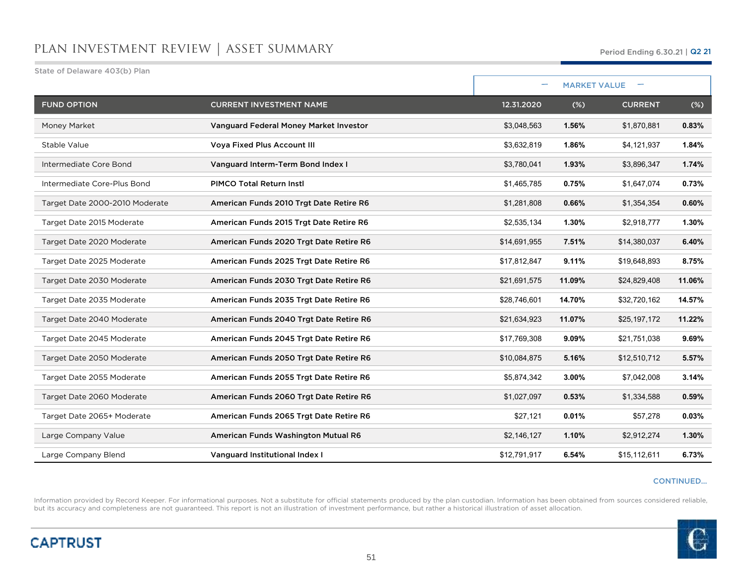| State of Delaware 403(b) Plan  |                                         |              |        |                     |        |
|--------------------------------|-----------------------------------------|--------------|--------|---------------------|--------|
|                                |                                         |              |        | <b>MARKET VALUE</b> |        |
| <b>FUND OPTION</b>             | <b>CURRENT INVESTMENT NAME</b>          | 12.31.2020   | (%)    | <b>CURRENT</b>      | $(\%)$ |
| Money Market                   | Vanguard Federal Money Market Investor  | \$3,048,563  | 1.56%  | \$1,870,881         | 0.83%  |
| Stable Value                   | <b>Voya Fixed Plus Account III</b>      | \$3,632,819  | 1.86%  | \$4,121,937         | 1.84%  |
| Intermediate Core Bond         | Vanguard Interm-Term Bond Index I       | \$3,780,041  | 1.93%  | \$3,896,347         | 1.74%  |
| Intermediate Core-Plus Bond    | <b>PIMCO Total Return Instl</b>         | \$1,465,785  | 0.75%  | \$1,647,074         | 0.73%  |
| Target Date 2000-2010 Moderate | American Funds 2010 Trgt Date Retire R6 | \$1,281,808  | 0.66%  | \$1,354,354         | 0.60%  |
| Target Date 2015 Moderate      | American Funds 2015 Trgt Date Retire R6 | \$2,535,134  | 1.30%  | \$2,918,777         | 1.30%  |
| Target Date 2020 Moderate      | American Funds 2020 Trgt Date Retire R6 | \$14,691,955 | 7.51%  | \$14,380,037        | 6.40%  |
| Target Date 2025 Moderate      | American Funds 2025 Trgt Date Retire R6 | \$17,812,847 | 9.11%  | \$19,648,893        | 8.75%  |
| Target Date 2030 Moderate      | American Funds 2030 Trgt Date Retire R6 | \$21,691,575 | 11.09% | \$24,829,408        | 11.06% |
| Target Date 2035 Moderate      | American Funds 2035 Trgt Date Retire R6 | \$28,746,601 | 14.70% | \$32,720,162        | 14.57% |
| Target Date 2040 Moderate      | American Funds 2040 Trgt Date Retire R6 | \$21,634,923 | 11.07% | \$25,197,172        | 11.22% |
| Target Date 2045 Moderate      | American Funds 2045 Trgt Date Retire R6 | \$17,769,308 | 9.09%  | \$21,751,038        | 9.69%  |
| Target Date 2050 Moderate      | American Funds 2050 Trgt Date Retire R6 | \$10,084,875 | 5.16%  | \$12,510,712        | 5.57%  |
| Target Date 2055 Moderate      | American Funds 2055 Trgt Date Retire R6 | \$5,874,342  | 3.00%  | \$7,042,008         | 3.14%  |
| Target Date 2060 Moderate      | American Funds 2060 Trgt Date Retire R6 | \$1,027,097  | 0.53%  | \$1,334,588         | 0.59%  |
| Target Date 2065+ Moderate     | American Funds 2065 Trgt Date Retire R6 | \$27,121     | 0.01%  | \$57,278            | 0.03%  |
| Large Company Value            | American Funds Washington Mutual R6     | \$2,146,127  | 1.10%  | \$2,912,274         | 1.30%  |
| Large Company Blend            | Vanguard Institutional Index I          | \$12,791,917 | 6.54%  | \$15,112,611        | 6.73%  |

### CONTINUED…

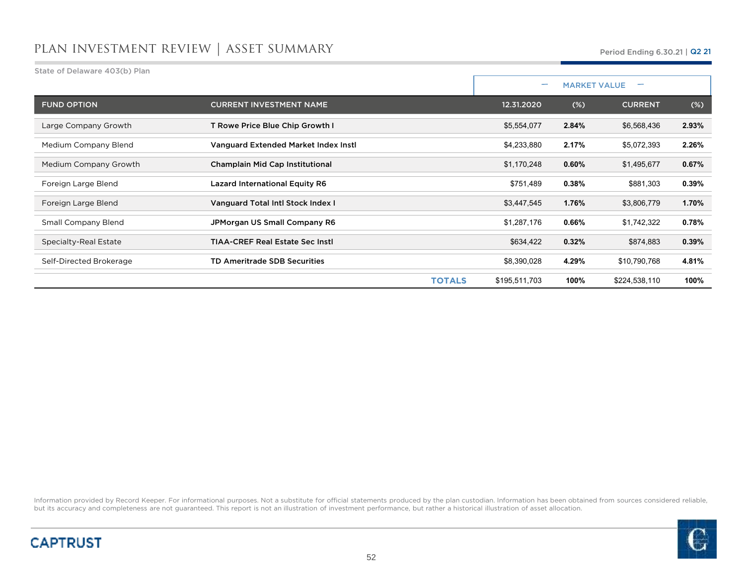| State of Delaware 403(b) Plan |                                         |               |                          |                     |        |
|-------------------------------|-----------------------------------------|---------------|--------------------------|---------------------|--------|
|                               |                                         |               | $\overline{\phantom{0}}$ | <b>MARKET VALUE</b> |        |
| <b>FUND OPTION</b>            | <b>CURRENT INVESTMENT NAME</b>          | 12.31.2020    | (%)                      | <b>CURRENT</b>      | $(\%)$ |
| Large Company Growth          | T Rowe Price Blue Chip Growth I         | \$5,554,077   | 2.84%                    | \$6,568,436         | 2.93%  |
| Medium Company Blend          | Vanguard Extended Market Index Instl    | \$4,233,880   | 2.17%                    | \$5,072,393         | 2.26%  |
| Medium Company Growth         | Champlain Mid Cap Institutional         | \$1,170,248   | 0.60%                    | \$1,495,677         | 0.67%  |
| Foreign Large Blend           | <b>Lazard International Equity R6</b>   | \$751,489     | 0.38%                    | \$881,303           | 0.39%  |
| Foreign Large Blend           | Vanguard Total Intl Stock Index I       | \$3,447,545   | 1.76%                    | \$3,806,779         | 1.70%  |
| <b>Small Company Blend</b>    | JPMorgan US Small Company R6            | \$1,287,176   | 0.66%                    | \$1,742,322         | 0.78%  |
| Specialty-Real Estate         | <b>TIAA-CREF Real Estate Sec Instl.</b> | \$634,422     | 0.32%                    | \$874,883           | 0.39%  |
| Self-Directed Brokerage       | <b>TD Ameritrade SDB Securities</b>     | \$8,390,028   | 4.29%                    | \$10,790,768        | 4.81%  |
|                               | <b>TOTALS</b>                           | \$195,511,703 | 100%                     | \$224,538,110       | 100%   |



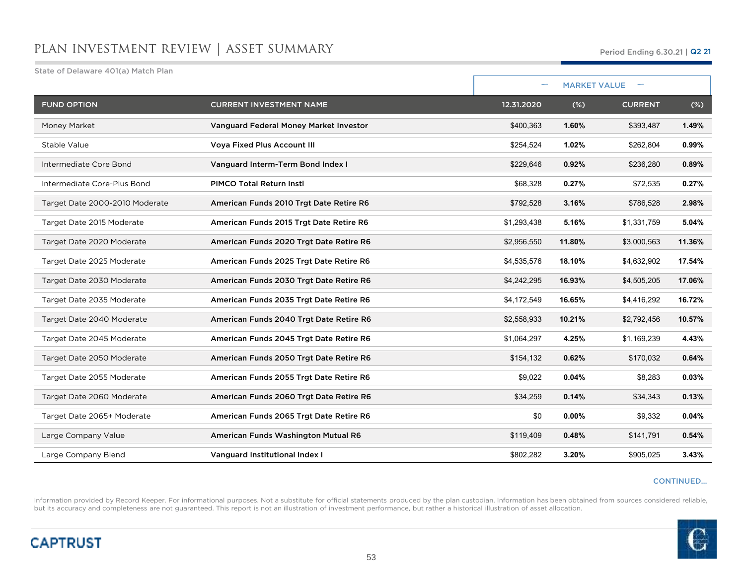| State of Delaware 401(a) Match Plan |                                         |             |                     |                |        |
|-------------------------------------|-----------------------------------------|-------------|---------------------|----------------|--------|
|                                     |                                         | ۰           | <b>MARKET VALUE</b> |                |        |
| <b>FUND OPTION</b>                  | <b>CURRENT INVESTMENT NAME</b>          | 12.31.2020  | $(\%)$              | <b>CURRENT</b> | $(\%)$ |
| Money Market                        | Vanguard Federal Money Market Investor  | \$400,363   | 1.60%               | \$393,487      | 1.49%  |
| Stable Value                        | <b>Voya Fixed Plus Account III</b>      | \$254,524   | 1.02%               | \$262,804      | 0.99%  |
| Intermediate Core Bond              | Vanguard Interm-Term Bond Index I       | \$229,646   | 0.92%               | \$236,280      | 0.89%  |
| Intermediate Core-Plus Bond         | <b>PIMCO Total Return Instl</b>         | \$68,328    | 0.27%               | \$72,535       | 0.27%  |
| Target Date 2000-2010 Moderate      | American Funds 2010 Trgt Date Retire R6 | \$792,528   | 3.16%               | \$786,528      | 2.98%  |
| Target Date 2015 Moderate           | American Funds 2015 Trgt Date Retire R6 | \$1,293,438 | 5.16%               | \$1,331,759    | 5.04%  |
| Target Date 2020 Moderate           | American Funds 2020 Trgt Date Retire R6 | \$2,956,550 | 11.80%              | \$3,000,563    | 11.36% |
| Target Date 2025 Moderate           | American Funds 2025 Trgt Date Retire R6 | \$4,535,576 | 18.10%              | \$4,632,902    | 17.54% |
| Target Date 2030 Moderate           | American Funds 2030 Trgt Date Retire R6 | \$4,242,295 | 16.93%              | \$4,505,205    | 17.06% |
| Target Date 2035 Moderate           | American Funds 2035 Trgt Date Retire R6 | \$4,172,549 | 16.65%              | \$4,416,292    | 16.72% |
| Target Date 2040 Moderate           | American Funds 2040 Trgt Date Retire R6 | \$2,558,933 | 10.21%              | \$2,792,456    | 10.57% |
| Target Date 2045 Moderate           | American Funds 2045 Trgt Date Retire R6 | \$1,064,297 | 4.25%               | \$1,169,239    | 4.43%  |
| Target Date 2050 Moderate           | American Funds 2050 Trgt Date Retire R6 | \$154,132   | 0.62%               | \$170,032      | 0.64%  |
| Target Date 2055 Moderate           | American Funds 2055 Trgt Date Retire R6 | \$9,022     | 0.04%               | \$8,283        | 0.03%  |
| Target Date 2060 Moderate           | American Funds 2060 Trgt Date Retire R6 | \$34,259    | 0.14%               | \$34,343       | 0.13%  |
| Target Date 2065+ Moderate          | American Funds 2065 Trgt Date Retire R6 | \$0         | 0.00%               | \$9,332        | 0.04%  |
| Large Company Value                 | American Funds Washington Mutual R6     | \$119,409   | 0.48%               | \$141,791      | 0.54%  |
| Large Company Blend                 | Vanguard Institutional Index I          | \$802,282   | 3.20%               | \$905,025      | 3.43%  |

### CONTINUED…

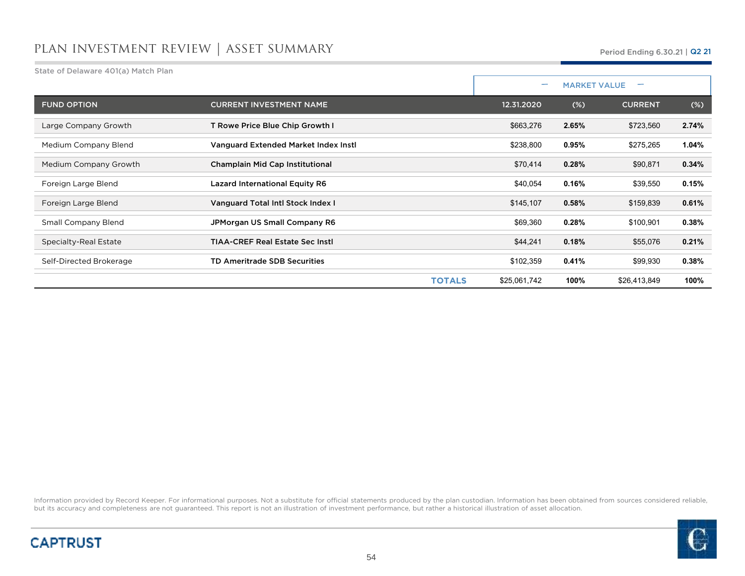| State of Delaware 401(a) Match Plan |                                        |                               |                                                 |                |          |  |
|-------------------------------------|----------------------------------------|-------------------------------|-------------------------------------------------|----------------|----------|--|
|                                     |                                        |                               | <b>MARKET VALUE</b><br>$\overline{\phantom{0}}$ |                |          |  |
| <b>FUND OPTION</b>                  | <b>CURRENT INVESTMENT NAME</b>         | 12.31.2020                    | (%)                                             | <b>CURRENT</b> | $(\%)$   |  |
| Large Company Growth                | T Rowe Price Blue Chip Growth I        | \$663,276                     | 2.65%                                           | \$723,560      | 2.74%    |  |
| Medium Company Blend                | Vanguard Extended Market Index Instl   | \$238,800                     | 0.95%                                           | \$275,265      | $1.04\%$ |  |
| Medium Company Growth               | Champlain Mid Cap Institutional        | \$70,414                      | 0.28%                                           | \$90,871       | 0.34%    |  |
| Foreign Large Blend                 | <b>Lazard International Equity R6</b>  | \$40,054                      | 0.16%                                           | \$39,550       | 0.15%    |  |
| Foreign Large Blend                 | Vanguard Total Intl Stock Index I      | \$145,107                     | 0.58%                                           | \$159,839      | 0.61%    |  |
| <b>Small Company Blend</b>          | JPMorgan US Small Company R6           | \$69,360                      | 0.28%                                           | \$100,901      | 0.38%    |  |
| Specialty-Real Estate               | <b>TIAA-CREF Real Estate Sec Instl</b> | \$44,241                      | 0.18%                                           | \$55,076       | 0.21%    |  |
| Self-Directed Brokerage             | <b>TD Ameritrade SDB Securities</b>    | \$102,359                     | 0.41%                                           | \$99,930       | 0.38%    |  |
|                                     |                                        | <b>TOTALS</b><br>\$25,061,742 | 100%                                            | \$26,413,849   | 100%     |  |



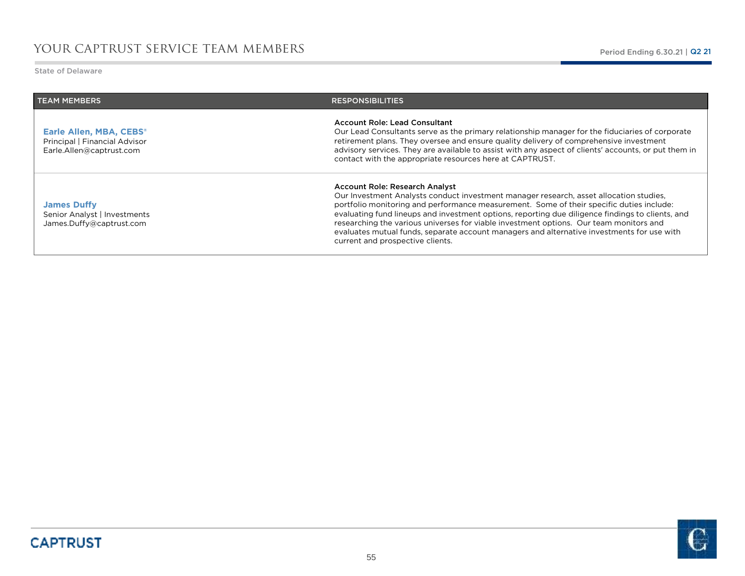State of Delaware

r.

| <b>TEAM MEMBERS</b>                                                                  | <b>RESPONSIBILITIES</b>                                                                                                                                                                                                                                                                                                                                                                                                                                                                                                                              |
|--------------------------------------------------------------------------------------|------------------------------------------------------------------------------------------------------------------------------------------------------------------------------------------------------------------------------------------------------------------------------------------------------------------------------------------------------------------------------------------------------------------------------------------------------------------------------------------------------------------------------------------------------|
| Earle Allen, MBA, CEBS®<br>Principal   Financial Advisor<br>Earle.Allen@captrust.com | <b>Account Role: Lead Consultant</b><br>Our Lead Consultants serve as the primary relationship manager for the fiduciaries of corporate<br>retirement plans. They oversee and ensure quality delivery of comprehensive investment<br>advisory services. They are available to assist with any aspect of clients' accounts, or put them in<br>contact with the appropriate resources here at CAPTRUST.                                                                                                                                                |
| <b>James Duffy</b><br>Senior Analyst   Investments<br>James.Duffy@captrust.com       | Account Role: Research Analyst<br>Our Investment Analysts conduct investment manager research, asset allocation studies,<br>portfolio monitoring and performance measurement. Some of their specific duties include:<br>evaluating fund lineups and investment options, reporting due diligence findings to clients, and<br>researching the various universes for viable investment options. Our team monitors and<br>evaluates mutual funds, separate account managers and alternative investments for use with<br>current and prospective clients. |

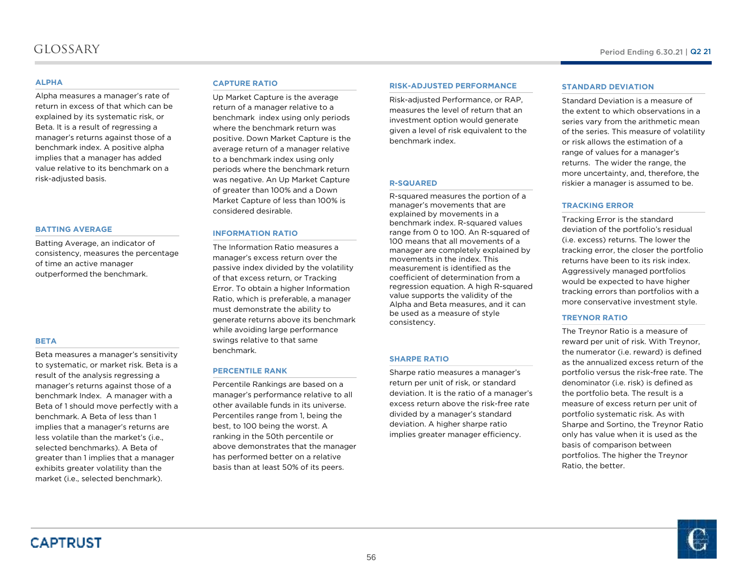## glossary

### **ALPHA**

 Alpha measures a manager's rate of return in excess of that which can be explained by its systematic risk, or Beta. It is a result of regressing a manager's returns against those of a benchmark index. A positive alpha implies that a manager has added value relative to its benchmark on a risk-adjusted basis.

### **BATTING AVERAGE**

Batting Average, an indicator of consistency, measures the percentage of time an active manager outperformed the benchmark.

### **BETA**

Beta measures a manager's sensitivity to systematic, or market risk. Beta is a result of the analysis regressing a manager's returns against those of a benchmark Index. A manager with a Beta of 1 should move perfectly with a benchmark. A Beta of less than 1 implies that a manager's returns are less volatile than the market's (i.e., selected benchmarks). A Beta of greater than 1 implies that a manager exhibits greater volatility than the market (i.e., selected benchmark).

### **CAPTURE RATIO**

 Up Market Capture is the average return of a manager relative to a benchmark index using only periods where the benchmark return was positive. Down Market Capture is the average return of a manager relative to a benchmark index using only periods where the benchmark return was negative. An Up Market Capture of greater than 100% and a Down Market Capture of less than 100% is considered desirable.

### **INFORMATION RATIO**

 The Information Ratio measures a manager's excess return over the passive index divided by the volatility of that excess return, or Tracking Error. To obtain a higher Information Ratio, which is preferable, a manager must demonstrate the ability to generate returns above its benchmark while avoiding large performance swings relative to that same benchmark.

### **PERCENTILE RANK**

Percentile Rankings are based on a manager's performance relative to all other available funds in its universe. Percentiles range from 1, being the best, to 100 being the worst. A ranking in the 50th percentile or above demonstrates that the manager has performed better on a relative basis than at least 50% of its peers.

### **RISK-ADJUSTED PERFORMANCE**

Risk-adjusted Performance, or RAP, measures the level of return that an investment option would generate given a level of risk equivalent to the benchmark index.

### **R-SQUARED**

 R-squared measures the portion of a manager's movements that are explained by movements in a benchmark index. R-squared values range from 0 to 100. An R-squared of 100 means that all movements of a manager are completely explained by movements in the index. This measurement is identified as the coefficient of determination from a regression equation. <sup>A</sup> high R-squared value supports the validity of the Alpha and Beta measures, and it can be used as a measure of style consistency.

### **SHARPE RATIO**

 Sharpe ratio measures a manager's return per unit of risk, or standard deviation. It is the ratio of a manager's excess return above the risk-free rate divided by a manager's standard deviation. A higher sharpe ratio implies greater manager efficiency.

### **STANDARD DEVIATION**

 Standard Deviation is a measure of the extent to which observations in a series vary from the arithmetic mean of the series. This measure of volatility or risk allows the estimation of a range of values for a manager's returns. The wider the range, the more uncertainty, and, therefore, the riskier a manager is assumed to be.

### **TRACKING ERROR**

Tracking Error is the standard deviation of the portfolio's residual (i.e. excess) returns. The lower the tracking error, the closer the portfolio returns have been to its risk index. Aggressively managed portfolios would be expected to have higher tracking errors than portfolios with a more conservative investment style.

### **TREYNOR RATIO**

 The Treynor Ratio is a measure of reward per unit of risk. With Treynor, the numerator (i.e. reward) is defined as the annualized excess return of the portfolio versus the risk-free rate. The denominator (i.e. risk) is defined as the portfolio beta. The result is a measure of excess return per unit of portfolio systematic risk. As with Sharpe and Sortino, the Treynor Ratio only has value when it is used as the basis of comparison between portfolios. The higher the TreynorRatio, the better.